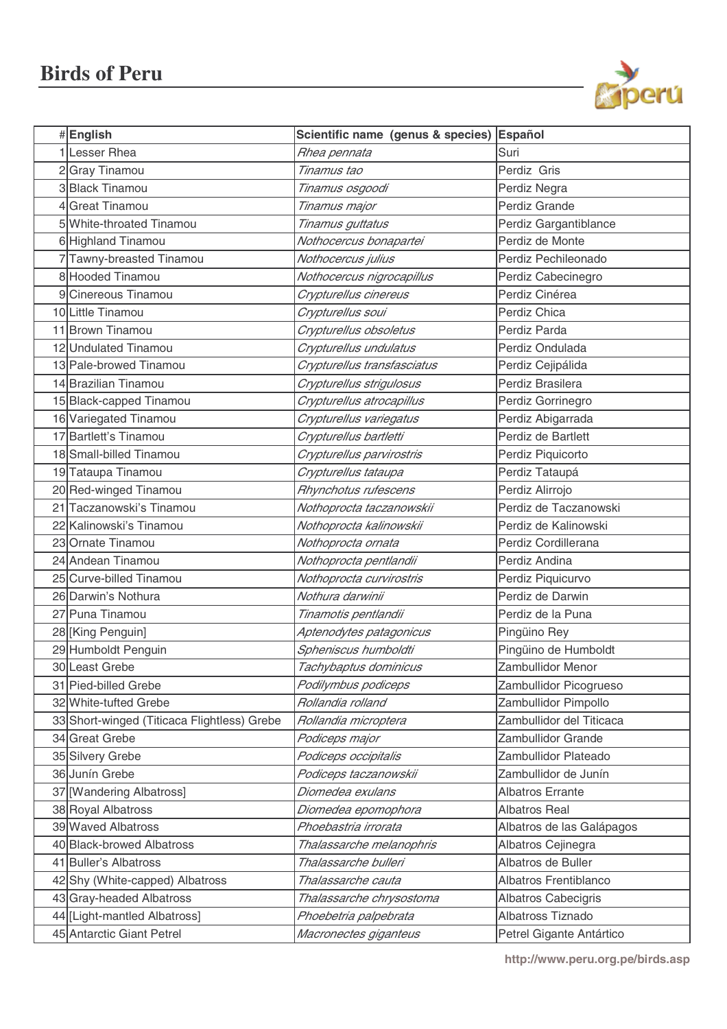

| #English                                    | Scientific name (genus & species) Español |                           |
|---------------------------------------------|-------------------------------------------|---------------------------|
| 1 Lesser Rhea                               | Rhea pennata                              | Suri                      |
| 2Gray Tinamou                               | Tinamus tao                               | Perdiz Gris               |
| 3 Black Tinamou                             | Tinamus osgoodi                           | Perdiz Negra              |
| 4 Great Tinamou                             | Tinamus major                             | Perdiz Grande             |
| 5 White-throated Tinamou                    | Tinamus guttatus                          | Perdiz Gargantiblance     |
| 6 Highland Tinamou                          | Nothocercus bonapartei                    | Perdiz de Monte           |
| 7Tawny-breasted Tinamou                     | Nothocercus julius                        | Perdiz Pechileonado       |
| 8 Hooded Tinamou                            | Nothocercus nigrocapillus                 | Perdiz Cabecinegro        |
| 9 Cinereous Tinamou                         | Crypturellus cinereus                     | Perdiz Cinérea            |
| 10Little Tinamou                            | Crypturellus soui                         | Perdiz Chica              |
| 11 Brown Tinamou                            | Crypturellus obsoletus                    | Perdiz Parda              |
| 12 Undulated Tinamou                        | Crypturellus undulatus                    | Perdiz Ondulada           |
| 13 Pale-browed Tinamou                      | Crypturellus transfasciatus               | Perdiz Cejipálida         |
| 14 Brazilian Tinamou                        | Crypturellus strigulosus                  | Perdiz Brasilera          |
| 15 Black-capped Tinamou                     | Crypturellus atrocapillus                 | Perdiz Gorrinegro         |
| 16 Variegated Tinamou                       | Crypturellus variegatus                   | Perdiz Abigarrada         |
| 17 Bartlett's Tinamou                       | Crypturellus bartletti                    | Perdiz de Bartlett        |
| 18 Small-billed Tinamou                     | Crypturellus parvirostris                 | Perdiz Piquicorto         |
| 19Tataupa Tinamou                           | Crypturellus tataupa                      | Perdiz Tataupá            |
| 20 Red-winged Tinamou                       | Rhynchotus rufescens                      | Perdiz Alirrojo           |
| 21 Taczanowski's Tinamou                    | Nothoprocta taczanowskii                  | Perdiz de Taczanowski     |
| 22 Kalinowski's Tinamou                     | Nothoprocta kalinowskii                   | Perdiz de Kalinowski      |
| 23 Ornate Tinamou                           | Nothoprocta ornata                        | Perdiz Cordillerana       |
| 24 Andean Tinamou                           | Nothoprocta pentlandii                    | Perdiz Andina             |
| 25 Curve-billed Tinamou                     | Nothoprocta curvirostris                  | Perdiz Piquicurvo         |
| 26 Darwin's Nothura                         | Nothura darwinii                          | Perdiz de Darwin          |
| 27 Puna Tinamou                             | Tinamotis pentlandii                      | Perdiz de la Puna         |
| 28 [King Penguin]                           | Aptenodytes patagonicus                   | Pingüino Rey              |
| 29 Humboldt Penguin                         | Spheniscus humboldti                      | Pingüino de Humboldt      |
| 30 Least Grebe                              | Tachybaptus dominicus                     | Zambullidor Menor         |
| 31 Pied-billed Grebe                        | Podilymbus podiceps                       | Zambullidor Picogrueso    |
| 32 White-tufted Grebe                       | Rollandia rolland                         | Zambullidor Pimpollo      |
| 33 Short-winged (Titicaca Flightless) Grebe | Rollandia microptera                      | Zambullidor del Titicaca  |
| 34 Great Grebe                              | Podiceps major                            | Zambullidor Grande        |
| 35 Silvery Grebe                            | Podiceps occipitalis                      | Zambullidor Plateado      |
| 36 Junín Grebe                              | Podiceps taczanowskii                     | Zambullidor de Junín      |
| 37 [Wandering Albatross]                    | Diomedea exulans                          | <b>Albatros Errante</b>   |
| 38 Royal Albatross                          | Diomedea epomophora                       | <b>Albatros Real</b>      |
| 39 Waved Albatross                          | Phoebastria irrorata                      | Albatros de las Galápagos |
| 40 Black-browed Albatross                   | Thalassarche melanophris                  | Albatros Cejinegra        |
| 41 Buller's Albatross                       | Thalassarche bulleri                      | Albatros de Buller        |
| 42 Shy (White-capped) Albatross             | Thalassarche cauta                        | Albatros Frentiblanco     |
| 43 Gray-headed Albatross                    | Thalassarche chrysostoma                  | Albatros Cabecigris       |
| 44 [Light-mantled Albatross]                | Phoebetria palpebrata                     | Albatross Tiznado         |
| 45 Antarctic Giant Petrel                   | Macronectes giganteus                     | Petrel Gigante Antártico  |
|                                             |                                           |                           |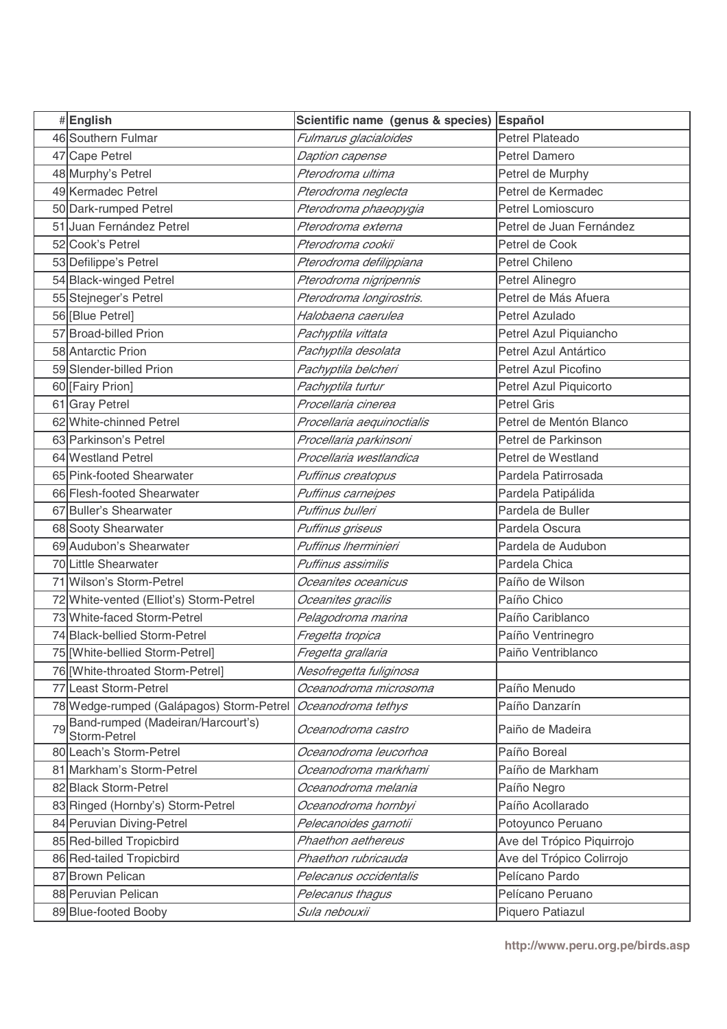|    | #English                                          | Scientific name (genus & species) Español |                            |
|----|---------------------------------------------------|-------------------------------------------|----------------------------|
|    | 46 Southern Fulmar                                | Fulmarus glacialoides                     | <b>Petrel Plateado</b>     |
|    | 47 Cape Petrel                                    | Daption capense                           | <b>Petrel Damero</b>       |
|    | 48 Murphy's Petrel                                | Pterodroma ultima                         | Petrel de Murphy           |
|    | 49 Kermadec Petrel                                | Pterodroma neglecta                       | Petrel de Kermadec         |
|    | 50 Dark-rumped Petrel                             | Pterodroma phaeopygia                     | Petrel Lomioscuro          |
|    | 51 Juan Fernández Petrel                          | Pterodroma externa                        | Petrel de Juan Fernández   |
|    | 52 Cook's Petrel                                  | Pterodroma cookii                         | Petrel de Cook             |
|    | 53 Defilippe's Petrel                             | Pterodroma defilippiana                   | Petrel Chileno             |
|    | 54 Black-winged Petrel                            | Pterodroma nigripennis                    | Petrel Alinegro            |
|    | 55 Stejneger's Petrel                             | Pterodroma longirostris.                  | Petrel de Más Afuera       |
|    | 56 [Blue Petrel]                                  | Halobaena caerulea                        | Petrel Azulado             |
|    | 57 Broad-billed Prion                             | Pachyptila vittata                        | Petrel Azul Piquiancho     |
|    | 58 Antarctic Prion                                | Pachyptila desolata                       | Petrel Azul Antártico      |
|    | 59 Slender-billed Prion                           | Pachyptila belcheri                       | Petrel Azul Picofino       |
|    | 60 [Fairy Prion]                                  | Pachyptila turtur                         | Petrel Azul Piquicorto     |
|    | 61 Gray Petrel                                    | Procellaria cinerea                       | <b>Petrel Gris</b>         |
|    | 62 White-chinned Petrel                           | Procellaria aequinoctialis                | Petrel de Mentón Blanco    |
|    | 63 Parkinson's Petrel                             | Procellaria parkinsoni                    | Petrel de Parkinson        |
|    | 64 Westland Petrel                                | Procellaria westlandica                   | Petrel de Westland         |
|    | 65 Pink-footed Shearwater                         | Puffinus creatopus                        | Pardela Patirrosada        |
|    | 66 Flesh-footed Shearwater                        | Puffinus carneipes                        | Pardela Patipálida         |
|    | 67 Buller's Shearwater                            | Puffinus bulleri                          | Pardela de Buller          |
|    | 68 Sooty Shearwater                               | Puffinus griseus                          | Pardela Oscura             |
|    | 69 Audubon's Shearwater                           | Puffinus Iherminieri                      | Pardela de Audubon         |
|    | 70 Little Shearwater                              | Puffinus assimilis                        | Pardela Chica              |
|    | 71 Wilson's Storm-Petrel                          | Oceanites oceanicus                       | Paíño de Wilson            |
|    | 72 White-vented (Elliot's) Storm-Petrel           | Oceanites gracilis                        | Paíño Chico                |
|    | 73 White-faced Storm-Petrel                       | Pelagodroma marina                        | Paíño Cariblanco           |
|    | 74 Black-bellied Storm-Petrel                     | Fregetta tropica                          | Paíño Ventrinegro          |
|    | 75 [White-bellied Storm-Petrel]                   | Fregetta grallaria                        | Paiño Ventriblanco         |
|    | 76 [White-throated Storm-Petrel]                  | Nesofregetta fuliginosa                   |                            |
|    | 77 Least Storm-Petrel                             | Oceanodroma microsoma                     | Paíño Menudo               |
|    | 78 Wedge-rumped (Galápagos) Storm-Petrel          | Oceanodroma tethys                        | Paíño Danzarín             |
| 79 | Band-rumped (Madeiran/Harcourt's)<br>Storm-Petrel | Oceanodroma castro                        | Paiño de Madeira           |
|    | 80 Leach's Storm-Petrel                           | Oceanodroma leucorhoa                     | Paíño Boreal               |
|    | 81 Markham's Storm-Petrel                         | Oceanodroma markhami                      | Paíño de Markham           |
|    | 82 Black Storm-Petrel                             | Oceanodroma melania                       | Paíño Negro                |
|    | 83 Ringed (Hornby's) Storm-Petrel                 | Oceanodroma hornbyi                       | Paíño Acollarado           |
|    | 84 Peruvian Diving-Petrel                         | Pelecanoides garnotii                     | Potoyunco Peruano          |
|    | 85 Red-billed Tropicbird                          | Phaethon aethereus                        | Ave del Trópico Piquirrojo |
|    | 86 Red-tailed Tropicbird                          | Phaethon rubricauda                       | Ave del Trópico Colirrojo  |
|    | 87 Brown Pelican                                  | Pelecanus occidentalis                    | Pelícano Pardo             |
|    | 88 Peruvian Pelican                               | Pelecanus thagus                          | Pelícano Peruano           |
|    | 89 Blue-footed Booby                              | Sula nebouxii                             | Piquero Patiazul           |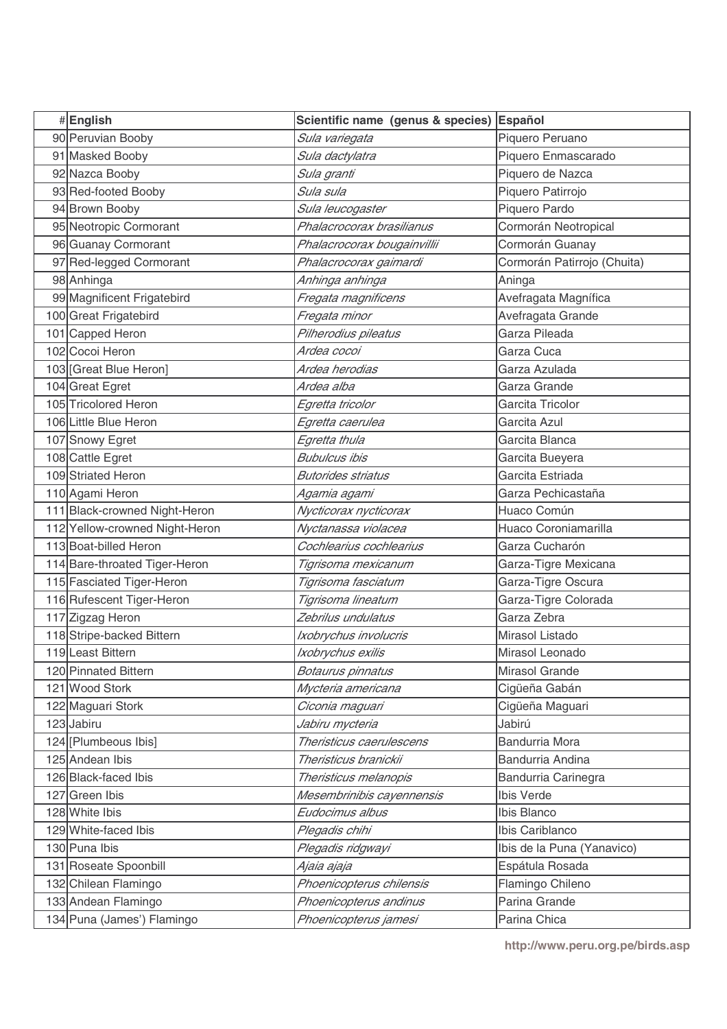| #English                       | Scientific name (genus & species) | Español                     |
|--------------------------------|-----------------------------------|-----------------------------|
| 90 Peruvian Booby              | Sula variegata                    | Piquero Peruano             |
| 91 Masked Booby                | Sula dactylatra                   | Piquero Enmascarado         |
| 92 Nazca Booby                 | Sula granti                       | Piquero de Nazca            |
| 93 Red-footed Booby            | Sula sula                         | Piquero Patirrojo           |
| 94 Brown Booby                 | Sula leucogaster                  | Piquero Pardo               |
| 95 Neotropic Cormorant         | Phalacrocorax brasilianus         | Cormorán Neotropical        |
| 96 Guanay Cormorant            | Phalacrocorax bougainvillii       | Cormorán Guanay             |
| 97 Red-legged Cormorant        | Phalacrocorax gaimardi            | Cormorán Patirrojo (Chuita) |
| 98 Anhinga                     | Anhinga anhinga                   | Aninga                      |
| 99 Magnificent Frigatebird     | Fregata magnificens               | Avefragata Magnífica        |
| 100 Great Frigatebird          | Fregata minor                     | Avefragata Grande           |
| 101 Capped Heron               | Pilherodius pileatus              | Garza Pileada               |
| 102 Cocoi Heron                | Ardea cocoi                       | Garza Cuca                  |
| 103 Great Blue Heron]          | Ardea herodias                    | Garza Azulada               |
| 104 Great Egret                | Ardea alba                        | Garza Grande                |
| 105 Tricolored Heron           | Egretta tricolor                  | Garcita Tricolor            |
| 106 Little Blue Heron          | Egretta caerulea                  | Garcita Azul                |
| 107 Snowy Egret                | Egretta thula                     | Garcita Blanca              |
| 108 Cattle Egret               | Bubulcus ibis                     | Garcita Bueyera             |
| 109 Striated Heron             | <b>Butorides striatus</b>         | Garcita Estriada            |
| 110 Agami Heron                | Agamia agami                      | Garza Pechicastaña          |
| 111 Black-crowned Night-Heron  | Nycticorax nycticorax             | Huaco Común                 |
| 112 Yellow-crowned Night-Heron | Nyctanassa violacea               | Huaco Coroniamarilla        |
| 113 Boat-billed Heron          | Cochlearius cochlearius           | Garza Cucharón              |
| 114 Bare-throated Tiger-Heron  | Tigrisoma mexicanum               | Garza-Tigre Mexicana        |
| 115 Fasciated Tiger-Heron      | Tigrisoma fasciatum               | Garza-Tigre Oscura          |
| 116 Rufescent Tiger-Heron      | Tigrisoma lineatum                | Garza-Tigre Colorada        |
| 117 Zigzag Heron               | Zebrilus undulatus                | Garza Zebra                 |
| 118 Stripe-backed Bittern      | Ixobrychus involucris             | Mirasol Listado             |
| 119 Least Bittern              | Ixobrychus exilis                 | Mirasol Leonado             |
| 120 Pinnated Bittern           | Botaurus pinnatus                 | Mirasol Grande              |
| 121 Wood Stork                 | Mycteria americana                | Cigüeña Gabán               |
| 122 Maguari Stork              | Ciconia maguari                   | Cigüeña Maguari             |
| 123 Jabiru                     | Jabiru mycteria                   | Jabirú                      |
| 124 [Plumbeous Ibis]           | Theristicus caerulescens          | <b>Bandurria Mora</b>       |
| 125 Andean Ibis                | Theristicus branickii             | Bandurria Andina            |
| 126 Black-faced Ibis           | Theristicus melanopis             | Bandurria Carinegra         |
| 127 Green Ibis                 | Mesembrinibis cayennensis         | Ibis Verde                  |
| 128 White Ibis                 | Eudocimus albus                   | Ibis Blanco                 |
| 129 White-faced Ibis           | Plegadis chihi                    | Ibis Cariblanco             |
| 130 Puna Ibis                  | Plegadis ridgwayi                 | Ibis de la Puna (Yanavico)  |
| 131 Roseate Spoonbill          | Ajaia ajaja                       | Espátula Rosada             |
| 132 Chilean Flamingo           | Phoenicopterus chilensis          | Flamingo Chileno            |
| 133 Andean Flamingo            | Phoenicopterus andinus            | Parina Grande               |
| 134 Puna (James') Flamingo     | Phoenicopterus jamesi             | Parina Chica                |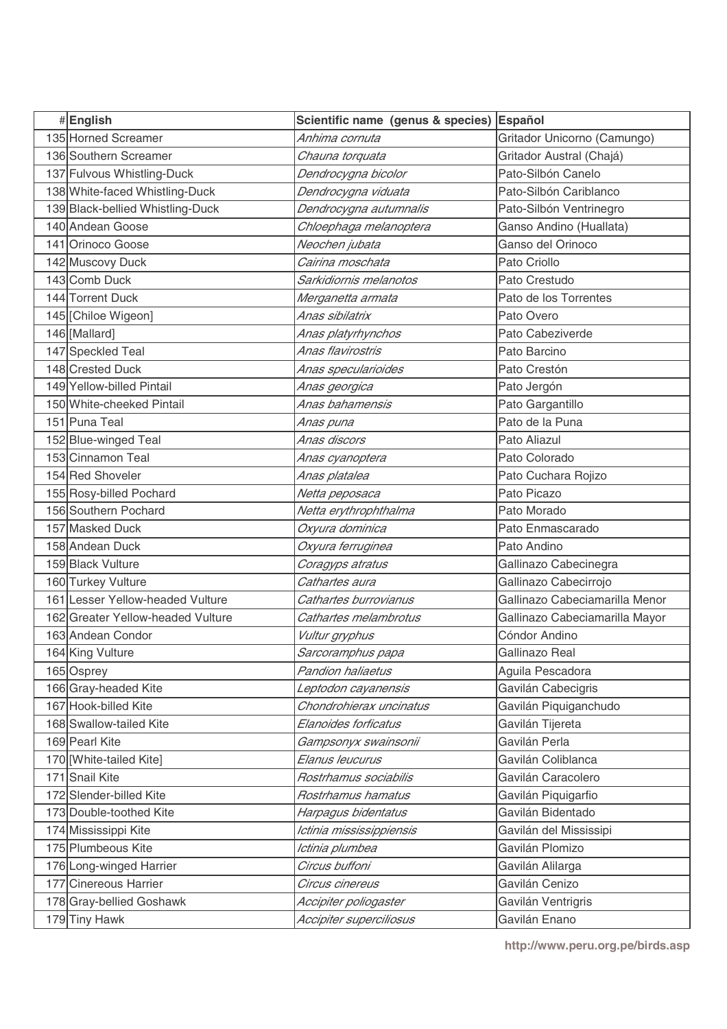| #English                          | Scientific name (genus & species) | Español                        |
|-----------------------------------|-----------------------------------|--------------------------------|
| 135 Horned Screamer               | Anhima cornuta                    | Gritador Unicorno (Camungo)    |
| 136 Southern Screamer             | Chauna torquata                   | Gritador Austral (Chajá)       |
| 137 Fulvous Whistling-Duck        | Dendrocygna bicolor               | Pato-Silbón Canelo             |
| 138 White-faced Whistling-Duck    | Dendrocygna viduata               | Pato-Silbón Cariblanco         |
| 139 Black-bellied Whistling-Duck  | Dendrocygna autumnalis            | Pato-Silbón Ventrinegro        |
| 140 Andean Goose                  | Chloephaga melanoptera            | Ganso Andino (Huallata)        |
| 141 Orinoco Goose                 | Neochen jubata                    | Ganso del Orinoco              |
| 142 Muscovy Duck                  | Cairina moschata                  | Pato Criollo                   |
| 143 Comb Duck                     | Sarkidiornis melanotos            | Pato Crestudo                  |
| 144 Torrent Duck                  | Merganetta armata                 | Pato de los Torrentes          |
| 145 [Chiloe Wigeon]               | Anas sibilatrix                   | Pato Overo                     |
| 146 [Mallard]                     | Anas platyrhynchos                | Pato Cabeziverde               |
| 147 Speckled Teal                 | Anas flavirostris                 | Pato Barcino                   |
| 148 Crested Duck                  | Anas specularioides               | Pato Crestón                   |
| 149 Yellow-billed Pintail         | Anas georgica                     | Pato Jergón                    |
| 150 White-cheeked Pintail         | Anas bahamensis                   | Pato Gargantillo               |
| 151 Puna Teal                     | Anas puna                         | Pato de la Puna                |
| 152 Blue-winged Teal              | Anas discors                      | Pato Aliazul                   |
| 153 Cinnamon Teal                 | Anas cyanoptera                   | Pato Colorado                  |
| 154 Red Shoveler                  | Anas platalea                     | Pato Cuchara Rojizo            |
| 155 Rosy-billed Pochard           | Netta peposaca                    | Pato Picazo                    |
| 156 Southern Pochard              | Netta erythrophthalma             | Pato Morado                    |
| 157 Masked Duck                   | Oxyura dominica                   | Pato Enmascarado               |
| 158 Andean Duck                   | Oxyura ferruginea                 | Pato Andino                    |
| 159 Black Vulture                 | Coragyps atratus                  | Gallinazo Cabecinegra          |
| 160 Turkey Vulture                | Cathartes aura                    | Gallinazo Cabecirrojo          |
| 161 Lesser Yellow-headed Vulture  | Cathartes burrovianus             | Gallinazo Cabeciamarilla Menor |
| 162 Greater Yellow-headed Vulture | Cathartes melambrotus             | Gallinazo Cabeciamarilla Mayor |
| 163 Andean Condor                 | Vultur gryphus                    | Cóndor Andino                  |
| 164 King Vulture                  | Sarcoramphus papa                 | Gallinazo Real                 |
| 165 Osprey                        | Pandion haliaetus                 | Aguila Pescadora               |
| 166 Gray-headed Kite              | Leptodon cayanensis               | Gavilán Cabecigris             |
| 167 Hook-billed Kite              | Chondrohierax uncinatus           | Gavilán Piquiganchudo          |
| 168 Swallow-tailed Kite           | Elanoides forficatus              | Gavilán Tijereta               |
| 169 Pearl Kite                    | Gampsonyx swainsonii              | Gavilán Perla                  |
| 170   White-tailed Kite]          | Elanus leucurus                   | Gavilán Coliblanca             |
| 171 Snail Kite                    | Rostrhamus sociabilis             | Gavilán Caracolero             |
| 172 Slender-billed Kite           | Rostrhamus hamatus                | Gavilán Piquigarfio            |
| 173 Double-toothed Kite           | Harpagus bidentatus               | Gavilán Bidentado              |
| 174 Mississippi Kite              | Ictinia mississippiensis          | Gavilán del Mississipi         |
| 175 Plumbeous Kite                | Ictinia plumbea                   | Gavilán Plomizo                |
| 176 Long-winged Harrier           | Circus buffoni                    | Gavilán Alilarga               |
| 177 Cinereous Harrier             | Circus cinereus                   | Gavilán Cenizo                 |
| 178 Gray-bellied Goshawk          | Accipiter poliogaster             | Gavilán Ventrigris             |
| 179 Tiny Hawk                     | Accipiter superciliosus           | Gavilán Enano                  |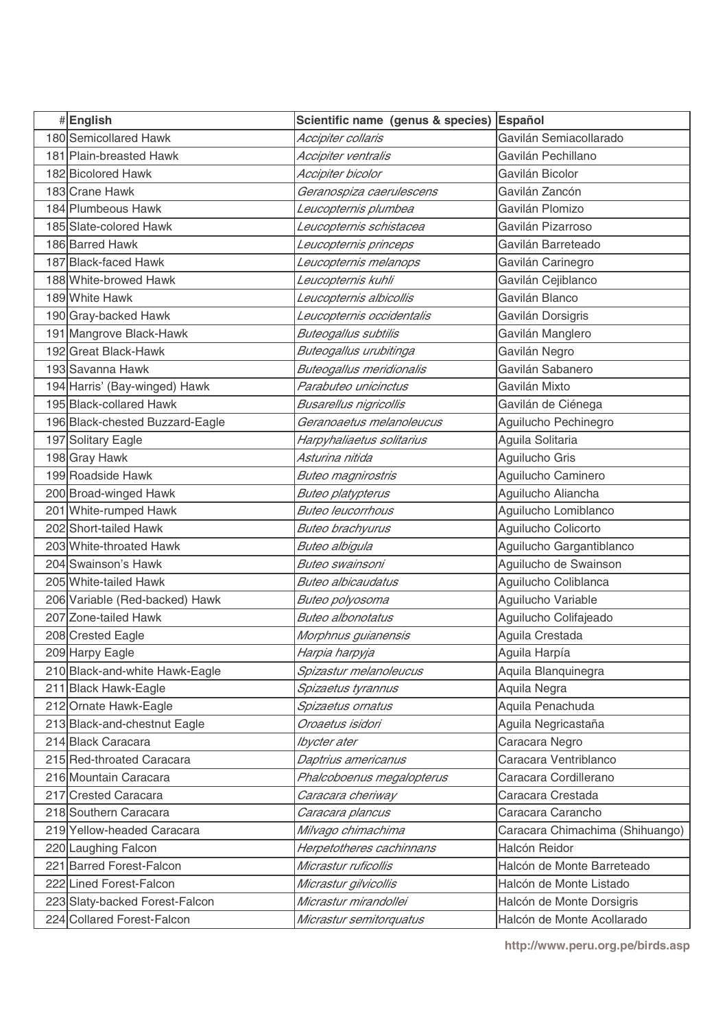| #English                        | Scientific name (genus & species) | <b>Español</b>                  |
|---------------------------------|-----------------------------------|---------------------------------|
| 180 Semicollared Hawk           | Accipiter collaris                | Gavilán Semiacollarado          |
| 181 Plain-breasted Hawk         | Accipiter ventralis               | Gavilán Pechillano              |
| 182 Bicolored Hawk              | Accipiter bicolor                 | Gavilán Bicolor                 |
| 183 Crane Hawk                  | Geranospiza caerulescens          | Gavilán Zancón                  |
| 184 Plumbeous Hawk              | Leucopternis plumbea              | Gavilán Plomizo                 |
| 185 Slate-colored Hawk          | Leucopternis schistacea           | Gavilán Pizarroso               |
| 186 Barred Hawk                 | Leucopternis princeps             | Gavilán Barreteado              |
| 187 Black-faced Hawk            | Leucopternis melanops             | Gavilán Carinegro               |
| 188 White-browed Hawk           | Leucopternis kuhli                | Gavilán Cejiblanco              |
| 189 White Hawk                  | Leucopternis albicollis           | Gavilán Blanco                  |
| 190 Gray-backed Hawk            | Leucopternis occidentalis         | Gavilán Dorsigris               |
| 191 Mangrove Black-Hawk         | Buteogallus subtilis              | Gavilán Manglero                |
| 192 Great Black-Hawk            | Buteogallus urubitinga            | Gavilán Negro                   |
| 193 Savanna Hawk                | <b>Buteogallus meridionalis</b>   | Gavilán Sabanero                |
| 194 Harris' (Bay-winged) Hawk   | Parabuteo unicinctus              | Gavilán Mixto                   |
| 195 Black-collared Hawk         | Busarellus nigricollis            | Gavilán de Ciénega              |
| 196 Black-chested Buzzard-Eagle | Geranoaetus melanoleucus          | Aguilucho Pechinegro            |
| 197 Solitary Eagle              | Harpyhaliaetus solitarius         | Aguila Solitaria                |
| 198 Gray Hawk                   | Asturina nitida                   | Aguilucho Gris                  |
| 199 Roadside Hawk               | <b>Buteo magnirostris</b>         | Aguilucho Caminero              |
| 200 Broad-winged Hawk           | Buteo platypterus                 | Aguilucho Aliancha              |
| 201 White-rumped Hawk           | <b>Buteo leucorrhous</b>          | Aguilucho Lomiblanco            |
| 202 Short-tailed Hawk           | Buteo brachyurus                  | Aguilucho Colicorto             |
| 203 White-throated Hawk         | Buteo albigula                    | Aguilucho Gargantiblanco        |
| 204 Swainson's Hawk             | Buteo swainsoni                   | Aguilucho de Swainson           |
| 205 White-tailed Hawk           | <b>Buteo albicaudatus</b>         | Aguilucho Coliblanca            |
| 206 Variable (Red-backed) Hawk  | Buteo polyosoma                   | Aguilucho Variable              |
| 207 Zone-tailed Hawk            | <b>Buteo albonotatus</b>          | Aguilucho Colifajeado           |
| 208 Crested Eagle               | Morphnus guianensis               | Aguila Crestada                 |
| 209 Harpy Eagle                 | Harpia harpyja                    | Aguila Harpía                   |
| 210 Black-and-white Hawk-Eagle  | Spizastur melanoleucus            | Aquila Blanquinegra             |
| 211 Black Hawk-Eagle            | Spizaetus tyrannus                | Aquila Negra                    |
| 212 Ornate Hawk-Eagle           | Spizaetus ornatus                 | Aquila Penachuda                |
| 213 Black-and-chestnut Eagle    | Oroaetus isidori                  | Aguila Negricastaña             |
| 214 Black Caracara              | Ibycter ater                      | Caracara Negro                  |
| 215 Red-throated Caracara       | Daptrius americanus               | Caracara Ventriblanco           |
| 216 Mountain Caracara           | Phalcoboenus megalopterus         | Caracara Cordillerano           |
| 217 Crested Caracara            | Caracara cheriway                 | Caracara Crestada               |
| 218 Southern Caracara           | Caracara plancus                  | Caracara Carancho               |
| 219 Yellow-headed Caracara      | Milvago chimachima                | Caracara Chimachima (Shihuango) |
| 220 Laughing Falcon             | Herpetotheres cachinnans          | Halcón Reidor                   |
| 221 Barred Forest-Falcon        | Micrastur ruficollis              | Halcón de Monte Barreteado      |
| 222 Lined Forest-Falcon         | Micrastur gilvicollis             | Halcón de Monte Listado         |
| 223 Slaty-backed Forest-Falcon  | Micrastur mirandollei             | Halcón de Monte Dorsigris       |
| 224 Collared Forest-Falcon      | Micrastur semitorquatus           | Halcón de Monte Acollarado      |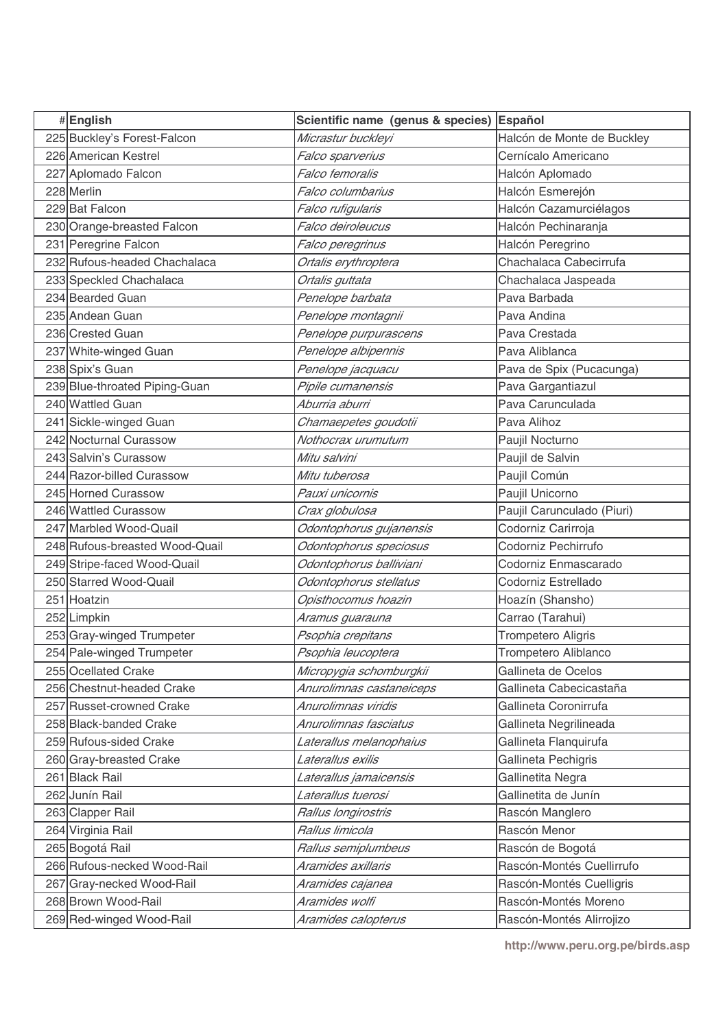| #English                       | Scientific name (genus & species) | Español                     |
|--------------------------------|-----------------------------------|-----------------------------|
| 225 Buckley's Forest-Falcon    | Micrastur buckleyi                | Halcón de Monte de Buckley  |
| 226 American Kestrel           | Falco sparverius                  | Cernícalo Americano         |
| 227 Aplomado Falcon            | Falco femoralis                   | Halcón Aplomado             |
| 228 Merlin                     | Falco columbarius                 | Halcón Esmerejón            |
| 229 Bat Falcon                 | Falco rufigularis                 | Halcón Cazamurciélagos      |
| 230 Orange-breasted Falcon     | Falco deiroleucus                 | Halcón Pechinaranja         |
| 231 Peregrine Falcon           | Falco peregrinus                  | Halcón Peregrino            |
| 232 Rufous-headed Chachalaca   | Ortalis erythroptera              | Chachalaca Cabecirrufa      |
| 233 Speckled Chachalaca        | Ortalis guttata                   | Chachalaca Jaspeada         |
| 234 Bearded Guan               | Penelope barbata                  | Pava Barbada                |
| 235 Andean Guan                | Penelope montagnii                | Pava Andina                 |
| 236 Crested Guan               | Penelope purpurascens             | Pava Crestada               |
| 237 White-winged Guan          | Penelope albipennis               | Pava Aliblanca              |
| 238 Spix's Guan                | Penelope jacquacu                 | Pava de Spix (Pucacunga)    |
| 239 Blue-throated Piping-Guan  | Pipile cumanensis                 | Pava Gargantiazul           |
| 240 Wattled Guan               | Aburria aburri                    | Pava Carunculada            |
| 241 Sickle-winged Guan         | Chamaepetes goudotii              | Pava Alihoz                 |
| 242 Nocturnal Curassow         | Nothocrax urumutum                | Paujil Nocturno             |
| 243 Salvin's Curassow          | Mitu salvini                      | Paujil de Salvin            |
| 244 Razor-billed Curassow      | Mitu tuberosa                     | Paujil Común                |
| 245 Horned Curassow            | Pauxi unicornis                   | Paujil Unicorno             |
| 246 Wattled Curassow           | Crax globulosa                    | Paujil Carunculado (Piuri)  |
| 247 Marbled Wood-Quail         | Odontophorus gujanensis           | Codorniz Carirroja          |
| 248 Rufous-breasted Wood-Quail | Odontophorus speciosus            | Codorniz Pechirrufo         |
| 249 Stripe-faced Wood-Quail    | Odontophorus balliviani           | Codorniz Enmascarado        |
| 250 Starred Wood-Quail         | Odontophorus stellatus            | Codorniz Estrellado         |
| 251 Hoatzin                    | Opisthocomus hoazin               | Hoazín (Shansho)            |
| 252 Limpkin                    | Aramus guarauna                   | Carrao (Tarahui)            |
| 253 Gray-winged Trumpeter      | Psophia crepitans                 | <b>Trompetero Aligris</b>   |
| 254 Pale-winged Trumpeter      | Psophia leucoptera                | <b>Trompetero Aliblanco</b> |
| 255 Ocellated Crake            | Micropygia schomburgkii           | Gallineta de Ocelos         |
| 256 Chestnut-headed Crake      | Anurolimnas castaneiceps          | Gallineta Cabecicastaña     |
| 257 Russet-crowned Crake       | Anurolimnas viridis               | Gallineta Coronirrufa       |
| 258 Black-banded Crake         | Anurolimnas fasciatus             | Gallineta Negrilineada      |
| 259 Rufous-sided Crake         | Laterallus melanophaius           | Gallineta Flanquirufa       |
| 260 Gray-breasted Crake        | Laterallus exilis                 | Gallineta Pechigris         |
| 261 Black Rail                 | Laterallus jamaicensis            | Gallinetita Negra           |
| 262 Junín Rail                 | Laterallus tuerosi                | Gallinetita de Junín        |
| 263 Clapper Rail               | Rallus longirostris               | Rascón Manglero             |
| 264 Virginia Rail              | Rallus limicola                   | Rascón Menor                |
| 265 Bogotá Rail                | Rallus semiplumbeus               | Rascón de Bogotá            |
| 266 Rufous-necked Wood-Rail    | Aramides axillaris                | Rascón-Montés Cuellirrufo   |
| 267 Gray-necked Wood-Rail      | Aramides cajanea                  | Rascón-Montés Cuelligris    |
| 268 Brown Wood-Rail            | Aramides wolfi                    | Rascón-Montés Moreno        |
| 269 Red-winged Wood-Rail       | Aramides calopterus               | Rascón-Montés Alirrojizo    |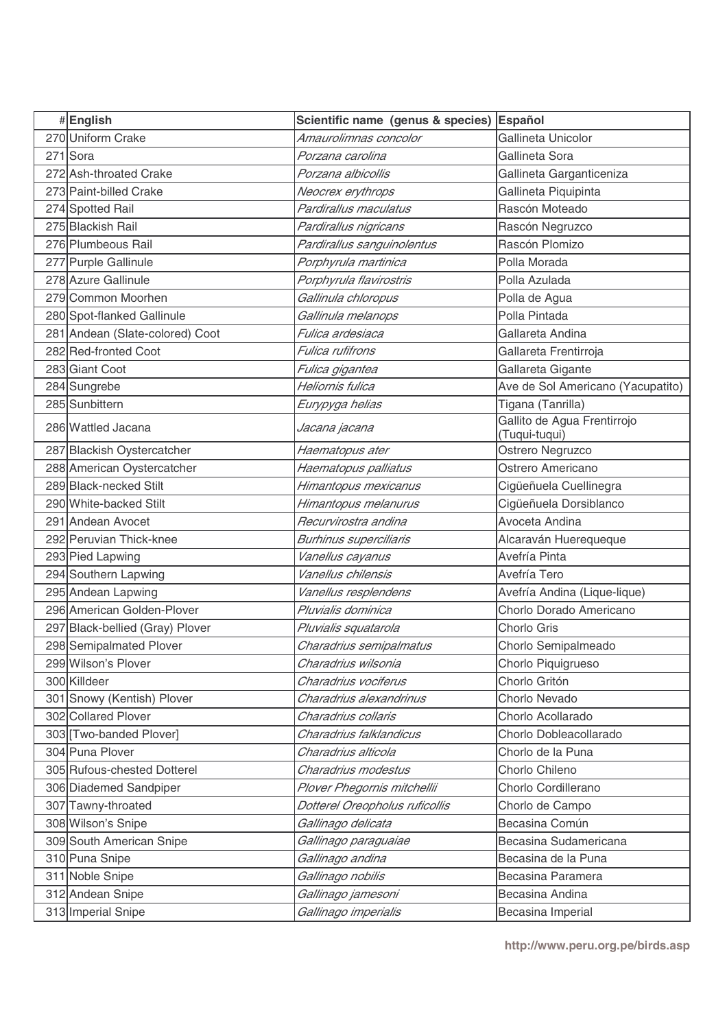| #English                        | Scientific name (genus & species) | <b>Español</b>                               |
|---------------------------------|-----------------------------------|----------------------------------------------|
| 270 Uniform Crake               | Amaurolimnas concolor             | Gallineta Unicolor                           |
| 271 Sora                        | Porzana carolina                  | Gallineta Sora                               |
| 272 Ash-throated Crake          | Porzana albicollis                | Gallineta Garganticeniza                     |
| 273 Paint-billed Crake          | Neocrex erythrops                 | Gallineta Piquipinta                         |
| 274 Spotted Rail                | Pardirallus maculatus             | Rascón Moteado                               |
| 275 Blackish Rail               | Pardirallus nigricans             | Rascón Negruzco                              |
| 276 Plumbeous Rail              | Pardirallus sanguinolentus        | Rascón Plomizo                               |
| 277 Purple Gallinule            | Porphyrula martinica              | Polla Morada                                 |
| 278 Azure Gallinule             | Porphyrula flavirostris           | Polla Azulada                                |
| 279 Common Moorhen              | Gallinula chloropus               | Polla de Agua                                |
| 280 Spot-flanked Gallinule      | Gallinula melanops                | Polla Pintada                                |
| 281 Andean (Slate-colored) Coot | Fulica ardesiaca                  | Gallareta Andina                             |
| 282 Red-fronted Coot            | Fulica rufifrons                  | Gallareta Frentirroja                        |
| 283 Giant Coot                  | Fulica gigantea                   | Gallareta Gigante                            |
| 284 Sungrebe                    | Heliornis fulica                  | Ave de Sol Americano (Yacupatito)            |
| 285 Sunbittern                  | Eurypyga helias                   | Tigana (Tanrilla)                            |
| 286 Wattled Jacana              | Jacana jacana                     | Gallito de Agua Frentirrojo<br>(Tuqui-tuqui) |
| 287 Blackish Oystercatcher      | Haematopus ater                   | Ostrero Negruzco                             |
| 288 American Oystercatcher      | Haematopus palliatus              | Ostrero Americano                            |
| 289 Black-necked Stilt          | Himantopus mexicanus              | Cigüeñuela Cuellinegra                       |
| 290 White-backed Stilt          | Himantopus melanurus              | Cigüeñuela Dorsiblanco                       |
| 291 Andean Avocet               | Recurvirostra andina              | Avoceta Andina                               |
| 292 Peruvian Thick-knee         | <b>Burhinus superciliaris</b>     | Alcaraván Huerequeque                        |
| 293 Pied Lapwing                | Vanellus cayanus                  | Avefría Pinta                                |
| 294 Southern Lapwing            | Vanellus chilensis                | Avefría Tero                                 |
| 295 Andean Lapwing              | Vanellus resplendens              | Avefría Andina (Lique-lique)                 |
| 296 American Golden-Plover      | Pluvialis dominica                | Chorlo Dorado Americano                      |
| 297 Black-bellied (Gray) Plover | Pluvialis squatarola              | Chorlo Gris                                  |
| 298 Semipalmated Plover         | Charadrius semipalmatus           | Chorlo Semipalmeado                          |
| 299 Wilson's Plover             | Charadrius wilsonia               | Chorlo Piquigrueso                           |
| 300 Killdeer                    | Charadrius vociferus              | Chorlo Gritón                                |
| 301 Snowy (Kentish) Plover      | Charadrius alexandrinus           | Chorlo Nevado                                |
| 302 Collared Plover             | Charadrius collaris               | Chorlo Acollarado                            |
| 303 [Two-banded Plover]         | Charadrius falklandicus           | Chorlo Dobleacollarado                       |
| 304 Puna Plover                 | Charadrius alticola               | Chorlo de la Puna                            |
| 305 Rufous-chested Dotterel     | Charadrius modestus               | Chorlo Chileno                               |
| 306 Diademed Sandpiper          | Plover Phegornis mitchellii       | Chorlo Cordillerano                          |
| 307 Tawny-throated              | Dotterel Oreopholus ruficollis    | Chorlo de Campo                              |
| 308 Wilson's Snipe              | Gallinago delicata                | Becasina Común                               |
| 309 South American Snipe        | Gallinago paraguaiae              | Becasina Sudamericana                        |
| 310 Puna Snipe                  | Gallinago andina                  | Becasina de la Puna                          |
| 311 Noble Snipe                 | Gallinago nobilis                 | Becasina Paramera                            |
| 312 Andean Snipe                | Gallinago jamesoni                | Becasina Andina                              |
| 313 Imperial Snipe              | Gallinago imperialis              | Becasina Imperial                            |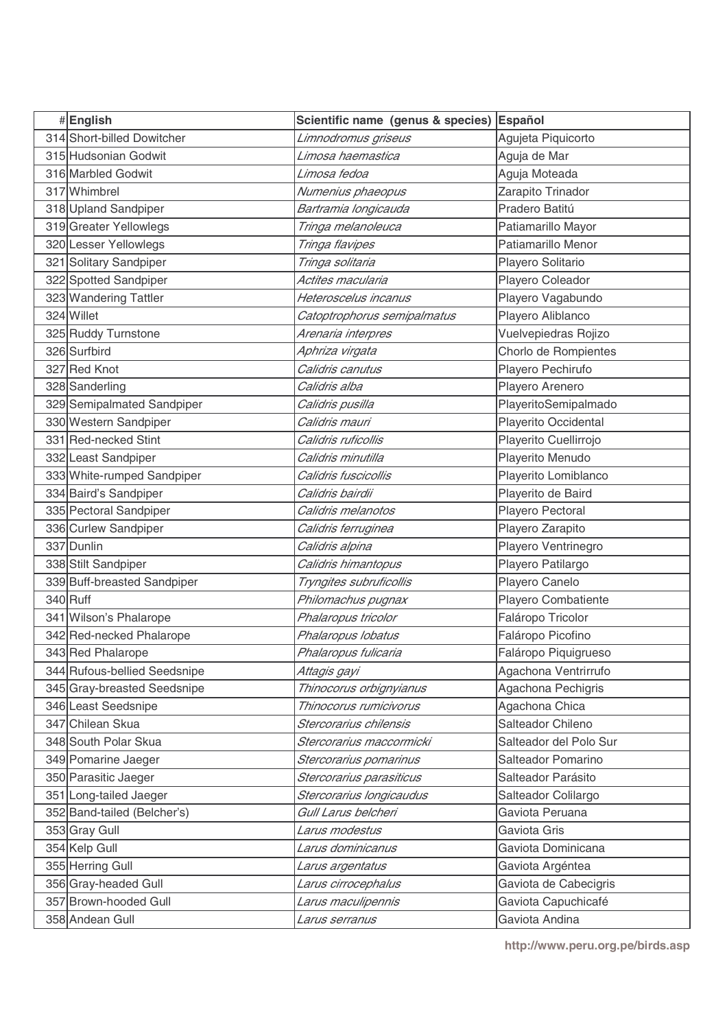| #English                     | Scientific name (genus & species) Español |                        |
|------------------------------|-------------------------------------------|------------------------|
| 314 Short-billed Dowitcher   | Limnodromus griseus                       | Agujeta Piquicorto     |
| 315 Hudsonian Godwit         | Limosa haemastica                         | Aguja de Mar           |
| 316 Marbled Godwit           | Limosa fedoa                              | Aguja Moteada          |
| 317 Whimbrel                 | Numenius phaeopus                         | Zarapito Trinador      |
| 318 Upland Sandpiper         | Bartramia longicauda                      | Pradero Batitú         |
| 319 Greater Yellowlegs       | Tringa melanoleuca                        | Patiamarillo Mayor     |
| 320 Lesser Yellowlegs        | Tringa flavipes                           | Patiamarillo Menor     |
| 321 Solitary Sandpiper       | Tringa solitaria                          | Playero Solitario      |
| 322 Spotted Sandpiper        | Actites macularia                         | Playero Coleador       |
| 323 Wandering Tattler        | Heteroscelus incanus                      | Playero Vagabundo      |
| 324 Willet                   | Catoptrophorus semipalmatus               | Playero Aliblanco      |
| 325 Ruddy Turnstone          | Arenaria interpres                        | Vuelvepiedras Rojizo   |
| 326 Surfbird                 | Aphriza virgata                           | Chorlo de Rompientes   |
| 327 Red Knot                 | Calidris canutus                          | Playero Pechirufo      |
| 328 Sanderling               | Calidris alba                             | Playero Arenero        |
| 329 Semipalmated Sandpiper   | Calidris pusilla                          | PlayeritoSemipalmado   |
| 330 Western Sandpiper        | Calidris mauri                            | Playerito Occidental   |
| 331 Red-necked Stint         | Calidris ruficollis                       | Playerito Cuellirrojo  |
| 332 Least Sandpiper          | Calidris minutilla                        | Playerito Menudo       |
| 333 White-rumped Sandpiper   | Calidris fuscicollis                      | Playerito Lomiblanco   |
| 334 Baird's Sandpiper        | Calidris bairdii                          | Playerito de Baird     |
| 335 Pectoral Sandpiper       | Calidris melanotos                        | Playero Pectoral       |
| 336 Curlew Sandpiper         | Calidris ferruginea                       | Playero Zarapito       |
| 337 Dunlin                   | Calidris alpina                           | Playero Ventrinegro    |
| 338 Stilt Sandpiper          | Calidris himantopus                       | Playero Patilargo      |
| 339 Buff-breasted Sandpiper  | Tryngites subruficollis                   | Playero Canelo         |
| 340 Ruff                     | Philomachus pugnax                        | Playero Combatiente    |
| 341 Wilson's Phalarope       | Phalaropus tricolor                       | Faláropo Tricolor      |
| 342 Red-necked Phalarope     | Phalaropus lobatus                        | Faláropo Picofino      |
| 343 Red Phalarope            | Phalaropus fulicaria                      | Faláropo Piquigrueso   |
| 344 Rufous-bellied Seedsnipe | Attagis gayi                              | Agachona Ventrirrufo   |
| 345 Gray-breasted Seedsnipe  | Thinocorus orbignyianus                   | Agachona Pechigris     |
| 346 Least Seedsnipe          | Thinocorus rumicivorus                    | Agachona Chica         |
| 347 Chilean Skua             | Stercorarius chilensis                    | Salteador Chileno      |
| 348 South Polar Skua         | Stercorarius maccormicki                  | Salteador del Polo Sur |
| 349 Pomarine Jaeger          | Stercorarius pomarinus                    | Salteador Pomarino     |
| 350 Parasitic Jaeger         | Stercorarius parasiticus                  | Salteador Parásito     |
| 351 Long-tailed Jaeger       | Stercorarius longicaudus                  | Salteador Colilargo    |
| 352 Band-tailed (Belcher's)  | Gull Larus belcheri                       | Gaviota Peruana        |
| 353 Gray Gull                | Larus modestus                            | Gaviota Gris           |
| 354 Kelp Gull                | Larus dominicanus                         | Gaviota Dominicana     |
| 355 Herring Gull             | Larus argentatus                          | Gaviota Argéntea       |
| 356 Gray-headed Gull         | Larus cirrocephalus                       | Gaviota de Cabecigris  |
| 357 Brown-hooded Gull        | Larus maculipennis                        | Gaviota Capuchicafé    |
| 358 Andean Gull              | Larus serranus                            | Gaviota Andina         |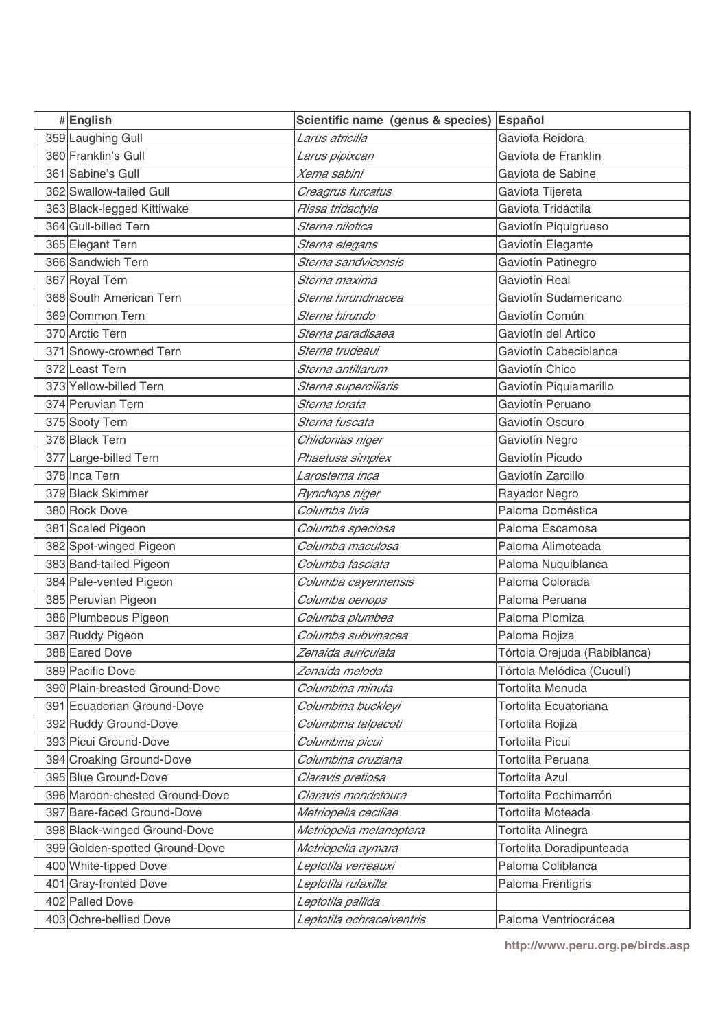| #English                       | Scientific name (genus & species) Español |                              |
|--------------------------------|-------------------------------------------|------------------------------|
| 359 Laughing Gull              | Larus atricilla                           | Gaviota Reidora              |
| 360 Franklin's Gull            | Larus pipixcan                            | Gaviota de Franklin          |
| 361 Sabine's Gull              | Xema sabini                               | Gaviota de Sabine            |
| 362 Swallow-tailed Gull        | Creagrus furcatus                         | Gaviota Tijereta             |
| 363 Black-legged Kittiwake     | Rissa tridactyla                          | Gaviota Tridáctila           |
| 364 Gull-billed Tern           | Sterna nilotica                           | Gaviotín Piquigrueso         |
| 365 Elegant Tern               | Sterna elegans                            | Gaviotín Elegante            |
| 366 Sandwich Tern              | Sterna sandvicensis                       | Gaviotín Patinegro           |
| 367 Royal Tern                 | Sterna maxima                             | Gaviotín Real                |
| 368 South American Tern        | Sterna hirundinacea                       | Gaviotín Sudamericano        |
| 369 Common Tern                | Sterna hirundo                            | Gaviotín Común               |
| 370 Arctic Tern                | Sterna paradisaea                         | Gaviotín del Artico          |
| 371 Snowy-crowned Tern         | Sterna trudeaui                           | Gaviotín Cabeciblanca        |
| 372 Least Tern                 | Sterna antillarum                         | Gaviotín Chico               |
| 373 Yellow-billed Tern         | Sterna superciliaris                      | Gaviotín Piquiamarillo       |
| 374 Peruvian Tern              | Sterna lorata                             | Gaviotín Peruano             |
| 375 Sooty Tern                 | Sterna fuscata                            | Gaviotín Oscuro              |
| 376 Black Tern                 | Chlidonias niger                          | Gaviotín Negro               |
| 377 Large-billed Tern          | Phaetusa simplex                          | Gaviotín Picudo              |
| 378 Inca Tern                  | Larosterna inca                           | Gaviotín Zarcillo            |
| 379 Black Skimmer              | Rynchops niger                            | Rayador Negro                |
| 380 Rock Dove                  | Columba livia                             | Paloma Doméstica             |
| 381 Scaled Pigeon              | Columba speciosa                          | Paloma Escamosa              |
| 382 Spot-winged Pigeon         | Columba maculosa                          | Paloma Alimoteada            |
| 383 Band-tailed Pigeon         | Columba fasciata                          | Paloma Nuquiblanca           |
| 384 Pale-vented Pigeon         | Columba cayennensis                       | Paloma Colorada              |
| 385 Peruvian Pigeon            | Columba oenops                            | Paloma Peruana               |
| 386 Plumbeous Pigeon           | Columba plumbea                           | Paloma Plomiza               |
| 387 Ruddy Pigeon               | Columba subvinacea                        | Paloma Rojiza                |
| 388 Eared Dove                 | Zenaida auriculata                        | Tórtola Orejuda (Rabiblanca) |
| 389 Pacific Dove               | Zenaida meloda                            | Tórtola Melódica (Cuculí)    |
| 390 Plain-breasted Ground-Dove | Columbina minuta                          | Tortolita Menuda             |
| 391 Ecuadorian Ground-Dove     | Columbina buckleyi                        | Tortolita Ecuatoriana        |
| 392 Ruddy Ground-Dove          | Columbina talpacoti                       | Tortolita Rojiza             |
| 393 Picui Ground-Dove          | Columbina picui                           | <b>Tortolita Picui</b>       |
| 394 Croaking Ground-Dove       | Columbina cruziana                        | Tortolita Peruana            |
| 395 Blue Ground-Dove           | Claravis pretiosa                         | <b>Tortolita Azul</b>        |
| 396 Maroon-chested Ground-Dove | Claravis mondetoura                       | Tortolita Pechimarrón        |
| 397 Bare-faced Ground-Dove     | Metriopelia ceciliae                      | Tortolita Moteada            |
| 398 Black-winged Ground-Dove   | Metriopelia melanoptera                   | Tortolita Alinegra           |
| 399 Golden-spotted Ground-Dove | Metriopelia aymara                        | Tortolita Doradipunteada     |
| 400 White-tipped Dove          | Leptotila verreauxi                       | Paloma Coliblanca            |
| 401 Gray-fronted Dove          | Leptotila rufaxilla                       | Paloma Frentigris            |
| 402 Palled Dove                | Leptotila pallida                         |                              |
| 403 Ochre-bellied Dove         | Leptotila ochraceiventris                 | Paloma Ventriocrácea         |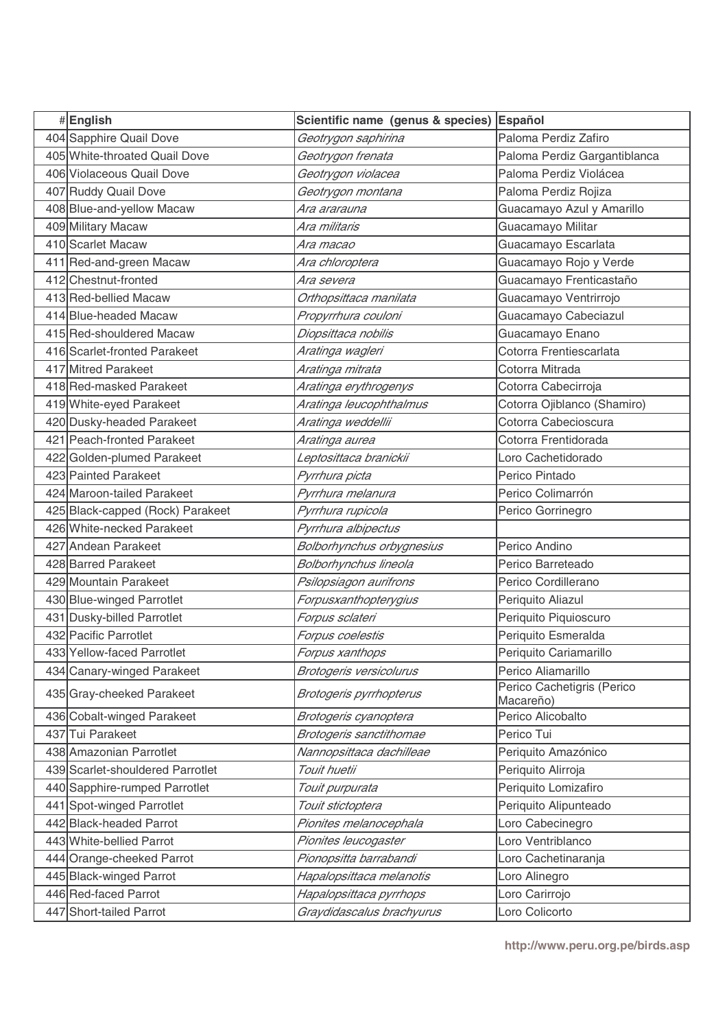| #English                         | Scientific name (genus & species) | Español                                 |
|----------------------------------|-----------------------------------|-----------------------------------------|
| 404 Sapphire Quail Dove          | Geotrygon saphirina               | Paloma Perdiz Zafiro                    |
| 405 White-throated Quail Dove    | Geotrygon frenata                 | Paloma Perdiz Gargantiblanca            |
| 406 Violaceous Quail Dove        | Geotrygon violacea                | Paloma Perdiz Violácea                  |
| 407 Ruddy Quail Dove             | Geotrygon montana                 | Paloma Perdiz Rojiza                    |
| 408 Blue-and-yellow Macaw        | Ara ararauna                      | Guacamayo Azul y Amarillo               |
| 409 Military Macaw               | Ara militaris                     | Guacamayo Militar                       |
| 410 Scarlet Macaw                | Ara macao                         | Guacamayo Escarlata                     |
| 411 Red-and-green Macaw          | Ara chloroptera                   | Guacamayo Rojo y Verde                  |
| 412 Chestnut-fronted             | Ara severa                        | Guacamayo Frenticastaño                 |
| 413 Red-bellied Macaw            | Orthopsittaca manilata            | Guacamayo Ventrirrojo                   |
| 414 Blue-headed Macaw            | Propyrrhura couloni               | Guacamayo Cabeciazul                    |
| 415 Red-shouldered Macaw         | Diopsittaca nobilis               | Guacamayo Enano                         |
| 416 Scarlet-fronted Parakeet     | Aratinga wagleri                  | Cotorra Frentiescarlata                 |
| 417 Mitred Parakeet              | Aratinga mitrata                  | Cotorra Mitrada                         |
| 418 Red-masked Parakeet          | Aratinga erythrogenys             | Cotorra Cabecirroja                     |
| 419 White-eyed Parakeet          | Aratinga leucophthalmus           | Cotorra Ojiblanco (Shamiro)             |
| 420 Dusky-headed Parakeet        | Aratinga weddellii                | Cotorra Cabecioscura                    |
| 421 Peach-fronted Parakeet       | Aratinga aurea                    | Cotorra Frentidorada                    |
| 422 Golden-plumed Parakeet       | Leptosittaca branickii            | Loro Cachetidorado                      |
| 423 Painted Parakeet             | Pyrrhura picta                    | Perico Pintado                          |
| 424 Maroon-tailed Parakeet       | Pyrrhura melanura                 | Perico Colimarrón                       |
| 425 Black-capped (Rock) Parakeet | Pyrrhura rupicola                 | Perico Gorrinegro                       |
| 426 White-necked Parakeet        | Pyrrhura albipectus               |                                         |
| 427 Andean Parakeet              | Bolborhynchus orbygnesius         | Perico Andino                           |
| 428 Barred Parakeet              | Bolborhynchus lineola             | Perico Barreteado                       |
| 429 Mountain Parakeet            | Psilopsiagon aurifrons            | Perico Cordillerano                     |
| 430 Blue-winged Parrotlet        | Forpusxanthopterygius             | Periquito Aliazul                       |
| 431 Dusky-billed Parrotlet       | Forpus sclateri                   | Periquito Piquioscuro                   |
| 432 Pacific Parrotlet            | Forpus coelestis                  | Periquito Esmeralda                     |
| 433 Yellow-faced Parrotlet       | Forpus xanthops                   | Periquito Cariamarillo                  |
| 434 Canary-winged Parakeet       | Brotogeris versicolurus           | Perico Aliamarillo                      |
| 435 Gray-cheeked Parakeet        | <b>Brotogeris pyrrhopterus</b>    | Perico Cachetigris (Perico<br>Macareño) |
| 436 Cobalt-winged Parakeet       | Brotogeris cyanoptera             | Perico Alicobalto                       |
| 437 Tui Parakeet                 | Brotogeris sanctithomae           | Perico Tui                              |
| 438 Amazonian Parrotlet          | Nannopsittaca dachilleae          | Periquito Amazónico                     |
| 439 Scarlet-shouldered Parrotlet | Touit huetii                      | Periquito Alirroja                      |
| 440 Sapphire-rumped Parrotlet    | Touit purpurata                   | Periquito Lomizafiro                    |
| 441 Spot-winged Parrotlet        | Touit stictoptera                 | Periquito Alipunteado                   |
| 442 Black-headed Parrot          | Pionites melanocephala            | Loro Cabecinegro                        |
| 443 White-bellied Parrot         | Pionites leucogaster              | Loro Ventriblanco                       |
| 444 Orange-cheeked Parrot        | Pionopsitta barrabandi            | Loro Cachetinaranja                     |
| 445 Black-winged Parrot          | Hapalopsittaca melanotis          | Loro Alinegro                           |
| 446 Red-faced Parrot             | Hapalopsittaca pyrrhops           | Loro Carirrojo                          |
| 447 Short-tailed Parrot          | Graydidascalus brachyurus         | Loro Colicorto                          |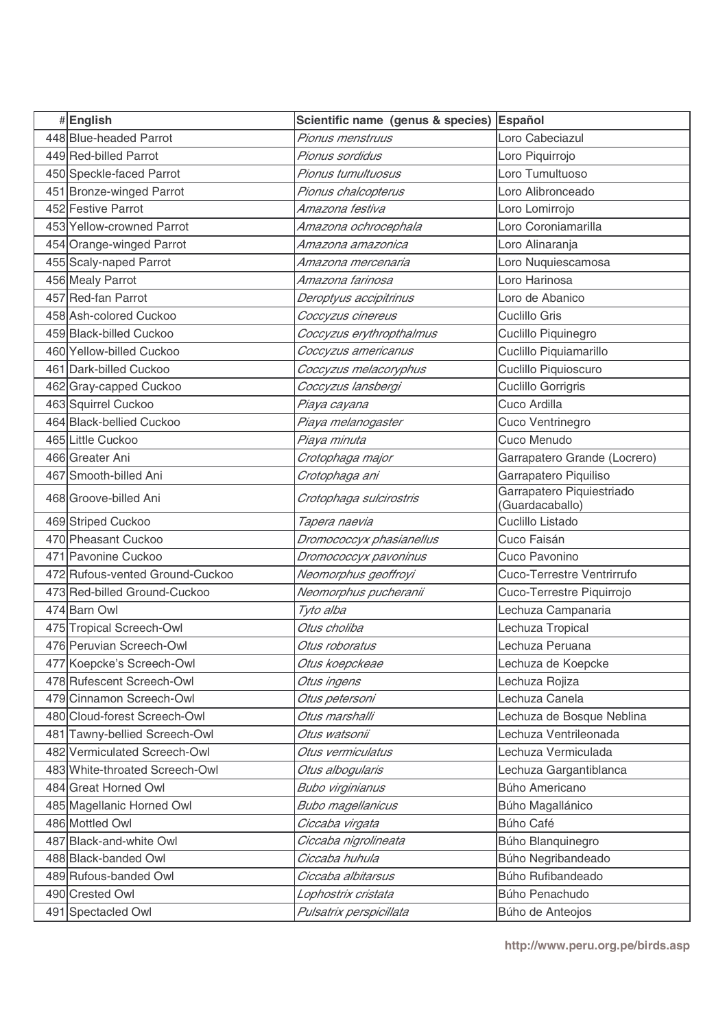| #English                        | Scientific name (genus & species) | Español                                      |
|---------------------------------|-----------------------------------|----------------------------------------------|
| 448 Blue-headed Parrot          | Pionus menstruus                  | Loro Cabeciazul                              |
| 449 Red-billed Parrot           | Pionus sordidus                   | Loro Piquirrojo                              |
| 450 Speckle-faced Parrot        | Pionus tumultuosus                | Loro Tumultuoso                              |
| 451 Bronze-winged Parrot        | Pionus chalcopterus               | Loro Alibronceado                            |
| 452 Festive Parrot              | Amazona festiva                   | Loro Lomirrojo                               |
| 453 Yellow-crowned Parrot       | Amazona ochrocephala              | Loro Coroniamarilla                          |
| 454 Orange-winged Parrot        | Amazona amazonica                 | Loro Alinaranja                              |
| 455 Scaly-naped Parrot          | Amazona mercenaria                | Loro Nuquiescamosa                           |
| 456 Mealy Parrot                | Amazona farinosa                  | Loro Harinosa                                |
| 457 Red-fan Parrot              | Deroptyus accipitrinus            | Loro de Abanico                              |
| 458 Ash-colored Cuckoo          | Coccyzus cinereus                 | Cuclillo Gris                                |
| 459 Black-billed Cuckoo         | Coccyzus erythropthalmus          | Cuclillo Piquinegro                          |
| 460 Yellow-billed Cuckoo        | Coccyzus americanus               | Cuclillo Piquiamarillo                       |
| 461 Dark-billed Cuckoo          | Coccyzus melacoryphus             | Cuclillo Piquioscuro                         |
| 462 Gray-capped Cuckoo          | Coccyzus lansbergi                | Cuclillo Gorrigris                           |
| 463 Squirrel Cuckoo             | Piaya cayana                      | Cuco Ardilla                                 |
| 464 Black-bellied Cuckoo        | Piaya melanogaster                | Cuco Ventrinegro                             |
| 465 Little Cuckoo               | Piaya minuta                      | Cuco Menudo                                  |
| 466 Greater Ani                 | Crotophaga major                  | Garrapatero Grande (Locrero)                 |
| 467 Smooth-billed Ani           | Crotophaga ani                    | Garrapatero Piquiliso                        |
| 468 Groove-billed Ani           | Crotophaga sulcirostris           | Garrapatero Piquiestriado<br>(Guardacaballo) |
| 469 Striped Cuckoo              | Tapera naevia                     | Cuclillo Listado                             |
| 470 Pheasant Cuckoo             | Dromococcyx phasianellus          | Cuco Faisán                                  |
| 471 Pavonine Cuckoo             | Dromococcyx pavoninus             | Cuco Pavonino                                |
| 472 Rufous-vented Ground-Cuckoo | Neomorphus geoffroyi              | Cuco-Terrestre Ventrirrufo                   |
| 473 Red-billed Ground-Cuckoo    | Neomorphus pucheranii             | Cuco-Terrestre Piquirrojo                    |
| 474 Barn Owl                    | Tyto alba                         | Lechuza Campanaria                           |
| 475 Tropical Screech-Owl        | Otus choliba                      | Lechuza Tropical                             |
| 476 Peruvian Screech-Owl        | Otus roboratus                    | Lechuza Peruana                              |
| 477 Koepcke's Screech-Owl       | Otus koepckeae                    | Lechuza de Koepcke                           |
| 478 Rufescent Screech-Owl       | Otus ingens                       | Lechuza Rojiza                               |
| 479 Cinnamon Screech-Owl        | Otus petersoni                    | Lechuza Canela                               |
| 480 Cloud-forest Screech-Owl    | Otus marshalli                    | Lechuza de Bosque Neblina                    |
| 481 Tawny-bellied Screech-Owl   | Otus watsonii                     | Lechuza Ventrileonada                        |
| 482 Vermiculated Screech-Owl    | Otus vermiculatus                 | Lechuza Vermiculada                          |
| 483 White-throated Screech-Owl  | Otus albogularis                  | Lechuza Gargantiblanca                       |
| 484 Great Horned Owl            | Bubo virginianus                  | Búho Americano                               |
| 485 Magellanic Horned Owl       | <b>Bubo magellanicus</b>          | Búho Magallánico                             |
| 486 Mottled Owl                 | Ciccaba virgata                   | Búho Café                                    |
| 487 Black-and-white Owl         | Ciccaba nigrolineata              | Búho Blanquinegro                            |
| 488 Black-banded Owl            | Ciccaba huhula                    | Búho Negribandeado                           |
| 489 Rufous-banded Owl           | Ciccaba albitarsus                | Búho Rufibandeado                            |
| 490 Crested Owl                 | Lophostrix cristata               | Búho Penachudo                               |
| 491 Spectacled Owl              | Pulsatrix perspicillata           | Búho de Anteojos                             |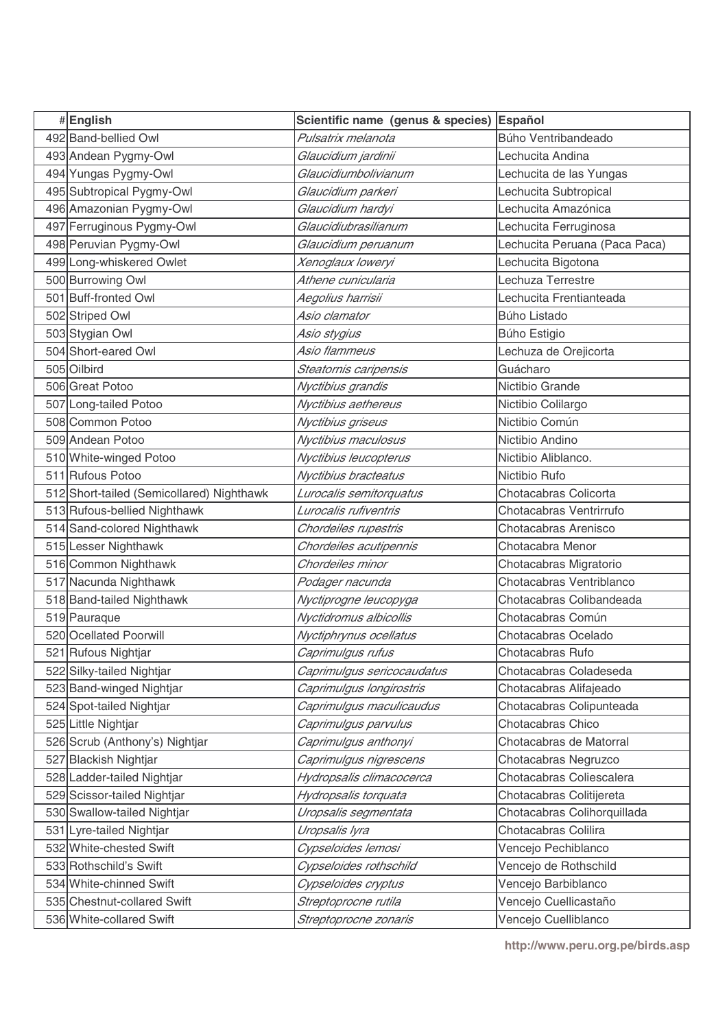| #English                                  | Scientific name (genus & species) | Español                       |
|-------------------------------------------|-----------------------------------|-------------------------------|
| 492 Band-bellied Owl                      | Pulsatrix melanota                | Búho Ventribandeado           |
| 493 Andean Pygmy-Owl                      | Glaucidium jardinii               | Lechucita Andina              |
| 494 Yungas Pygmy-Owl                      | Glaucidiumbolivianum              | Lechucita de las Yungas       |
| 495 Subtropical Pygmy-Owl                 | Glaucidium parkeri                | Lechucita Subtropical         |
| 496 Amazonian Pygmy-Owl                   | Glaucidium hardyi                 | Lechucita Amazónica           |
| 497 Ferruginous Pygmy-Owl                 | Glaucidiubrasilianum              | Lechucita Ferruginosa         |
| 498 Peruvian Pygmy-Owl                    | Glaucidium peruanum               | Lechucita Peruana (Paca Paca) |
| 499 Long-whiskered Owlet                  | Xenoglaux loweryi                 | Lechucita Bigotona            |
| 500 Burrowing Owl                         | Athene cunicularia                | Lechuza Terrestre             |
| 501 Buff-fronted Owl                      | Aegolius harrisii                 | Lechucita Frentianteada       |
| 502 Striped Owl                           | Asio clamator                     | Búho Listado                  |
| 503 Stygian Owl                           | Asio stygius                      | Búho Estigio                  |
| 504 Short-eared Owl                       | Asio flammeus                     | Lechuza de Orejicorta         |
| 505 Oilbird                               | Steatornis caripensis             | Guácharo                      |
| 506 Great Potoo                           | Nyctibius grandis                 | Nictibio Grande               |
| 507 Long-tailed Potoo                     | Nyctibius aethereus               | Nictibio Colilargo            |
| 508 Common Potoo                          | Nyctibius griseus                 | Nictibio Común                |
| 509 Andean Potoo                          | Nyctibius maculosus               | Nictibio Andino               |
| 510 White-winged Potoo                    | Nyctibius leucopterus             | Nictibio Aliblanco.           |
| 511 Rufous Potoo                          | Nyctibius bracteatus              | Nictibio Rufo                 |
| 512 Short-tailed (Semicollared) Nighthawk | Lurocalis semitorquatus           | Chotacabras Colicorta         |
| 513 Rufous-bellied Nighthawk              | Lurocalis rufiventris             | Chotacabras Ventrirrufo       |
| 514 Sand-colored Nighthawk                | Chordeiles rupestris              | Chotacabras Arenisco          |
| 515 Lesser Nighthawk                      | Chordeiles acutipennis            | Chotacabra Menor              |
| 516 Common Nighthawk                      | Chordeiles minor                  | Chotacabras Migratorio        |
| 517 Nacunda Nighthawk                     | Podager nacunda                   | Chotacabras Ventriblanco      |
| 518 Band-tailed Nighthawk                 | Nyctiprogne leucopyga             | Chotacabras Colibandeada      |
| 519 Pauraque                              | Nyctidromus albicollis            | Chotacabras Común             |
| 520 Ocellated Poorwill                    | Nyctiphrynus ocellatus            | Chotacabras Ocelado           |
| 521 Rufous Nightjar                       | Caprimulgus rufus                 | Chotacabras Rufo              |
| 522 Silky-tailed Nightjar                 | Caprimulgus sericocaudatus        | Chotacabras Coladeseda        |
| 523 Band-winged Nightjar                  | Caprimulgus longirostris          | Chotacabras Alifajeado        |
| 524 Spot-tailed Nightjar                  | Caprimulgus maculicaudus          | Chotacabras Colipunteada      |
| 525 Little Nightjar                       | Caprimulgus parvulus              | Chotacabras Chico             |
| 526 Scrub (Anthony's) Nightjar            | Caprimulgus anthonyi              | Chotacabras de Matorral       |
| 527 Blackish Nightjar                     | Caprimulgus nigrescens            | Chotacabras Negruzco          |
| 528 Ladder-tailed Nightjar                | Hydropsalis climacocerca          | Chotacabras Coliescalera      |
| 529 Scissor-tailed Nightjar               | Hydropsalis torquata              | Chotacabras Colitijereta      |
| 530 Swallow-tailed Nightjar               | Uropsalis segmentata              | Chotacabras Colihorquillada   |
| 531 Lyre-tailed Nightjar                  | Uropsalis lyra                    | Chotacabras Colilira          |
| 532 White-chested Swift                   | Cypseloides lemosi                | Vencejo Pechiblanco           |
| 533 Rothschild's Swift                    | Cypseloides rothschild            | Vencejo de Rothschild         |
| 534 White-chinned Swift                   | Cypseloides cryptus               | Vencejo Barbiblanco           |
| 535 Chestnut-collared Swift               | Streptoprocne rutila              | Vencejo Cuellicastaño         |
| 536 White-collared Swift                  | Streptoprocne zonaris             | Vencejo Cuelliblanco          |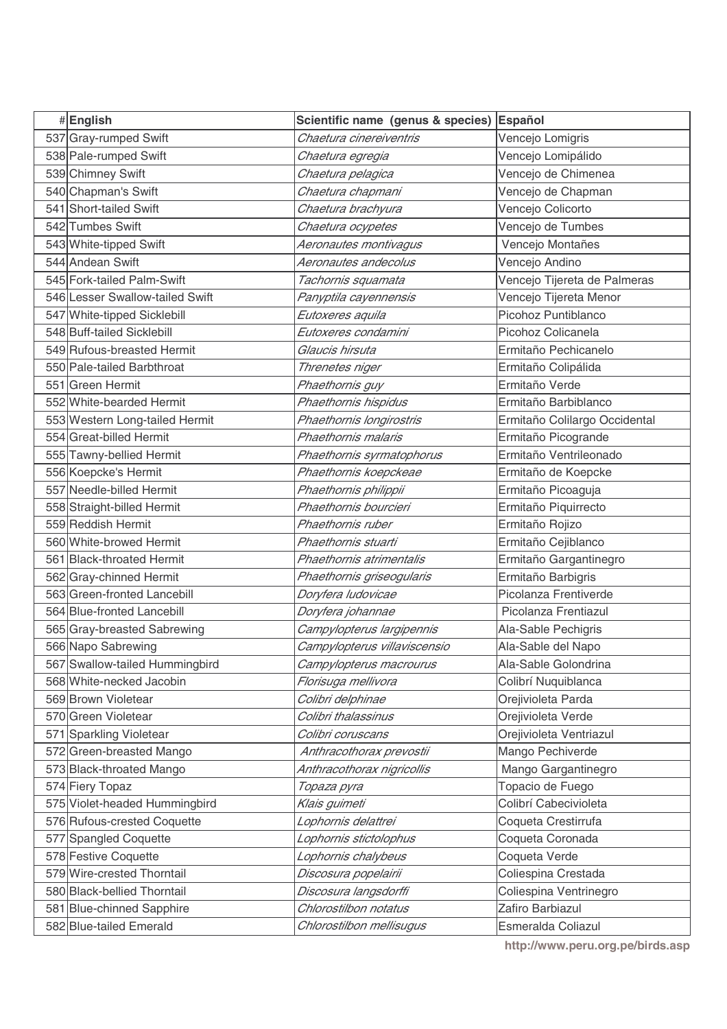| #English                        | Scientific name (genus & species) | Español                       |
|---------------------------------|-----------------------------------|-------------------------------|
| 537 Gray-rumped Swift           | Chaetura cinereiventris           | Vencejo Lomigris              |
| 538 Pale-rumped Swift           | Chaetura egregia                  | Vencejo Lomipálido            |
| 539 Chimney Swift               | Chaetura pelagica                 | Vencejo de Chimenea           |
| 540 Chapman's Swift             | Chaetura chapmani                 | Vencejo de Chapman            |
| 541 Short-tailed Swift          | Chaetura brachyura                | Vencejo Colicorto             |
| 542 Tumbes Swift                | Chaetura ocypetes                 | Vencejo de Tumbes             |
| 543 White-tipped Swift          | Aeronautes montivagus             | Vencejo Montañes              |
| 544 Andean Swift                | Aeronautes andecolus              | Vencejo Andino                |
| 545 Fork-tailed Palm-Swift      | Tachornis squamata                | Vencejo Tijereta de Palmeras  |
| 546 Lesser Swallow-tailed Swift | Panyptila cayennensis             | Vencejo Tijereta Menor        |
| 547 White-tipped Sicklebill     | Eutoxeres aquila                  | Picohoz Puntiblanco           |
| 548 Buff-tailed Sicklebill      | Eutoxeres condamini               | Picohoz Colicanela            |
| 549 Rufous-breasted Hermit      | Glaucis hirsuta                   | Ermitaño Pechicanelo          |
| 550 Pale-tailed Barbthroat      | Threnetes niger                   | Ermitaño Colipálida           |
| 551 Green Hermit                | Phaethornis guy                   | Ermitaño Verde                |
| 552 White-bearded Hermit        | Phaethornis hispidus              | Ermitaño Barbiblanco          |
| 553 Western Long-tailed Hermit  | Phaethornis longirostris          | Ermitaño Colilargo Occidental |
| 554 Great-billed Hermit         | Phaethornis malaris               | Ermitaño Picogrande           |
| 555 Tawny-bellied Hermit        | Phaethornis syrmatophorus         | Ermitaño Ventrileonado        |
| 556 Koepcke's Hermit            | Phaethornis koepckeae             | Ermitaño de Koepcke           |
| 557 Needle-billed Hermit        | Phaethornis philippii             | Ermitaño Picoaguja            |
| 558 Straight-billed Hermit      | Phaethornis bourcieri             | Ermitaño Piquirrecto          |
| 559 Reddish Hermit              | Phaethornis ruber                 | Ermitaño Rojizo               |
| 560 White-browed Hermit         | Phaethornis stuarti               | Ermitaño Cejiblanco           |
| 561 Black-throated Hermit       | Phaethornis atrimentalis          | Ermitaño Gargantinegro        |
| 562 Gray-chinned Hermit         | Phaethornis griseogularis         | Ermitaño Barbigris            |
| 563 Green-fronted Lancebill     | Doryfera ludovicae                | Picolanza Frentiverde         |
| 564 Blue-fronted Lancebill      | Doryfera johannae                 | Picolanza Frentiazul          |
| 565 Gray-breasted Sabrewing     | Campylopterus largipennis         | Ala-Sable Pechigris           |
| 566 Napo Sabrewing              | Campylopterus villaviscensio      | Ala-Sable del Napo            |
| 567 Swallow-tailed Hummingbird  | Campylopterus macrourus           | Ala-Sable Golondrina          |
| 568 White-necked Jacobin        | Florisuga mellivora               | Colibrí Nuquiblanca           |
| 569 Brown Violetear             | Colibri delphinae                 | Orejivioleta Parda            |
| 570 Green Violetear             | Colibri thalassinus               | Orejivioleta Verde            |
| 571 Sparkling Violetear         | Colibri coruscans                 | Orejivioleta Ventriazul       |
| 572 Green-breasted Mango        | Anthracothorax prevostii          | Mango Pechiverde              |
| 573 Black-throated Mango        | Anthracothorax nigricollis        | Mango Gargantinegro           |
| 574 Fiery Topaz                 | Topaza pyra                       | Topacio de Fuego              |
| 575 Violet-headed Hummingbird   | Klais guimeti                     | Colibrí Cabecivioleta         |
| 576 Rufous-crested Coquette     | Lophornis delattrei               | Coqueta Crestirrufa           |
| 577 Spangled Coquette           | Lophornis stictolophus            | Coqueta Coronada              |
| 578 Festive Coquette            | Lophornis chalybeus               | Coqueta Verde                 |
| 579 Wire-crested Thorntail      | Discosura popelairii              | Coliespina Crestada           |
| 580 Black-bellied Thorntail     | Discosura langsdorffi             | Coliespina Ventrinegro        |
| 581 Blue-chinned Sapphire       | Chlorostilbon notatus             | Zafiro Barbiazul              |
| 582 Blue-tailed Emerald         | Chlorostilbon mellisugus          | Esmeralda Coliazul            |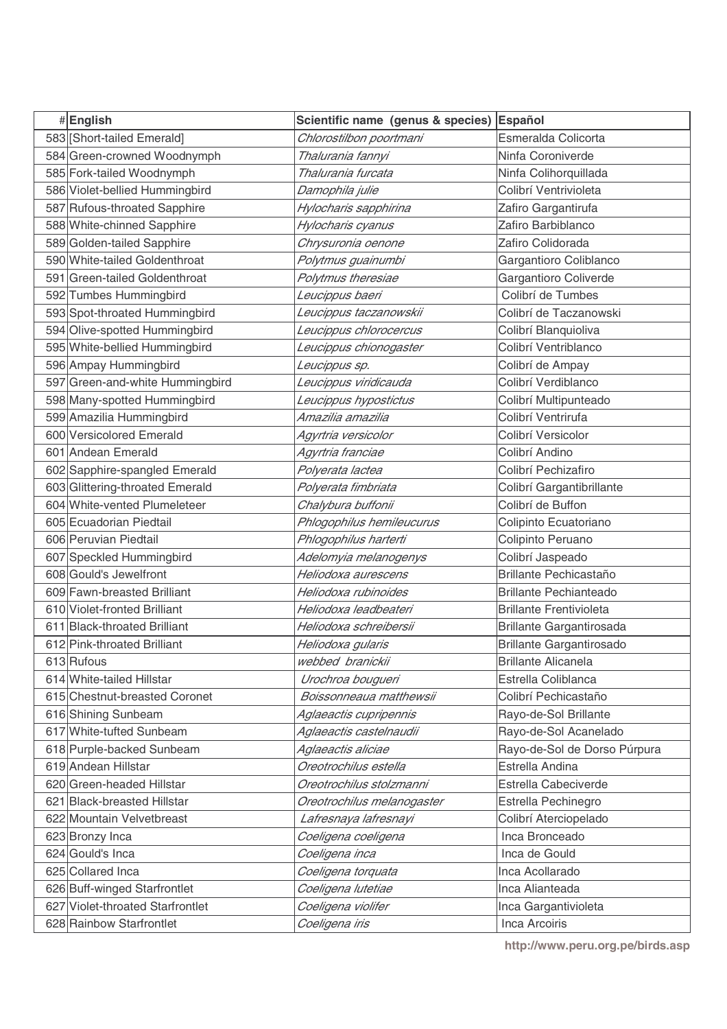| #English                            | Scientific name (genus & species) Español |                                       |
|-------------------------------------|-------------------------------------------|---------------------------------------|
| 583 [Short-tailed Emerald]          | Chlorostilbon poortmani                   | Esmeralda Colicorta                   |
| 584 Green-crowned Woodnymph         | Thalurania fannyi                         | Ninfa Coroniverde                     |
| 585 Fork-tailed Woodnymph           | Thalurania furcata                        | Ninfa Colihorquillada                 |
| 586 Violet-bellied Hummingbird      | Damophila julie                           | Colibrí Ventrivioleta                 |
| 587 Rufous-throated Sapphire        | Hylocharis sapphirina                     | Zafiro Gargantirufa                   |
| 588 White-chinned Sapphire          | Hylocharis cyanus                         | Zafiro Barbiblanco                    |
| 589 Golden-tailed Sapphire          | Chrysuronia oenone                        | Zafiro Colidorada                     |
| 590 White-tailed Goldenthroat       | Polytmus guainumbi                        | Gargantioro Coliblanco                |
| 591 Green-tailed Goldenthroat       | Polytmus theresiae                        | Gargantioro Coliverde                 |
| 592 Tumbes Hummingbird              | Leucippus baeri                           | Colibrí de Tumbes                     |
| 593 Spot-throated Hummingbird       | Leucippus taczanowskii                    | Colibrí de Taczanowski                |
| 594 Olive-spotted Hummingbird       | Leucippus chlorocercus                    | Colibrí Blanquioliva                  |
| 595 White-bellied Hummingbird       | Leucippus chionogaster                    | Colibrí Ventriblanco                  |
| 596 Ampay Hummingbird               | Leucippus sp.                             | Colibrí de Ampay                      |
| 597 Green-and-white Hummingbird     | Leucippus viridicauda                     | Colibrí Verdiblanco                   |
| 598 Many-spotted Hummingbird        | Leucippus hypostictus                     | Colibrí Multipunteado                 |
| 599 Amazilia Hummingbird            | Amazilia amazilia                         | Colibrí Ventrirufa                    |
| 600 Versicolored Emerald            | Agyrtria versicolor                       | Colibrí Versicolor                    |
| 601 Andean Emerald                  | Agyrtria franciae                         | Colibrí Andino                        |
| 602 Sapphire-spangled Emerald       | Polyerata lactea                          | Colibrí Pechizafiro                   |
| 603 Glittering-throated Emerald     | Polyerata fimbriata                       | Colibrí Gargantibrillante             |
| 604 White-vented Plumeleteer        | Chalybura buffonii                        | Colibrí de Buffon                     |
| 605 Ecuadorian Piedtail             | Phlogophilus hemileucurus                 | Colipinto Ecuatoriano                 |
| 606 Peruvian Piedtail               | Phlogophilus harterti                     | Colipinto Peruano                     |
| 607 Speckled Hummingbird            | Adelomyia melanogenys                     | Colibrí Jaspeado                      |
| 608 Gould's Jewelfront              | Heliodoxa aurescens                       | Brillante Pechicastaño                |
| 609 Fawn-breasted Brilliant         | Heliodoxa rubinoides                      | <b>Brillante Pechianteado</b>         |
| 610 Violet-fronted Brilliant        | Heliodoxa leadbeateri                     | <b>Brillante Frentivioleta</b>        |
| 611 Black-throated Brilliant        | Heliodoxa schreibersii                    | <b>Brillante Gargantirosada</b>       |
| 612 Pink-throated Brilliant         | Heliodoxa gularis                         | <b>Brillante Gargantirosado</b>       |
| 613 Rufous                          | webbed branickii                          | <b>Brillante Alicanela</b>            |
| 614 White-tailed Hillstar           | Urochroa bougueri                         | Estrella Coliblanca                   |
| 615 Chestnut-breasted Coronet       | Boissonneaua matthewsii                   | Colibrí Pechicastaño                  |
| 616 Shining Sunbeam                 | Aglaeactis cupripennis                    | Rayo-de-Sol Brillante                 |
| 617 White-tufted Sunbeam            | Aglaeactis castelnaudii                   | Rayo-de-Sol Acanelado                 |
| 618 Purple-backed Sunbeam           | Aglaeactis aliciae                        | Rayo-de-Sol de Dorso Púrpura          |
| 619 Andean Hillstar                 | Oreotrochilus estella                     | Estrella Andina                       |
| 620 Green-headed Hillstar           | Oreotrochilus stolzmanni                  | Estrella Cabeciverde                  |
| 621 Black-breasted Hillstar         | Oreotrochilus melanogaster                | Estrella Pechinegro                   |
| 622 Mountain Velvetbreast           | Lafresnaya lafresnayi                     | Colibrí Aterciopelado                 |
| 623 Bronzy Inca<br>624 Gould's Inca | Coeligena coeligena                       | Inca Bronceado                        |
| 625 Collared Inca                   | Coeligena inca                            | Inca de Gould<br>Inca Acollarado      |
| 626 Buff-winged Starfrontlet        | Coeligena torquata                        | Inca Alianteada                       |
| 627 Violet-throated Starfrontlet    | Coeligena lutetiae<br>Coeligena violifer  |                                       |
| 628 Rainbow Starfrontlet            |                                           | Inca Gargantivioleta<br>Inca Arcoiris |
|                                     | Coeligena iris                            |                                       |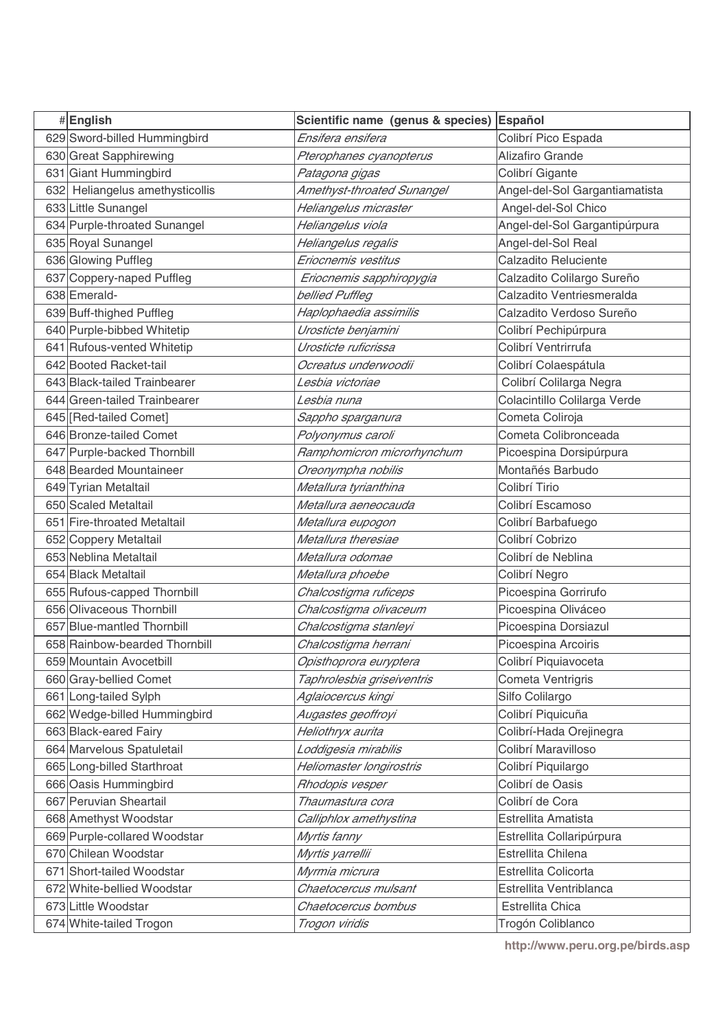| #English                        | Scientific name (genus & species) Español |                                |
|---------------------------------|-------------------------------------------|--------------------------------|
| 629 Sword-billed Hummingbird    | Ensifera ensifera                         | Colibrí Pico Espada            |
| 630 Great Sapphirewing          | Pterophanes cyanopterus                   | Alizafiro Grande               |
| 631 Giant Hummingbird           | Patagona gigas                            | Colibrí Gigante                |
| 632 Heliangelus amethysticollis | Amethyst-throated Sunangel                | Angel-del-Sol Gargantiamatista |
| 633 Little Sunangel             | Heliangelus micraster                     | Angel-del-Sol Chico            |
| 634 Purple-throated Sunangel    | Heliangelus viola                         | Angel-del-Sol Gargantipúrpura  |
| 635 Royal Sunangel              | Heliangelus regalis                       | Angel-del-Sol Real             |
| 636 Glowing Puffleg             | Eriocnemis vestitus                       | Calzadito Reluciente           |
| 637 Coppery-naped Puffleg       | Eriocnemis sapphiropygia                  | Calzadito Colilargo Sureño     |
| 638 Emerald-                    | bellied Puffleg                           | Calzadito Ventriesmeralda      |
| 639 Buff-thighed Puffleg        | Haplophaedia assimilis                    | Calzadito Verdoso Sureño       |
| 640 Purple-bibbed Whitetip      | Urosticte benjamini                       | Colibrí Pechipúrpura           |
| 641 Rufous-vented Whitetip      | Urosticte ruficrissa                      | Colibrí Ventrirrufa            |
| 642 Booted Racket-tail          | Ocreatus underwoodii                      | Colibrí Colaespátula           |
| 643 Black-tailed Trainbearer    | Lesbia victoriae                          | Colibrí Colilarga Negra        |
| 644 Green-tailed Trainbearer    | L <i>esbia nuna</i>                       | Colacintillo Colilarga Verde   |
| 645 [Red-tailed Comet]          | Sappho sparganura                         | Cometa Coliroja                |
| 646 Bronze-tailed Comet         | Polyonymus caroli                         | Cometa Colibronceada           |
| 647 Purple-backed Thornbill     | Ramphomicron microrhynchum                | Picoespina Dorsipúrpura        |
| 648 Bearded Mountaineer         | Oreonympha nobilis                        | Montañés Barbudo               |
| 649 Tyrian Metaltail            | Metallura tyrianthina                     | Colibrí Tirio                  |
| 650 Scaled Metaltail            | Metallura aeneocauda                      | Colibrí Escamoso               |
| 651 Fire-throated Metaltail     | Metallura eupogon                         | Colibrí Barbafuego             |
| 652 Coppery Metaltail           | Metallura theresiae                       | Colibrí Cobrizo                |
| 653 Neblina Metaltail           | Metallura odomae                          | Colibrí de Neblina             |
| 654 Black Metaltail             | Metallura phoebe                          | Colibrí Negro                  |
| 655 Rufous-capped Thornbill     | Chalcostigma ruficeps                     | Picoespina Gorrirufo           |
| 656 Olivaceous Thornbill        | Chalcostigma olivaceum                    | Picoespina Oliváceo            |
| 657 Blue-mantled Thornbill      | Chalcostigma stanleyi                     | Picoespina Dorsiazul           |
| 658 Rainbow-bearded Thornbill   | Chalcostigma herrani                      | Picoespina Arcoiris            |
| 659 Mountain Avocetbill         | Opisthoprora euryptera                    | Colibrí Piquiavoceta           |
| 660 Gray-bellied Comet          | Taphrolesbia griseiventris                | Cometa Ventrigris              |
| 661 Long-tailed Sylph           | Aglaiocercus kingi                        | Silfo Colilargo                |
| 662 Wedge-billed Hummingbird    | Augastes geoffroyi                        | Colibrí Piquicuña              |
| 663 Black-eared Fairy           | Heliothryx aurita                         | Colibrí-Hada Orejinegra        |
| 664 Marvelous Spatuletail       | Loddigesia mirabilis                      | Colibrí Maravilloso            |
| 665 Long-billed Starthroat      | Heliomaster longirostris                  | Colibrí Piquilargo             |
| 666 Oasis Hummingbird           | Rhodopis vesper                           | Colibrí de Oasis               |
| 667 Peruvian Sheartail          | Thaumastura cora                          | Colibrí de Cora                |
| 668 Amethyst Woodstar           | Calliphlox amethystina                    | Estrellita Amatista            |
| 669 Purple-collared Woodstar    | Myrtis fanny                              | Estrellita Collaripúrpura      |
| 670 Chilean Woodstar            | Myrtis yarrellii                          | Estrellita Chilena             |
| 671 Short-tailed Woodstar       | Myrmia micrura                            | Estrellita Colicorta           |
| 672 White-bellied Woodstar      | Chaetocercus mulsant                      | Estrellita Ventriblanca        |
| 673 Little Woodstar             | Chaetocercus bombus                       | Estrellita Chica               |
| 674 White-tailed Trogon         | Trogon viridis                            | Trogón Coliblanco              |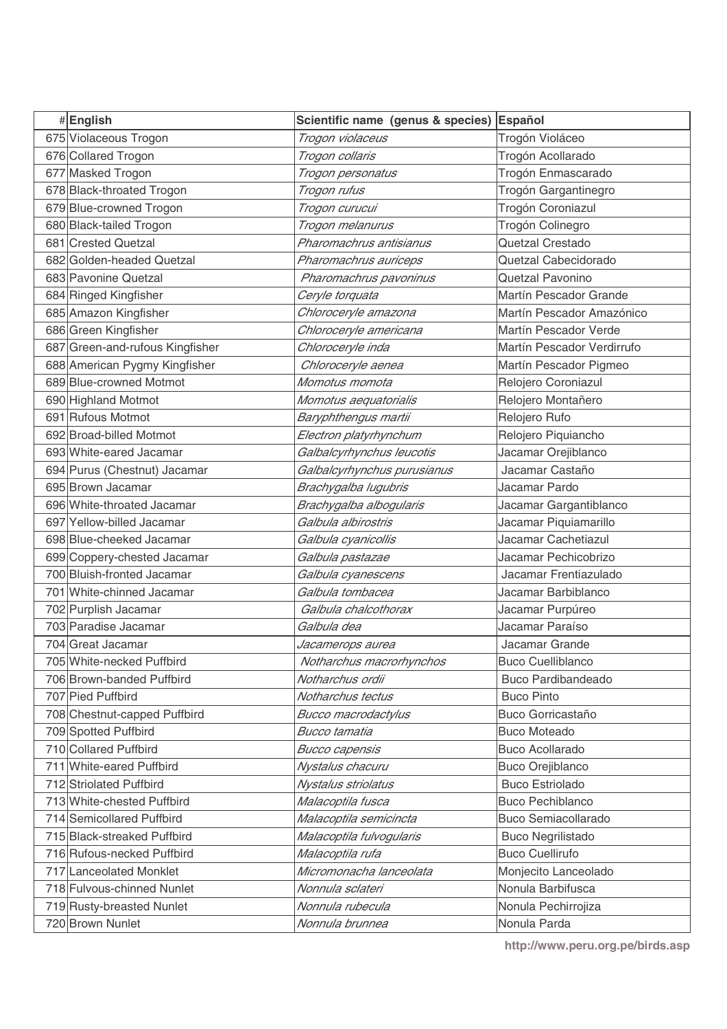| #English                        | Scientific name (genus & species) Español |                            |
|---------------------------------|-------------------------------------------|----------------------------|
| 675 Violaceous Trogon           | Trogon violaceus                          | Trogón Violáceo            |
| 676 Collared Trogon             | Trogon collaris                           | Trogón Acollarado          |
| 677 Masked Trogon               | Trogon personatus                         | Trogón Enmascarado         |
| 678 Black-throated Trogon       | Trogon rufus                              | Trogón Gargantinegro       |
| 679 Blue-crowned Trogon         | Trogon curucui                            | Trogón Coroniazul          |
| 680 Black-tailed Trogon         | Trogon melanurus                          | Trogón Colinegro           |
| 681 Crested Quetzal             | Pharomachrus antisianus                   | Quetzal Crestado           |
| 682 Golden-headed Quetzal       | Pharomachrus auriceps                     | Quetzal Cabecidorado       |
| 683 Pavonine Quetzal            | Pharomachrus pavoninus                    | Quetzal Pavonino           |
| 684 Ringed Kingfisher           | Ceryle torquata                           | Martín Pescador Grande     |
| 685 Amazon Kingfisher           | Chloroceryle amazona                      | Martín Pescador Amazónico  |
| 686 Green Kingfisher            | Chloroceryle americana                    | Martín Pescador Verde      |
| 687 Green-and-rufous Kingfisher | Chloroceryle inda                         | Martín Pescador Verdirrufo |
| 688 American Pygmy Kingfisher   | Chloroceryle aenea                        | Martín Pescador Pigmeo     |
| 689 Blue-crowned Motmot         | Momotus momota                            | Relojero Coroniazul        |
| 690 Highland Motmot             | Momotus aequatorialis                     | Relojero Montañero         |
| 691 Rufous Motmot               | Baryphthengus martii                      | Relojero Rufo              |
| 692 Broad-billed Motmot         | Electron platyrhynchum                    | Relojero Piquiancho        |
| 693 White-eared Jacamar         | Galbalcyrhynchus leucotis                 | Jacamar Orejiblanco        |
| 694 Purus (Chestnut) Jacamar    | Galbalcyrhynchus purusianus               | Jacamar Castaño            |
| 695 Brown Jacamar               | Brachygalba lugubris                      | Jacamar Pardo              |
| 696 White-throated Jacamar      | Brachygalba albogularis                   | Jacamar Gargantiblanco     |
| 697 Yellow-billed Jacamar       | Galbula albirostris                       | Jacamar Piquiamarillo      |
| 698 Blue-cheeked Jacamar        | Galbula cyanicollis                       | Jacamar Cachetiazul        |
| 699 Coppery-chested Jacamar     | Galbula pastazae                          | Jacamar Pechicobrizo       |
| 700 Bluish-fronted Jacamar      | Galbula cyanescens                        | Jacamar Frentiazulado      |
| 701 White-chinned Jacamar       | Galbula tombacea                          | Jacamar Barbiblanco        |
| 702 Purplish Jacamar            | Galbula chalcothorax                      | Jacamar Purpúreo           |
| 703 Paradise Jacamar            | Galbula dea                               | Jacamar Paraíso            |
| 704 Great Jacamar               | Jacamerops aurea                          | Jacamar Grande             |
| 705 White-necked Puffbird       | Notharchus macrorhynchos                  | Buco Cuelliblanco          |
| 706 Brown-banded Puffbird       | Notharchus ordii                          | <b>Buco Pardibandeado</b>  |
| 707 Pied Puffbird               | Notharchus tectus                         | <b>Buco Pinto</b>          |
| 708 Chestnut-capped Puffbird    | <b>Bucco macrodactylus</b>                | Buco Gorricastaño          |
| 709 Spotted Puffbird            | <b>Bucco tamatia</b>                      | <b>Buco Moteado</b>        |
| 710 Collared Puffbird           | <b>Bucco capensis</b>                     | <b>Buco Acollarado</b>     |
| 711 White-eared Puffbird        | Nystalus chacuru                          | <b>Buco Orejiblanco</b>    |
| 712 Striolated Puffbird         | Nystalus striolatus                       | <b>Buco Estriolado</b>     |
| 713 White-chested Puffbird      | Malacoptila fusca                         | <b>Buco Pechiblanco</b>    |
| 714 Semicollared Puffbird       | Malacoptila semicincta                    | <b>Buco Semiacollarado</b> |
| 715 Black-streaked Puffbird     | Malacoptila fulvogularis                  | <b>Buco Negrilistado</b>   |
| 716 Rufous-necked Puffbird      | Malacoptila rufa                          | <b>Buco Cuellirufo</b>     |
| 717 Lanceolated Monklet         | Micromonacha lanceolata                   | Monjecito Lanceolado       |
| 718 Fulvous-chinned Nunlet      | Nonnula sclateri                          | Nonula Barbifusca          |
| 719 Rusty-breasted Nunlet       | Nonnula rubecula                          | Nonula Pechirrojiza        |
| 720 Brown Nunlet                | Nonnula brunnea                           | Nonula Parda               |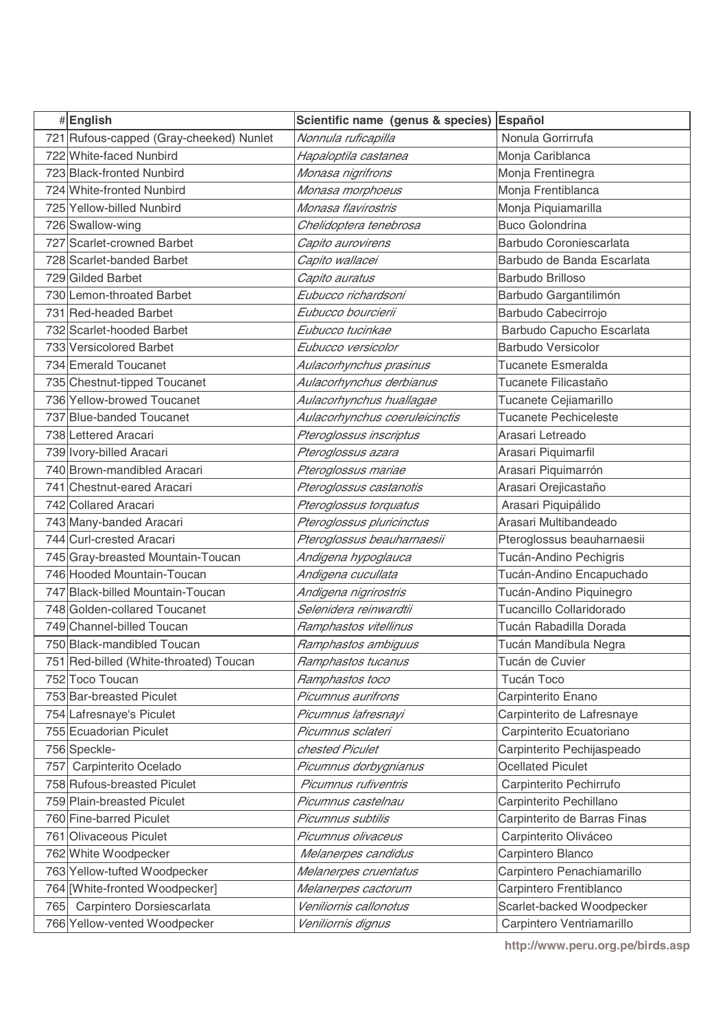|     | #English                                             | Scientific name (genus & species)             | Español                                         |
|-----|------------------------------------------------------|-----------------------------------------------|-------------------------------------------------|
|     | 721 Rufous-capped (Gray-cheeked) Nunlet              | Nonnula ruficapilla                           | Nonula Gorrirrufa                               |
|     | 722 White-faced Nunbird                              | Hapaloptila castanea                          | Monja Cariblanca                                |
|     | 723 Black-fronted Nunbird                            | Monasa nigrifrons                             | Monja Frentinegra                               |
|     | 724 White-fronted Nunbird                            | Monasa morphoeus                              | Monja Frentiblanca                              |
|     | 725 Yellow-billed Nunbird                            | Monasa flavirostris                           | Monja Piquiamarilla                             |
|     | 726 Swallow-wing                                     | Chelidoptera tenebrosa                        | <b>Buco Golondrina</b>                          |
|     | 727 Scarlet-crowned Barbet                           | Capito aurovirens                             | Barbudo Coroniescarlata                         |
|     | 728 Scarlet-banded Barbet                            | Capito wallacei                               | Barbudo de Banda Escarlata                      |
|     | 729 Gilded Barbet                                    | Capito auratus                                | Barbudo Brilloso                                |
|     | 730 Lemon-throated Barbet                            | Eubucco richardsoni                           | Barbudo Gargantilimón                           |
|     | 731 Red-headed Barbet                                | Eubucco bourcierii                            | Barbudo Cabecirrojo                             |
|     | 732 Scarlet-hooded Barbet                            | Eubucco tucinkae                              | Barbudo Capucho Escarlata                       |
|     | 733 Versicolored Barbet                              | Eubucco versicolor                            | <b>Barbudo Versicolor</b>                       |
|     | 734 Emerald Toucanet                                 | Aulacorhynchus prasinus                       | Tucanete Esmeralda                              |
|     | 735 Chestnut-tipped Toucanet                         | Aulacorhynchus derbianus                      | Tucanete Filicastaño                            |
|     | 736 Yellow-browed Toucanet                           | Aulacorhynchus huallagae                      | Tucanete Cejiamarillo                           |
|     | 737 Blue-banded Toucanet                             | Aulacorhynchus coeruleicinctis                | <b>Tucanete Pechiceleste</b>                    |
|     | 738 Lettered Aracari                                 | Pteroglossus inscriptus                       | Arasari Letreado                                |
|     | 739 Ivory-billed Aracari                             | Pteroglossus azara                            | Arasari Piquimarfil                             |
|     | 740 Brown-mandibled Aracari                          | Pteroglossus mariae                           | Arasari Piquimarrón                             |
|     | 741 Chestnut-eared Aracari                           | Pteroglossus castanotis                       | Arasari Orejicastaño                            |
|     | 742 Collared Aracari                                 | Pteroglossus torquatus                        | Arasari Piquipálido                             |
|     | 743 Many-banded Aracari                              | Pteroglossus pluricinctus                     | Arasari Multibandeado                           |
|     | 744 Curl-crested Aracari                             | Pteroglossus beauharnaesii                    | Pteroglossus beauharnaesii                      |
|     | 745 Gray-breasted Mountain-Toucan                    | Andigena hypoglauca                           | Tucán-Andino Pechigris                          |
|     | 746 Hooded Mountain-Toucan                           | Andigena cucullata                            | Tucán-Andino Encapuchado                        |
|     | 747 Black-billed Mountain-Toucan                     | Andigena nigrirostris                         | Tucán-Andino Piquinegro                         |
|     | 748 Golden-collared Toucanet                         | Selenidera reinwardtii                        | Tucancillo Collaridorado                        |
|     | 749 Channel-billed Toucan                            | Ramphastos vitellinus                         | Tucán Rabadilla Dorada                          |
|     | 750 Black-mandibled Toucan                           | Ramphastos ambiguus                           | Tucán Mandíbula Negra                           |
|     | 751 Red-billed (White-throated) Toucan               | Ramphastos tucanus                            | Tucán de Cuvier                                 |
|     | 752 Toco Toucan                                      | Ramphastos toco                               | Tucán Toco                                      |
|     | 753 Bar-breasted Piculet                             | Picumnus aurifrons                            | Carpinterito Enano                              |
|     | 754 Lafresnaye's Piculet                             | Picumnus lafresnayi                           | Carpinterito de Lafresnaye                      |
|     | 755 Ecuadorian Piculet                               | Picumnus sclateri                             | Carpinterito Ecuatoriano                        |
|     | 756 Speckle-                                         | chested Piculet                               | Carpinterito Pechijaspeado                      |
| 757 | Carpinterito Ocelado                                 | Picumnus dorbygnianus                         | <b>Ocellated Piculet</b>                        |
|     | 758 Rufous-breasted Piculet                          | Picumnus rufiventris                          | Carpinterito Pechirrufo                         |
|     | 759 Plain-breasted Piculet                           | Picumnus castelnau                            | Carpinterito Pechillano                         |
|     | 760 Fine-barred Piculet                              | Picumnus subtilis                             | Carpinterito de Barras Finas                    |
|     | 761 Olivaceous Piculet                               | Picumnus olivaceus                            | Carpinterito Oliváceo                           |
|     | 762 White Woodpecker<br>763 Yellow-tufted Woodpecker | Melanerpes candidus                           | Carpintero Blanco<br>Carpintero Penachiamarillo |
|     | 764 [White-fronted Woodpecker]                       | Melanerpes cruentatus                         | Carpintero Frentiblanco                         |
|     | Carpintero Dorsiescarlata                            | Melanerpes cactorum<br>Veniliornis callonotus |                                                 |
| 765 |                                                      |                                               | Scarlet-backed Woodpecker                       |
|     | 766 Yellow-vented Woodpecker                         | Veniliornis dignus                            | Carpintero Ventriamarillo                       |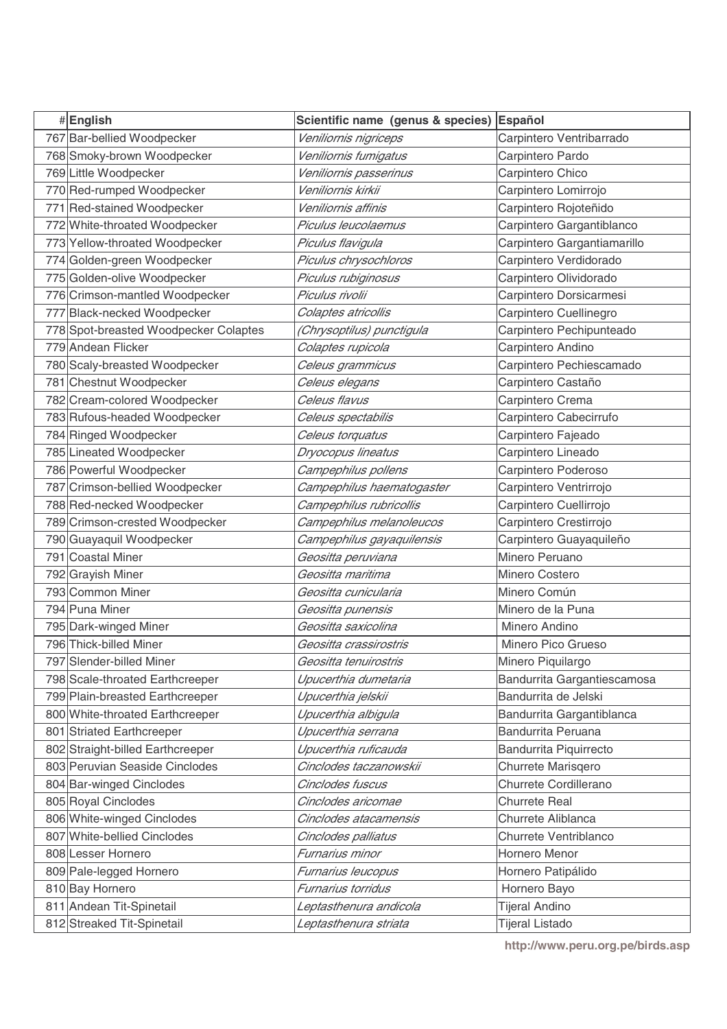| #English                              | Scientific name (genus & species) Español |                             |
|---------------------------------------|-------------------------------------------|-----------------------------|
| 767 Bar-bellied Woodpecker            | Veniliornis nigriceps                     | Carpintero Ventribarrado    |
| 768 Smoky-brown Woodpecker            | Veniliornis fumigatus                     | Carpintero Pardo            |
| 769 Little Woodpecker                 | Veniliornis passerinus                    | Carpintero Chico            |
| 770 Red-rumped Woodpecker             | Veniliornis kirkii                        | Carpintero Lomirrojo        |
| 771 Red-stained Woodpecker            | Veniliornis affinis                       | Carpintero Rojoteñido       |
| 772 White-throated Woodpecker         | Piculus leucolaemus                       | Carpintero Gargantiblanco   |
| 773 Yellow-throated Woodpecker        | Piculus flavigula                         | Carpintero Gargantiamarillo |
| 774 Golden-green Woodpecker           | Piculus chrysochloros                     | Carpintero Verdidorado      |
| 775 Golden-olive Woodpecker           | Piculus rubiginosus                       | Carpintero Olividorado      |
| 776 Crimson-mantled Woodpecker        | Piculus rivolii                           | Carpintero Dorsicarmesi     |
| 777 Black-necked Woodpecker           | Colaptes atricollis                       | Carpintero Cuellinegro      |
| 778 Spot-breasted Woodpecker Colaptes | (Chrysoptilus) punctigula                 | Carpintero Pechipunteado    |
| 779 Andean Flicker                    | Colaptes rupicola                         | Carpintero Andino           |
| 780 Scaly-breasted Woodpecker         | Celeus grammicus                          | Carpintero Pechiescamado    |
| 781 Chestnut Woodpecker               | Celeus elegans                            | Carpintero Castaño          |
| 782 Cream-colored Woodpecker          | Celeus flavus                             | Carpintero Crema            |
| 783 Rufous-headed Woodpecker          | Celeus spectabilis                        | Carpintero Cabecirrufo      |
| 784 Ringed Woodpecker                 | Celeus torquatus                          | Carpintero Fajeado          |
| 785 Lineated Woodpecker               | Dryocopus lineatus                        | Carpintero Lineado          |
| 786 Powerful Woodpecker               | Campephilus pollens                       | Carpintero Poderoso         |
| 787 Crimson-bellied Woodpecker        | Campephilus haematogaster                 | Carpintero Ventrirrojo      |
| 788 Red-necked Woodpecker             | Campephilus rubricollis                   | Carpintero Cuellirrojo      |
| 789 Crimson-crested Woodpecker        | Campephilus melanoleucos                  | Carpintero Crestirrojo      |
| 790 Guayaquil Woodpecker              | Campephilus gayaquilensis                 | Carpintero Guayaquileño     |
| 791 Coastal Miner                     | Geositta peruviana                        | Minero Peruano              |
| 792 Grayish Miner                     | Geositta maritima                         | Minero Costero              |
| 793 Common Miner                      | Geositta cunicularia                      | Minero Común                |
| 794 Puna Miner                        | Geositta punensis                         | Minero de la Puna           |
| 795 Dark-winged Miner                 | Geositta saxicolina                       | Minero Andino               |
| 796 Thick-billed Miner                | Geositta crassirostris                    | Minero Pico Grueso          |
| 797 Slender-billed Miner              | Geositta tenuirostris                     | Minero Piquilargo           |
| 798 Scale-throated Earthcreeper       | Upucerthia dumetaria                      | Bandurrita Gargantiescamosa |
| 799 Plain-breasted Earthcreeper       | Upucerthia jelskii                        | Bandurrita de Jelski        |
| 800 White-throated Earthcreeper       | Upucerthia albigula                       | Bandurrita Gargantiblanca   |
| 801 Striated Earthcreeper             | Upucerthia serrana                        | Bandurrita Peruana          |
| 802 Straight-billed Earthcreeper      | Upucerthia ruficauda                      | Bandurrita Piquirrecto      |
| 803 Peruvian Seaside Cinclodes        | Cinclodes taczanowskii                    | Churrete Marisqero          |
| 804 Bar-winged Cinclodes              | Cinclodes fuscus                          | Churrete Cordillerano       |
| 805 Royal Cinclodes                   | Cinclodes aricomae                        | <b>Churrete Real</b>        |
| 806 White-winged Cinclodes            | Cinclodes atacamensis                     | Churrete Aliblanca          |
| 807 White-bellied Cinclodes           | Cinclodes palliatus                       | Churrete Ventriblanco       |
| 808 Lesser Hornero                    | Furnarius minor                           | Hornero Menor               |
| 809 Pale-legged Hornero               | Furnarius leucopus                        | Hornero Patipálido          |
| 810 Bay Hornero                       | Furnarius torridus                        | Hornero Bayo                |
| 811 Andean Tit-Spinetail              | Leptasthenura andicola                    | <b>Tijeral Andino</b>       |
| 812 Streaked Tit-Spinetail            | Leptasthenura striata                     | <b>Tijeral Listado</b>      |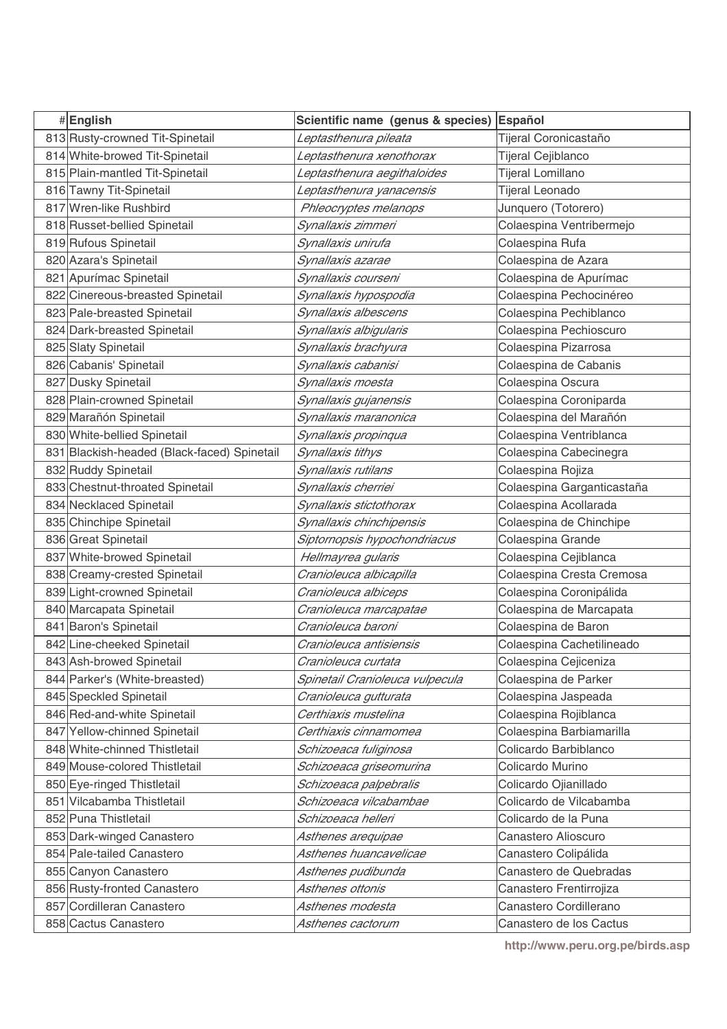| #English                                    | Scientific name (genus & species) | Español                    |
|---------------------------------------------|-----------------------------------|----------------------------|
| 813 Rusty-crowned Tit-Spinetail             | Leptasthenura pileata             | Tijeral Coronicastaño      |
| 814 White-browed Tit-Spinetail              | Leptasthenura xenothorax          | Tijeral Cejiblanco         |
| 815 Plain-mantled Tit-Spinetail             | Leptasthenura aegithaloides       | Tijeral Lomillano          |
| 816 Tawny Tit-Spinetail                     | Leptasthenura yanacensis          | Tijeral Leonado            |
| 817 Wren-like Rushbird                      | Phleocryptes melanops             | Junquero (Totorero)        |
| 818 Russet-bellied Spinetail                | Synallaxis zimmeri                | Colaespina Ventribermejo   |
| 819 Rufous Spinetail                        | Synallaxis unirufa                | Colaespina Rufa            |
| 820 Azara's Spinetail                       | Synallaxis azarae                 | Colaespina de Azara        |
| 821 Apurímac Spinetail                      | Synallaxis courseni               | Colaespina de Apurímac     |
| 822 Cinereous-breasted Spinetail            | Synallaxis hypospodia             | Colaespina Pechocinéreo    |
| 823 Pale-breasted Spinetail                 | Synallaxis albescens              | Colaespina Pechiblanco     |
| 824 Dark-breasted Spinetail                 | Synallaxis albigularis            | Colaespina Pechioscuro     |
| 825 Slaty Spinetail                         | Synallaxis brachyura              | Colaespina Pizarrosa       |
| 826 Cabanis' Spinetail                      | Synallaxis cabanisi               | Colaespina de Cabanis      |
| 827 Dusky Spinetail                         | Synallaxis moesta                 | Colaespina Oscura          |
| 828 Plain-crowned Spinetail                 | Synallaxis gujanensis             | Colaespina Coroniparda     |
| 829 Marañón Spinetail                       | Synallaxis maranonica             | Colaespina del Marañón     |
| 830 White-bellied Spinetail                 | Synallaxis propinqua              | Colaespina Ventriblanca    |
| 831 Blackish-headed (Black-faced) Spinetail | Synallaxis tithys                 | Colaespina Cabecinegra     |
| 832 Ruddy Spinetail                         | Synallaxis rutilans               | Colaespina Rojiza          |
| 833 Chestnut-throated Spinetail             | Synallaxis cherriei               | Colaespina Garganticastaña |
| 834 Necklaced Spinetail                     | Synallaxis stictothorax           | Colaespina Acollarada      |
| 835 Chinchipe Spinetail                     | Synallaxis chinchipensis          | Colaespina de Chinchipe    |
| 836 Great Spinetail                         | Siptornopsis hypochondriacus      | Colaespina Grande          |
| 837 White-browed Spinetail                  | Hellmayrea gularis                | Colaespina Cejiblanca      |
| 838 Creamy-crested Spinetail                | Cranioleuca albicapilla           | Colaespina Cresta Cremosa  |
| 839 Light-crowned Spinetail                 | Cranioleuca albiceps              | Colaespina Coronipálida    |
| 840 Marcapata Spinetail                     | Cranioleuca marcapatae            | Colaespina de Marcapata    |
| 841 Baron's Spinetail                       | Cranioleuca baroni                | Colaespina de Baron        |
| 842 Line-cheeked Spinetail                  | Cranioleuca antisiensis           | Colaespina Cachetilineado  |
| 843 Ash-browed Spinetail                    | Cranioleuca curtata               | Colaespina Cejiceniza      |
| 844 Parker's (White-breasted)               | Spinetail Cranioleuca vulpecula   | Colaespina de Parker       |
| 845 Speckled Spinetail                      | Cranioleuca gutturata             | Colaespina Jaspeada        |
| 846 Red-and-white Spinetail                 | Certhiaxis mustelina              | Colaespina Rojiblanca      |
| 847 Yellow-chinned Spinetail                | Certhiaxis cinnamomea             | Colaespina Barbiamarilla   |
| 848 White-chinned Thistletail               | Schizoeaca fuliginosa             | Colicardo Barbiblanco      |
| 849 Mouse-colored Thistletail               | Schizoeaca griseomurina           | Colicardo Murino           |
| 850 Eye-ringed Thistletail                  | Schizoeaca palpebralis            | Colicardo Ojianillado      |
| 851 Vilcabamba Thistletail                  | Schizoeaca vilcabambae            | Colicardo de Vilcabamba    |
| 852 Puna Thistletail                        | Schizoeaca helleri                | Colicardo de la Puna       |
| 853 Dark-winged Canastero                   | Asthenes arequipae                | Canastero Alioscuro        |
| 854 Pale-tailed Canastero                   | Asthenes huancavelicae            | Canastero Colipálida       |
| 855 Canyon Canastero                        | Asthenes pudibunda                | Canastero de Quebradas     |
| 856 Rusty-fronted Canastero                 | Asthenes ottonis                  | Canastero Frentirrojiza    |
| 857 Cordilleran Canastero                   | Asthenes modesta                  | Canastero Cordillerano     |
| 858 Cactus Canastero                        | Asthenes cactorum                 | Canastero de los Cactus    |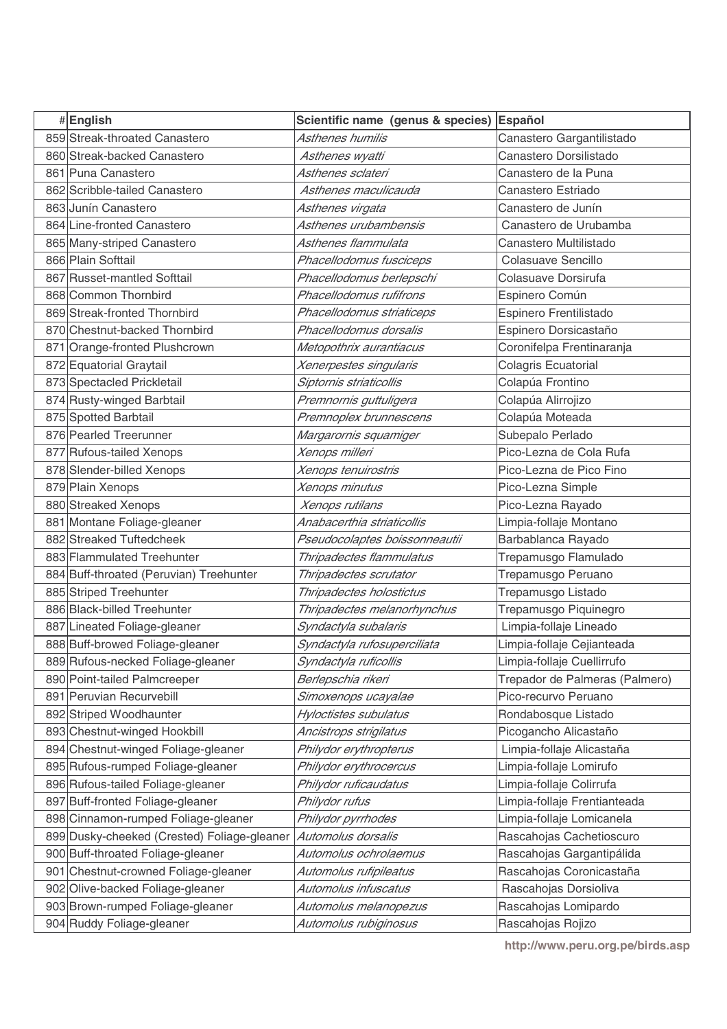| #English                                    | Scientific name (genus & species) | Español                        |
|---------------------------------------------|-----------------------------------|--------------------------------|
| 859 Streak-throated Canastero               | Asthenes humilis                  | Canastero Gargantilistado      |
| 860 Streak-backed Canastero                 | Asthenes wyatti                   | Canastero Dorsilistado         |
| 861 Puna Canastero                          | Asthenes sclateri                 | Canastero de la Puna           |
| 862 Scribble-tailed Canastero               | Asthenes maculicauda              | Canastero Estriado             |
| 863 Junín Canastero                         | Asthenes virgata                  | Canastero de Junín             |
| 864 Line-fronted Canastero                  | Asthenes urubambensis             | Canastero de Urubamba          |
| 865 Many-striped Canastero                  | Asthenes flammulata               | Canastero Multilistado         |
| 866 Plain Softtail                          | Phacellodomus fusciceps           | Colasuave Sencillo             |
| 867 Russet-mantled Softtail                 | Phacellodomus berlepschi          | Colasuave Dorsirufa            |
| 868 Common Thornbird                        | Phacellodomus rufifrons           | Espinero Común                 |
| 869 Streak-fronted Thornbird                | Phacellodomus striaticeps         | Espinero Frentilistado         |
| 870 Chestnut-backed Thornbird               | Phacellodomus dorsalis            | Espinero Dorsicastaño          |
| 871 Orange-fronted Plushcrown               | Metopothrix aurantiacus           | Coronifelpa Frentinaranja      |
| 872 Equatorial Graytail                     | Xenerpestes singularis            | Colagris Ecuatorial            |
| 873 Spectacled Prickletail                  | Siptornis striaticollis           | Colapúa Frontino               |
| 874 Rusty-winged Barbtail                   | Premnornis guttuligera            | Colapúa Alirrojizo             |
| 875 Spotted Barbtail                        | Premnoplex brunnescens            | Colapúa Moteada                |
| 876 Pearled Treerunner                      | Margarornis squamiger             | Subepalo Perlado               |
| 877 Rufous-tailed Xenops                    | Xenops milleri                    | Pico-Lezna de Cola Rufa        |
| 878 Slender-billed Xenops                   | Xenops tenuirostris               | Pico-Lezna de Pico Fino        |
| 879 Plain Xenops                            | Xenops minutus                    | Pico-Lezna Simple              |
| 880 Streaked Xenops                         | Xenops rutilans                   | Pico-Lezna Rayado              |
| 881 Montane Foliage-gleaner                 | Anabacerthia striaticollis        | Limpia-follaje Montano         |
| 882 Streaked Tuftedcheek                    | Pseudocolaptes boissonneautii     | Barbablanca Rayado             |
| 883 Flammulated Treehunter                  | Thripadectes flammulatus          | Trepamusgo Flamulado           |
| 884 Buff-throated (Peruvian) Treehunter     | Thripadectes scrutator            | Trepamusgo Peruano             |
| 885 Striped Treehunter                      | Thripadectes holostictus          | Trepamusgo Listado             |
| 886 Black-billed Treehunter                 | Thripadectes melanorhynchus       | Trepamusgo Piquinegro          |
| 887 Lineated Foliage-gleaner                | Syndactyla subalaris              | Limpia-follaje Lineado         |
| 888 Buff-browed Foliage-gleaner             | Syndactyla rufosuperciliata       | Limpia-follaje Cejianteada     |
| 889 Rufous-necked Foliage-gleaner           | Syndactyla ruficollis             | Limpia-follaje Cuellirrufo     |
| 890 Point-tailed Palmcreeper                | Berlepschia rikeri                | Trepador de Palmeras (Palmero) |
| 891 Peruvian Recurvebill                    | Simoxenops ucayalae               | Pico-recurvo Peruano           |
| 892 Striped Woodhaunter                     | Hyloctistes subulatus             | Rondabosque Listado            |
| 893 Chestnut-winged Hookbill                | Ancistrops strigilatus            | Picogancho Alicastaño          |
| 894 Chestnut-winged Foliage-gleaner         | Philydor erythropterus            | Limpia-follaje Alicastaña      |
| 895 Rufous-rumped Foliage-gleaner           | Philydor erythrocercus            | Limpia-follaje Lomirufo        |
| 896 Rufous-tailed Foliage-gleaner           | Philydor ruficaudatus             | Limpia-follaje Colirrufa       |
| 897 Buff-fronted Foliage-gleaner            | Philydor rufus                    | Limpia-follaje Frentianteada   |
| 898 Cinnamon-rumped Foliage-gleaner         | Philydor pyrrhodes                | Limpia-follaje Lomicanela      |
| 899 Dusky-cheeked (Crested) Foliage-gleaner | Automolus dorsalis                | Rascahojas Cachetioscuro       |
| 900 Buff-throated Foliage-gleaner           | Automolus ochrolaemus             | Rascahojas Gargantipálida      |
| 901 Chestnut-crowned Foliage-gleaner        | Automolus rufipileatus            | Rascahojas Coronicastaña       |
| 902 Olive-backed Foliage-gleaner            | Automolus infuscatus              | Rascahojas Dorsioliva          |
| 903 Brown-rumped Foliage-gleaner            | Automolus melanopezus             | Rascahojas Lomipardo           |
| 904 Ruddy Foliage-gleaner                   | Automolus rubiginosus             | Rascahojas Rojizo              |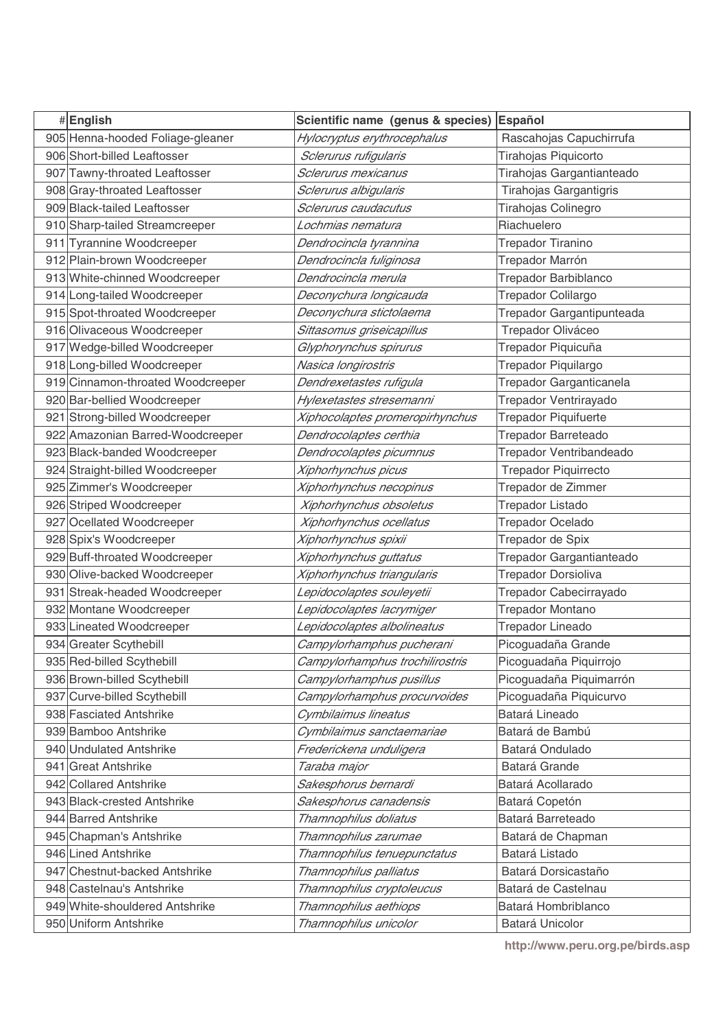| #English                                       | Scientific name (genus & species)                   | Español                             |
|------------------------------------------------|-----------------------------------------------------|-------------------------------------|
| 905 Henna-hooded Foliage-gleaner               | Hylocryptus erythrocephalus                         | Rascahojas Capuchirrufa             |
| 906 Short-billed Leaftosser                    | Sclerurus rufigularis                               | Tirahojas Piquicorto                |
| 907 Tawny-throated Leaftosser                  | Sclerurus mexicanus                                 | Tirahojas Gargantianteado           |
| 908 Gray-throated Leaftosser                   | Sclerurus albigularis                               | Tirahojas Gargantigris              |
| 909 Black-tailed Leaftosser                    | Sclerurus caudacutus                                | Tirahojas Colinegro                 |
| 910 Sharp-tailed Streamcreeper                 | Lochmias nematura                                   | Riachuelero                         |
| 911 Tyrannine Woodcreeper                      | Dendrocincla tyrannina                              | Trepador Tiranino                   |
| 912 Plain-brown Woodcreeper                    | Dendrocincla fuliginosa                             | Trepador Marrón                     |
| 913 White-chinned Woodcreeper                  | Dendrocincla merula                                 | <b>Trepador Barbiblanco</b>         |
| 914 Long-tailed Woodcreeper                    | Deconychura longicauda                              | Trepador Colilargo                  |
| 915 Spot-throated Woodcreeper                  | Deconychura stictolaema                             | Trepador Gargantipunteada           |
| 916 Olivaceous Woodcreeper                     | Sittasomus griseicapillus                           | Trepador Oliváceo                   |
| 917 Wedge-billed Woodcreeper                   | Glyphorynchus spirurus                              | Trepador Piquicuña                  |
| 918 Long-billed Woodcreeper                    | Nasica longirostris                                 | Trepador Piquilargo                 |
| 919 Cinnamon-throated Woodcreeper              | Dendrexetastes rufigula                             | Trepador Garganticanela             |
| 920 Bar-bellied Woodcreeper                    | Hylexetastes stresemanni                            | Trepador Ventrirayado               |
| 921 Strong-billed Woodcreeper                  | Xiphocolaptes promeropirhynchus                     | <b>Trepador Piquifuerte</b>         |
| 922 Amazonian Barred-Woodcreeper               | Dendrocolaptes certhia                              | Trepador Barreteado                 |
| 923 Black-banded Woodcreeper                   | Dendrocolaptes picumnus                             | Trepador Ventribandeado             |
| 924 Straight-billed Woodcreeper                | Xiphorhynchus picus                                 | <b>Trepador Piquirrecto</b>         |
| 925 Zimmer's Woodcreeper                       | Xiphorhynchus necopinus                             | Trepador de Zimmer                  |
| 926 Striped Woodcreeper                        | Xiphorhynchus obsoletus                             | <b>Trepador Listado</b>             |
| 927 Ocellated Woodcreeper                      | Xiphorhynchus ocellatus                             | <b>Trepador Ocelado</b>             |
| 928 Spix's Woodcreeper                         | Xiphorhynchus spixii                                | Trepador de Spix                    |
| 929 Buff-throated Woodcreeper                  | Xiphorhynchus guttatus                              | Trepador Gargantianteado            |
| 930 Olive-backed Woodcreeper                   | Xiphorhynchus triangularis                          | Trepador Dorsioliva                 |
| 931 Streak-headed Woodcreeper                  | Lepidocolaptes souleyetii                           | Trepador Cabecirrayado              |
| 932 Montane Woodcreeper                        | Lepidocolaptes lacrymiger                           | Trepador Montano                    |
| 933 Lineated Woodcreeper                       | Lepidocolaptes albolineatus                         | Trepador Lineado                    |
| 934 Greater Scythebill                         | Campylorhamphus pucherani                           | Picoguadaña Grande                  |
| 935 Red-billed Scythebill                      | Campylorhamphus trochilirostris                     | Picoguadaña Piquirrojo              |
| 936 Brown-billed Scythebill                    | Campylorhamphus pusillus                            | Picoguadaña Piquimarrón             |
| 937 Curve-billed Scythebill                    | Campylorhamphus procurvoides                        | Picoguadaña Piquicurvo              |
| 938 Fasciated Antshrike                        | Cymbilaimus lineatus                                | Batará Lineado                      |
| 939 Bamboo Antshrike                           | Cymbilaimus sanctaemariae                           | Batará de Bambú                     |
| 940 Undulated Antshrike                        | Frederickena unduligera                             | Batará Ondulado                     |
| 941 Great Antshrike                            | Taraba major                                        | Batará Grande                       |
| 942 Collared Antshrike                         | Sakesphorus bernardi                                | Batará Acollarado                   |
| 943 Black-crested Antshrike                    | Sakesphorus canadensis                              | Batará Copetón                      |
| 944 Barred Antshrike                           | Thamnophilus doliatus                               | Batará Barreteado                   |
| 945 Chapman's Antshrike<br>946 Lined Antshrike | Thamnophilus zarumae                                | Batará de Chapman<br>Batará Listado |
| 947 Chestnut-backed Antshrike                  | Thamnophilus tenuepunctatus                         | Batará Dorsicastaño                 |
| 948 Castelnau's Antshrike                      | Thamnophilus palliatus<br>Thamnophilus cryptoleucus | Batará de Castelnau                 |
| 949 White-shouldered Antshrike                 | Thamnophilus aethiops                               | Batará Hombriblanco                 |
| 950 Uniform Antshrike                          |                                                     |                                     |
|                                                | Thamnophilus unicolor                               | Batará Unicolor                     |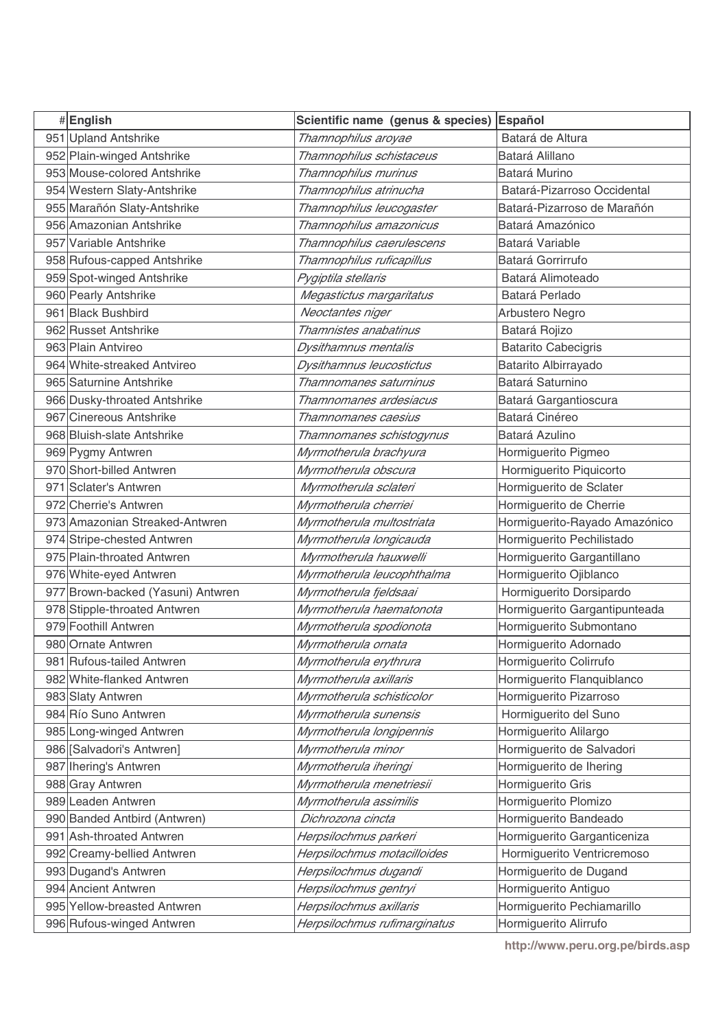| #English                          | Scientific name (genus & species) | Español                       |
|-----------------------------------|-----------------------------------|-------------------------------|
| 951 Upland Antshrike              | Thamnophilus aroyae               | Batará de Altura              |
| 952 Plain-winged Antshrike        | Thamnophilus schistaceus          | Batará Alillano               |
| 953 Mouse-colored Antshrike       | Thamnophilus murinus              | Batará Murino                 |
| 954 Western Slaty-Antshrike       | Thamnophilus atrinucha            | Batará-Pizarroso Occidental   |
| 955 Marañón Slaty-Antshrike       | Thamnophilus leucogaster          | Batará-Pizarroso de Marañón   |
| 956 Amazonian Antshrike           | Thamnophilus amazonicus           | Batará Amazónico              |
| 957 Variable Antshrike            | Thamnophilus caerulescens         | Batará Variable               |
| 958 Rufous-capped Antshrike       | Thamnophilus ruficapillus         | Batará Gorrirrufo             |
| 959 Spot-winged Antshrike         | Pygiptila stellaris               | Batará Alimoteado             |
| 960 Pearly Antshrike              | Megastictus margaritatus          | Batará Perlado                |
| 961 Black Bushbird                | Neoctantes niger                  | Arbustero Negro               |
| 962 Russet Antshrike              | Thamnistes anabatinus             | Batará Rojizo                 |
| 963 Plain Antvireo                | Dysithamnus mentalis              | <b>Batarito Cabecigris</b>    |
| 964 White-streaked Antvireo       | Dysithamnus leucostictus          | Batarito Albirrayado          |
| 965 Saturnine Antshrike           | Thamnomanes saturninus            | Batará Saturnino              |
| 966 Dusky-throated Antshrike      | Thamnomanes ardesiacus            | Batará Gargantioscura         |
| 967 Cinereous Antshrike           | Thamnomanes caesius               | Batará Cinéreo                |
| 968 Bluish-slate Antshrike        | Thamnomanes schistogynus          | Batará Azulino                |
| 969 Pygmy Antwren                 | Myrmotherula brachyura            | Hormiguerito Pigmeo           |
| 970 Short-billed Antwren          | Myrmotherula obscura              | Hormiguerito Piquicorto       |
| 971 Sclater's Antwren             | Myrmotherula sclateri             | Hormiguerito de Sclater       |
| 972 Cherrie's Antwren             | Myrmotherula cherriei             | Hormiguerito de Cherrie       |
| 973 Amazonian Streaked-Antwren    | Myrmotherula multostriata         | Hormiguerito-Rayado Amazónico |
| 974 Stripe-chested Antwren        | Myrmotherula longicauda           | Hormiguerito Pechilistado     |
| 975 Plain-throated Antwren        | Myrmotherula hauxwelli            | Hormiguerito Gargantillano    |
| 976 White-eyed Antwren            | Myrmotherula leucophthalma        | Hormiguerito Ojiblanco        |
| 977 Brown-backed (Yasuni) Antwren | Myrmotherula fjeldsaai            | Hormiguerito Dorsipardo       |
| 978 Stipple-throated Antwren      | Myrmotherula haematonota          | Hormiguerito Gargantipunteada |
| 979 Foothill Antwren              | Myrmotherula spodionota           | Hormiguerito Submontano       |
| 980 Ornate Antwren                | Myrmotherula ornata               | Hormiguerito Adornado         |
| 981 Rufous-tailed Antwren         | Myrmotherula erythrura            | Hormiguerito Colirrufo        |
| 982 White-flanked Antwren         | Myrmotherula axillaris            | Hormiguerito Flanquiblanco    |
| 983 Slaty Antwren                 | Myrmotherula schisticolor         | Hormiguerito Pizarroso        |
| 984 Río Suno Antwren              | Myrmotherula sunensis             | Hormiguerito del Suno         |
| 985 Long-winged Antwren           | Myrmotherula longipennis          | Hormiguerito Alilargo         |
| 986 [Salvadori's Antwren]         | Myrmotherula minor                | Hormiguerito de Salvadori     |
| 987 Ihering's Antwren             | Myrmotherula iheringi             | Hormiguerito de Ihering       |
| 988 Gray Antwren                  | Myrmotherula menetriesii          | Hormiguerito Gris             |
| 989 Leaden Antwren                | Myrmotherula assimilis            | Hormiguerito Plomizo          |
| 990 Banded Antbird (Antwren)      | Dichrozona cincta                 | Hormiguerito Bandeado         |
| 991 Ash-throated Antwren          | Herpsilochmus parkeri             | Hormiguerito Garganticeniza   |
| 992 Creamy-bellied Antwren        | Herpsilochmus motacilloides       | Hormiguerito Ventricremoso    |
| 993 Dugand's Antwren              | Herpsilochmus dugandi             | Hormiguerito de Dugand        |
| 994 Ancient Antwren               | Herpsilochmus gentryi             | Hormiguerito Antiguo          |
| 995 Yellow-breasted Antwren       | Herpsilochmus axillaris           | Hormiguerito Pechiamarillo    |
| 996 Rufous-winged Antwren         | Herpsilochmus rufimarginatus      | Hormiguerito Alirrufo         |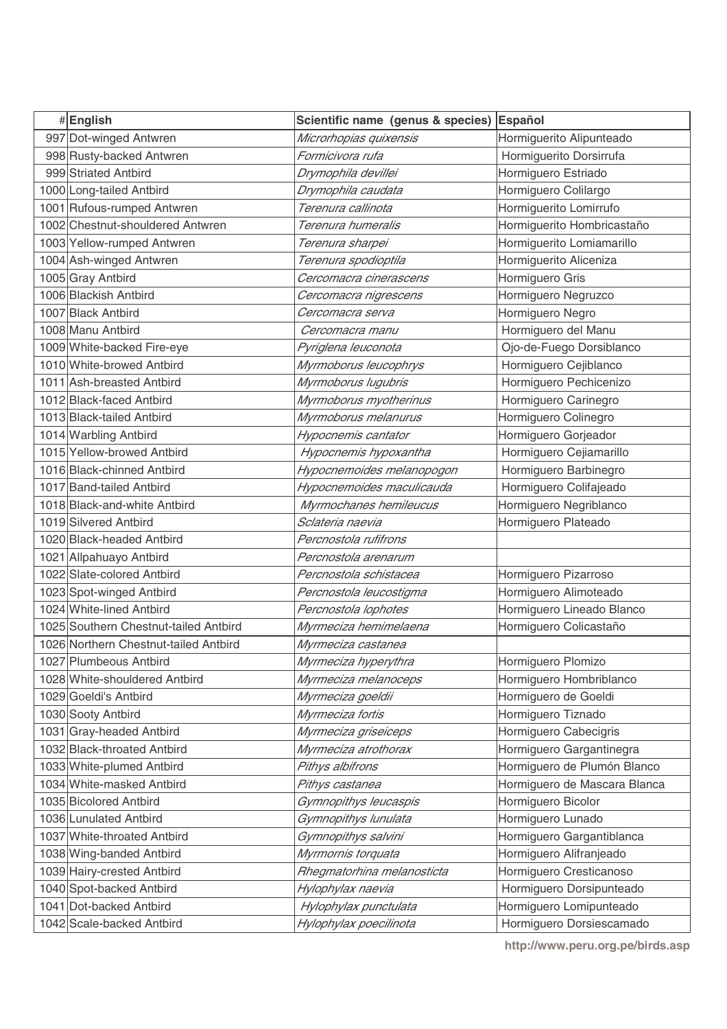| #English                              | Scientific name (genus & species) Español |                              |
|---------------------------------------|-------------------------------------------|------------------------------|
| 997 Dot-winged Antwren                | Microrhopias quixensis                    | Hormiguerito Alipunteado     |
| 998 Rusty-backed Antwren              | Formicivora rufa                          | Hormiguerito Dorsirrufa      |
| 999 Striated Antbird                  | Drymophila devillei                       | Hormiguero Estriado          |
| 1000 Long-tailed Antbird              | Drymophila caudata                        | Hormiguero Colilargo         |
| 1001 Rufous-rumped Antwren            | Terenura callinota                        | Hormiguerito Lomirrufo       |
| 1002 Chestnut-shouldered Antwren      | Terenura humeralis                        | Hormiguerito Hombricastaño   |
| 1003 Yellow-rumped Antwren            | Terenura sharpei                          | Hormiguerito Lomiamarillo    |
| 1004 Ash-winged Antwren               | Terenura spodioptila                      | Hormiguerito Aliceniza       |
| 1005 Gray Antbird                     | Cercomacra cinerascens                    | Hormiguero Gris              |
| 1006 Blackish Antbird                 | Cercomacra nigrescens                     | Hormiguero Negruzco          |
| 1007 Black Antbird                    | Cercomacra serva                          | Hormiguero Negro             |
| 1008 Manu Antbird                     | Cercomacra manu                           | Hormiguero del Manu          |
| 1009 White-backed Fire-eye            | Pyriglena leuconota                       | Ojo-de-Fuego Dorsiblanco     |
| 1010 White-browed Antbird             | Myrmoborus leucophrys                     | Hormiguero Cejiblanco        |
| 1011 Ash-breasted Antbird             | Myrmoborus lugubris                       | Hormiguero Pechicenizo       |
| 1012 Black-faced Antbird              | Myrmoborus myotherinus                    | Hormiguero Carinegro         |
| 1013 Black-tailed Antbird             | Myrmoborus melanurus                      | Hormiguero Colinegro         |
| 1014 Warbling Antbird                 | Hypocnemis cantator                       | Hormiguero Gorjeador         |
| 1015 Yellow-browed Antbird            | Hypocnemis hypoxantha                     | Hormiguero Cejiamarillo      |
| 1016 Black-chinned Antbird            | Hypocnemoides melanopogon                 | Hormiguero Barbinegro        |
| 1017 Band-tailed Antbird              | Hypocnemoides maculicauda                 | Hormiguero Colifajeado       |
| 1018 Black-and-white Antbird          | Myrmochanes hemileucus                    | Hormiguero Negriblanco       |
| 1019 Silvered Antbird                 | Sclateria naevia                          | Hormiguero Plateado          |
| 1020 Black-headed Antbird             | Percnostola rufifrons                     |                              |
| 1021 Allpahuayo Antbird               | Percnostola arenarum                      |                              |
| 1022 Slate-colored Antbird            | Percnostola schistacea                    | Hormiguero Pizarroso         |
| 1023 Spot-winged Antbird              | Percnostola leucostigma                   | Hormiguero Alimoteado        |
| 1024 White-lined Antbird              | Percnostola lophotes                      | Hormiguero Lineado Blanco    |
| 1025 Southern Chestnut-tailed Antbird | Myrmeciza hemimelaena                     | Hormiguero Colicastaño       |
| 1026 Northern Chestnut-tailed Antbird | Myrmeciza castanea                        |                              |
| 1027 Plumbeous Antbird                | Myrmeciza hyperythra                      | Hormiguero Plomizo           |
| 1028 White-shouldered Antbird         | Myrmeciza melanoceps                      | Hormiguero Hombriblanco      |
| 1029 Goeldi's Antbird                 | Myrmeciza goeldii                         | Hormiguero de Goeldi         |
| 1030 Sooty Antbird                    | Myrmeciza fortis                          | Hormiguero Tiznado           |
| 1031 Gray-headed Antbird              | Myrmeciza griseiceps                      | Hormiguero Cabecigris        |
| 1032 Black-throated Antbird           | Myrmeciza atrothorax                      | Hormiguero Gargantinegra     |
| 1033 White-plumed Antbird             | Pithys albifrons                          | Hormiguero de Plumón Blanco  |
| 1034 White-masked Antbird             | Pithys castanea                           | Hormiguero de Mascara Blanca |
| 1035 Bicolored Antbird                | Gymnopithys leucaspis                     | Hormiguero Bicolor           |
| 1036 Lunulated Antbird                | Gymnopithys lunulata                      | Hormiguero Lunado            |
| 1037 White-throated Antbird           | Gymnopithys salvini                       | Hormiguero Gargantiblanca    |
| 1038 Wing-banded Antbird              | Myrmornis torquata                        | Hormiguero Alifranjeado      |
| 1039 Hairy-crested Antbird            | Rhegmatorhina melanosticta                | Hormiguero Cresticanoso      |
| 1040 Spot-backed Antbird              | Hylophylax naevia                         | Hormiguero Dorsipunteado     |
| 1041 Dot-backed Antbird               | Hylophylax punctulata                     | Hormiguero Lomipunteado      |
| 1042 Scale-backed Antbird             | Hylophylax poecilinota                    | Hormiguero Dorsiescamado     |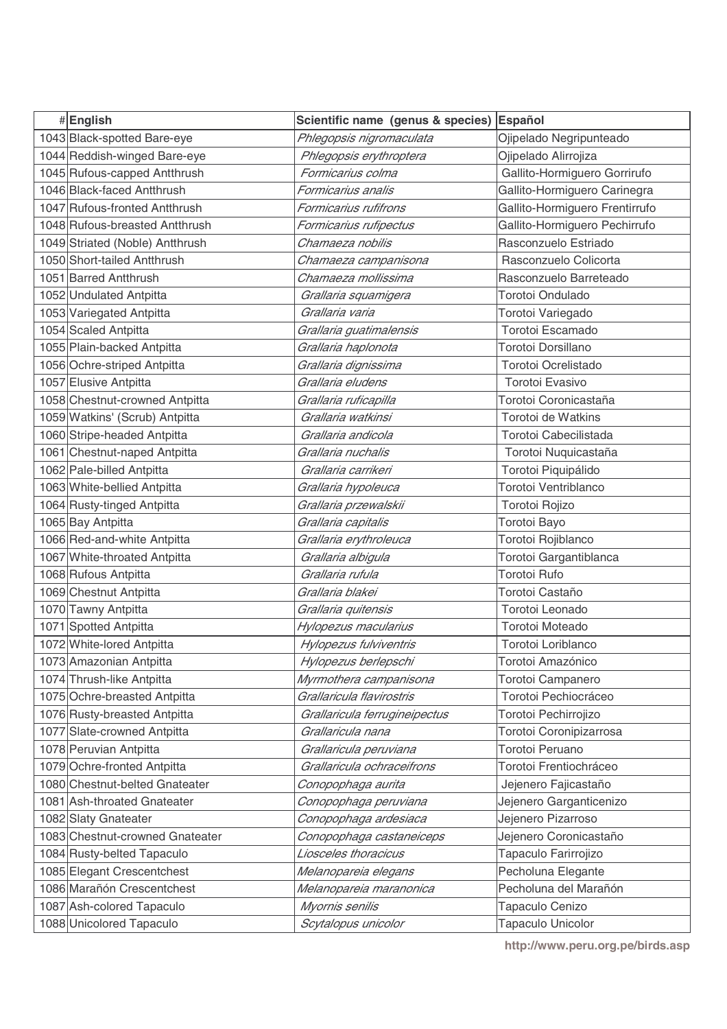| #English                        | Scientific name (genus & species) Español |                                |
|---------------------------------|-------------------------------------------|--------------------------------|
| 1043 Black-spotted Bare-eye     | Phlegopsis nigromaculata                  | Ojipelado Negripunteado        |
| 1044 Reddish-winged Bare-eye    | Phlegopsis erythroptera                   | Ojipelado Alirrojiza           |
| 1045 Rufous-capped Antthrush    | Formicarius colma                         | Gallito-Hormiguero Gorrirufo   |
| 1046 Black-faced Antthrush      | Formicarius analis                        | Gallito-Hormiguero Carinegra   |
| 1047 Rufous-fronted Antthrush   | Formicarius rufifrons                     | Gallito-Hormiguero Frentirrufo |
| 1048 Rufous-breasted Antthrush  | Formicarius rufipectus                    | Gallito-Hormiguero Pechirrufo  |
| 1049 Striated (Noble) Antthrush | Chamaeza nobilis                          | Rasconzuelo Estriado           |
| 1050 Short-tailed Antthrush     | Chamaeza campanisona                      | Rasconzuelo Colicorta          |
| 1051 Barred Antthrush           | Chamaeza mollissima                       | Rasconzuelo Barreteado         |
| 1052 Undulated Antpitta         | Grallaria squamigera                      | Torotoi Ondulado               |
| 1053 Variegated Antpitta        | Grallaria varia                           | Torotoi Variegado              |
| 1054 Scaled Antpitta            | Grallaria guatimalensis                   | Torotoi Escamado               |
| 1055 Plain-backed Antpitta      | Grallaria haplonota                       | Torotoi Dorsillano             |
| 1056 Ochre-striped Antpitta     | Grallaria dignissima                      | Torotoi Ocrelistado            |
| 1057 Elusive Antpitta           | Grallaria eludens                         | <b>Torotoi Evasivo</b>         |
| 1058 Chestnut-crowned Antpitta  | Grallaria ruficapilla                     | Torotoi Coronicastaña          |
| 1059 Watkins' (Scrub) Antpitta  | Grallaria watkinsi                        | Torotoi de Watkins             |
| 1060 Stripe-headed Antpitta     | Grallaria andicola                        | Torotoi Cabecilistada          |
| 1061 Chestnut-naped Antpitta    | Grallaria nuchalis                        | Torotoi Nuquicastaña           |
| 1062 Pale-billed Antpitta       | Grallaria carrikeri                       | Torotoi Piquipálido            |
| 1063 White-bellied Antpitta     | Grallaria hypoleuca                       | Torotoi Ventriblanco           |
| 1064 Rusty-tinged Antpitta      | Grallaria przewalskii                     | Torotoi Rojizo                 |
| 1065 Bay Antpitta               | Grallaria capitalis                       | Torotoi Bayo                   |
| 1066 Red-and-white Antpitta     | Grallaria erythroleuca                    | Torotoi Rojiblanco             |
| 1067 White-throated Antpitta    | Grallaria albigula                        | Torotoi Gargantiblanca         |
| 1068 Rufous Antpitta            | Grallaria rufula                          | Torotoi Rufo                   |
| 1069 Chestnut Antpitta          | Grallaria blakei                          | Torotoi Castaño                |
| 1070 Tawny Antpitta             | Grallaria quitensis                       | Torotoi Leonado                |
| 1071 Spotted Antpitta           | Hylopezus macularius                      | <b>Torotoi Moteado</b>         |
| 1072 White-lored Antpitta       | Hylopezus fulviventris                    | Torotoi Loriblanco             |
| 1073 Amazonian Antpitta         | Hylopezus berlepschi                      | Torotoi Amazónico              |
| 1074 Thrush-like Antpitta       | Myrmothera campanisona                    | Torotoi Campanero              |
| 1075 Ochre-breasted Antpitta    | Grallaricula flavirostris                 | Torotoi Pechiocráceo           |
| 1076 Rusty-breasted Antpitta    | Grallaricula ferrugineipectus             | Torotoi Pechirrojizo           |
| 1077 Slate-crowned Antpitta     | Grallaricula nana                         | Torotoi Coronipizarrosa        |
| 1078 Peruvian Antpitta          | Grallaricula peruviana                    | Torotoi Peruano                |
| 1079 Ochre-fronted Antpitta     | Grallaricula ochraceitrons                | Torotoi Frentiochráceo         |
| 1080 Chestnut-belted Gnateater  | Conopophaga aurita                        | Jejenero Fajicastaño           |
| 1081 Ash-throated Gnateater     | Conopophaga peruviana                     | Jejenero Garganticenizo        |
| 1082 Slaty Gnateater            | Conopophaga ardesiaca                     | Jejenero Pizarroso             |
| 1083 Chestnut-crowned Gnateater | Conopophaga castaneiceps                  | Jejenero Coronicastaño         |
| 1084 Rusty-belted Tapaculo      | Liosceles thoracicus                      | Tapaculo Farirrojizo           |
| 1085 Elegant Crescentchest      | Melanopareia elegans                      | Pecholuna Elegante             |
| 1086 Marañón Crescentchest      | Melanopareia maranonica                   | Pecholuna del Marañón          |
| 1087 Ash-colored Tapaculo       | Myornis senilis                           | Tapaculo Cenizo                |
| 1088 Unicolored Tapaculo        | Scytalopus unicolor                       | Tapaculo Unicolor              |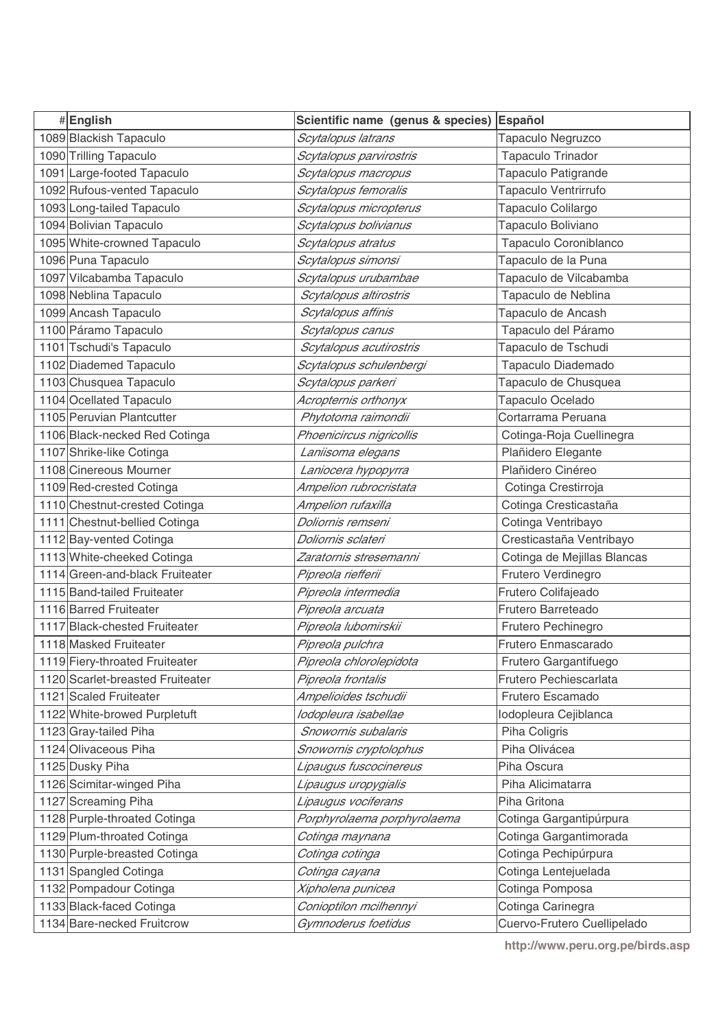| #English                         | Scientific name (genus & species) | Español                     |
|----------------------------------|-----------------------------------|-----------------------------|
| 1089 Blackish Tapaculo           | Scytalopus latrans                | Tapaculo Negruzco           |
| 1090 Trilling Tapaculo           | Scytalopus parvirostris           | Tapaculo Trinador           |
| 1091 Large-footed Tapaculo       | Scytalopus macropus               | Tapaculo Patigrande         |
| 1092 Rufous-vented Tapaculo      | Scytalopus femoralis              | Tapaculo Ventrirrufo        |
| 1093 Long-tailed Tapaculo        | Scytalopus micropterus            | Tapaculo Colilargo          |
| 1094 Bolivian Tapaculo           | Scytalopus bolivianus             | Tapaculo Boliviano          |
| 1095 White-crowned Tapaculo      | Scytalopus atratus                | Tapaculo Coroniblanco       |
| 1096 Puna Tapaculo               | Scytalopus simonsi                | Tapaculo de la Puna         |
| 1097 Vilcabamba Tapaculo         | Scytalopus urubambae              | Tapaculo de Vilcabamba      |
| 1098 Neblina Tapaculo            | Scytalopus altirostris            | Tapaculo de Neblina         |
| 1099 Ancash Tapaculo             | Scytalopus affinis                | Tapaculo de Ancash          |
| 1100 Páramo Tapaculo             | Scytalopus canus                  | Tapaculo del Páramo         |
| 1101 Tschudi's Tapaculo          | Scytalopus acutirostris           | Tapaculo de Tschudi         |
| 1102 Diademed Tapaculo           | Scytalopus schulenbergi           | Tapaculo Diademado          |
| 1103 Chusquea Tapaculo           | Scytalopus parkeri                | Tapaculo de Chusquea        |
| 1104 Ocellated Tapaculo          | Acropternis orthonyx              | Tapaculo Ocelado            |
| 1105 Peruvian Plantcutter        | Phytotoma raimondii               | Cortarrama Peruana          |
| 1106 Black-necked Red Cotinga    | Phoenicircus nigricollis          | Cotinga-Roja Cuellinegra    |
| 1107 Shrike-like Cotinga         | Laniisoma elegans                 | Plañidero Elegante          |
| 1108 Cinereous Mourner           | Laniocera hypopyrra               | Plañidero Cinéreo           |
| 1109 Red-crested Cotinga         | Ampelion rubrocristata            | Cotinga Crestirroja         |
| 1110 Chestnut-crested Cotinga    | Ampelion rufaxilla                | Cotinga Cresticastaña       |
| 1111 Chestnut-bellied Cotinga    | Doliornis remseni                 | Cotinga Ventribayo          |
| 1112 Bay-vented Cotinga          | Doliornis sclateri                | Cresticastaña Ventribayo    |
| 1113 White-cheeked Cotinga       | Zaratornis stresemanni            | Cotinga de Mejillas Blancas |
| 1114 Green-and-black Fruiteater  | Pipreola riefferii                | Frutero Verdinegro          |
| 1115 Band-tailed Fruiteater      | Pipreola intermedia               | Frutero Colifajeado         |
| 1116 Barred Fruiteater           | Pipreola arcuata                  | Frutero Barreteado          |
| 1117 Black-chested Fruiteater    | Pipreola lubomirskii              | Frutero Pechinegro          |
| 1118 Masked Fruiteater           | Pipreola pulchra                  | Frutero Enmascarado         |
| 1119 Fiery-throated Fruiteater   | Pipreola chlorolepidota           | Frutero Gargantifuego       |
| 1120 Scarlet-breasted Fruiteater | Pipreola frontalis                | Frutero Pechiescarlata      |
| 1121 Scaled Fruiteater           | Ampelioides tschudii              | Frutero Escamado            |
| 1122 White-browed Purpletuft     | lodopleura isabellae              | Iodopleura Cejiblanca       |
| 1123 Gray-tailed Piha            | Snowornis subalaris               | Piha Coligris               |
| 1124 Olivaceous Piha             | Snowornis cryptolophus            | Piha Olivácea               |
| 1125 Dusky Piha                  | Lipaugus fuscocinereus            | Piha Oscura                 |
| 1126 Scimitar-winged Piha        | Lipaugus uropygialis              | Piha Alicimatarra           |
| 1127 Screaming Piha              | Lipaugus vociferans               | Piha Gritona                |
| 1128 Purple-throated Cotinga     | Porphyrolaema porphyrolaema       | Cotinga Gargantipúrpura     |
| 1129 Plum-throated Cotinga       | Cotinga maynana                   | Cotinga Gargantimorada      |
| 1130 Purple-breasted Cotinga     | Cotinga cotinga                   | Cotinga Pechipúrpura        |
| 1131 Spangled Cotinga            | Cotinga cayana                    | Cotinga Lentejuelada        |
| 1132 Pompadour Cotinga           | Xipholena punicea                 | Cotinga Pomposa             |
| 1133 Black-faced Cotinga         | Conioptilon mcilhennyi            | Cotinga Carinegra           |
| 1134 Bare-necked Fruitcrow       | Gymnoderus foetidus               | Cuervo-Frutero Cuellipelado |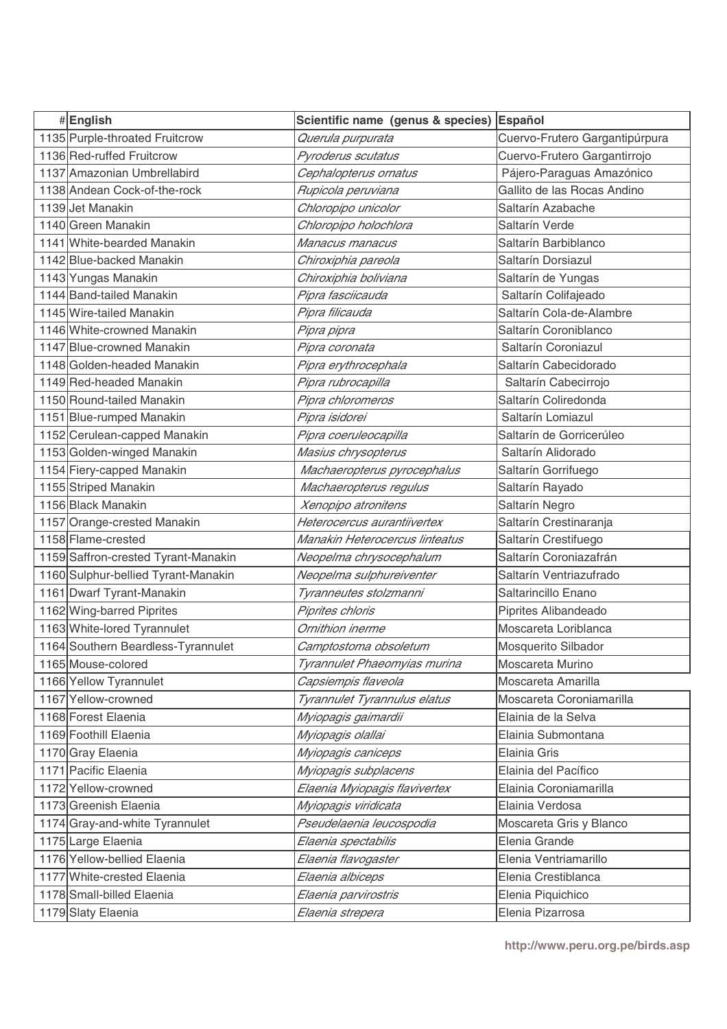| #English                            | Scientific name (genus & species) | Español                        |
|-------------------------------------|-----------------------------------|--------------------------------|
| 1135 Purple-throated Fruitcrow      | Querula purpurata                 | Cuervo-Frutero Gargantipúrpura |
| 1136 Red-ruffed Fruitcrow           | Pyroderus scutatus                | Cuervo-Frutero Gargantirrojo   |
| 1137 Amazonian Umbrellabird         | Cephalopterus ornatus             | Pájero-Paraguas Amazónico      |
| 1138 Andean Cock-of-the-rock        | Rupicola peruviana                | Gallito de las Rocas Andino    |
| 1139 Jet Manakin                    | Chloropipo unicolor               | Saltarín Azabache              |
| 1140 Green Manakin                  | Chloropipo holochlora             | Saltarín Verde                 |
| 1141 White-bearded Manakin          | Manacus manacus                   | Saltarín Barbiblanco           |
| 1142 Blue-backed Manakin            | Chiroxiphia pareola               | Saltarín Dorsiazul             |
| 1143 Yungas Manakin                 | Chiroxiphia boliviana             | Saltarín de Yungas             |
| 1144 Band-tailed Manakin            | Pipra fasciicauda                 | Saltarín Colifajeado           |
| 1145 Wire-tailed Manakin            | Pipra filicauda                   | Saltarín Cola-de-Alambre       |
| 1146 White-crowned Manakin          | Pipra pipra                       | Saltarín Coroniblanco          |
| 1147 Blue-crowned Manakin           | Pipra coronata                    | Saltarín Coroniazul            |
| 1148 Golden-headed Manakin          | Pipra erythrocephala              | Saltarín Cabecidorado          |
| 1149 Red-headed Manakin             | Pipra rubrocapilla                | Saltarín Cabecirrojo           |
| 1150 Round-tailed Manakin           | Pipra chloromeros                 | Saltarín Coliredonda           |
| 1151 Blue-rumped Manakin            | Pipra isidorei                    | Saltarín Lomiazul              |
| 1152 Cerulean-capped Manakin        | Pipra coeruleocapilla             | Saltarín de Gorricerúleo       |
| 1153 Golden-winged Manakin          | Masius chrysopterus               | Saltarín Alidorado             |
| 1154 Fiery-capped Manakin           | Machaeropterus pyrocephalus       | Saltarín Gorrifuego            |
| 1155 Striped Manakin                | Machaeropterus regulus            | Saltarín Rayado                |
| 1156 Black Manakin                  | Xenopipo atronitens               | Saltarín Negro                 |
| 1157 Orange-crested Manakin         | Heterocercus aurantiivertex       | Saltarín Crestinaranja         |
| 1158 Flame-crested                  | Manakin Heterocercus linteatus    | Saltarín Crestifuego           |
| 1159 Saffron-crested Tyrant-Manakin | Neopelma chrysocephalum           | Saltarín Coroniazafrán         |
| 1160 Sulphur-bellied Tyrant-Manakin | Neopelma sulphureiventer          | Saltarín Ventriazufrado        |
| 1161 Dwarf Tyrant-Manakin           | Tyranneutes stolzmanni            | Saltarincillo Enano            |
| 1162 Wing-barred Piprites           | Piprites chloris                  | Piprites Alibandeado           |
| 1163 White-lored Tyrannulet         | Ornithion inerme                  | Moscareta Loriblanca           |
| 1164 Southern Beardless-Tyrannulet  | Camptostoma obsoletum             | Mosquerito Silbador            |
| 1165 Mouse-colored                  | Tyrannulet Phaeomyias murina      | Moscareta Murino               |
| 1166 Yellow Tyrannulet              | Capsiempis flaveola               | Moscareta Amarilla             |
| 1167 Yellow-crowned                 | Tyrannulet Tyrannulus elatus      | Moscareta Coroniamarilla       |
| 1168 Forest Elaenia                 | Myiopagis gaimardii               | Elainia de la Selva            |
| 1169 Foothill Elaenia               | Myiopagis olallai                 | Elainia Submontana             |
| 1170 Gray Elaenia                   | Myiopagis caniceps                | Elainia Gris                   |
| 1171 Pacific Elaenia                | Myiopagis subplacens              | Elainia del Pacífico           |
| 1172 Yellow-crowned                 | Elaenia Myiopagis flavivertex     | Elainia Coroniamarilla         |
| 1173 Greenish Elaenia               | Myiopagis viridicata              | Elainia Verdosa                |
| 1174 Gray-and-white Tyrannulet      | Pseudelaenia leucospodia          | Moscareta Gris y Blanco        |
| 1175 Large Elaenia                  | Elaenia spectabilis               | Elenia Grande                  |
| 1176 Yellow-bellied Elaenia         | Elaenia flavogaster               | Elenia Ventriamarillo          |
| 1177 White-crested Elaenia          | Elaenia albiceps                  | Elenia Crestiblanca            |
| 1178 Small-billed Elaenia           | Elaenia parvirostris              | Elenia Piquichico              |
| 1179 Slaty Elaenia                  | Elaenia strepera                  | Elenia Pizarrosa               |
|                                     |                                   |                                |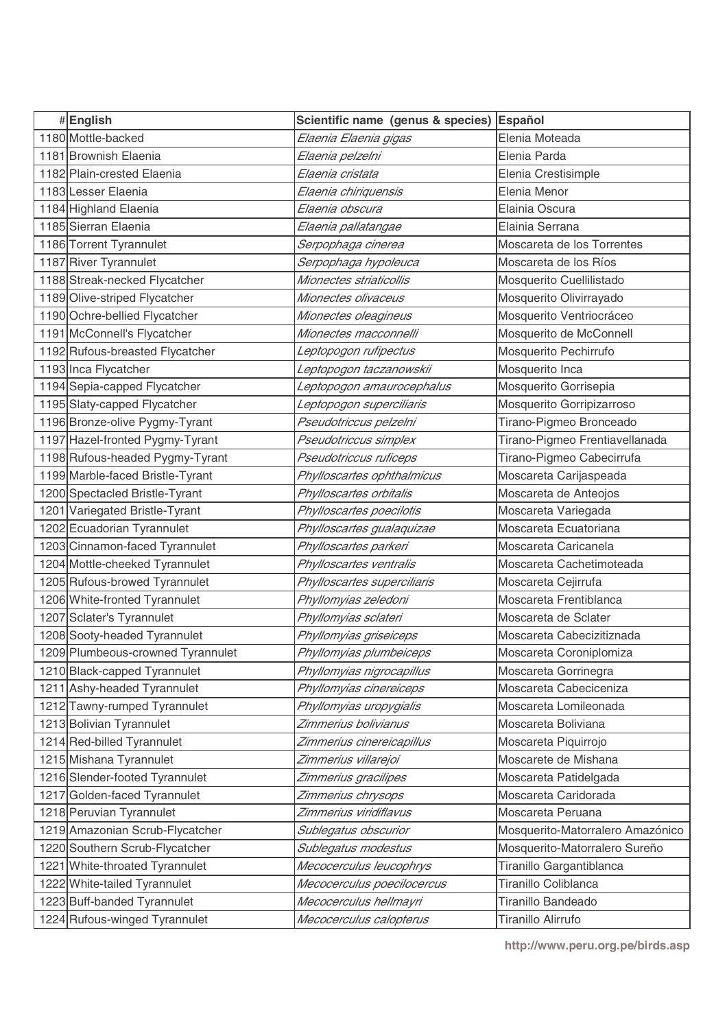| #English                          | Scientific name (genus & species) | Español                          |
|-----------------------------------|-----------------------------------|----------------------------------|
| 1180 Mottle-backed                | Elaenia Elaenia gigas             | Elenia Moteada                   |
| 1181 Brownish Elaenia             | Elaenia pelzelni                  | Elenia Parda                     |
| 1182 Plain-crested Elaenia        | Elaenia cristata                  | Elenia Crestisimple              |
| 1183 Lesser Elaenia               | Elaenia chiriquensis              | Elenia Menor                     |
| 1184 Highland Elaenia             | Elaenia obscura                   | Elainia Oscura                   |
| 1185 Sierran Elaenia              | Elaenia pallatangae               | Elainia Serrana                  |
| 1186 Torrent Tyrannulet           | Serpophaga cinerea                | Moscareta de los Torrentes       |
| 1187 River Tyrannulet             | Serpophaga hypoleuca              | Moscareta de los Ríos            |
| 1188 Streak-necked Flycatcher     | Mionectes striaticollis           | Mosquerito Cuellilistado         |
| 1189 Olive-striped Flycatcher     | Mionectes olivaceus               | Mosquerito Olivirrayado          |
| 1190 Ochre-bellied Flycatcher     | Mionectes oleagineus              | Mosquerito Ventriocráceo         |
| 1191 McConnell's Flycatcher       | Mionectes macconnelli             | Mosquerito de McConnell          |
| 1192 Rufous-breasted Flycatcher   | Leptopogon rufipectus             | Mosquerito Pechirrufo            |
| 1193 Inca Flycatcher              | Leptopogon taczanowskii           | Mosquerito Inca                  |
| 1194 Sepia-capped Flycatcher      | Leptopogon amaurocephalus         | Mosquerito Gorrisepia            |
| 1195 Slaty-capped Flycatcher      | Leptopogon superciliaris          | Mosquerito Gorripizarroso        |
| 1196 Bronze-olive Pygmy-Tyrant    | Pseudotriccus pelzelni            | Tirano-Pigmeo Bronceado          |
| 1197 Hazel-fronted Pygmy-Tyrant   | Pseudotriccus simplex             | Tirano-Pigmeo Frentiavellanada   |
| 1198 Rufous-headed Pygmy-Tyrant   | Pseudotriccus ruficeps            | Tirano-Pigmeo Cabecirrufa        |
| 1199 Marble-faced Bristle-Tyrant  | Phylloscartes ophthalmicus        | Moscareta Carijaspeada           |
| 1200 Spectacled Bristle-Tyrant    | Phylloscartes orbitalis           | Moscareta de Anteojos            |
| 1201 Variegated Bristle-Tyrant    | Phylloscartes poecilotis          | Moscareta Variegada              |
| 1202 Ecuadorian Tyrannulet        | Phylloscartes gualaquizae         | Moscareta Ecuatoriana            |
| 1203 Cinnamon-faced Tyrannulet    | Phylloscartes parkeri             | Moscareta Caricanela             |
| 1204 Mottle-cheeked Tyrannulet    | Phylloscartes ventralis           | Moscareta Cachetimoteada         |
| 1205 Rufous-browed Tyrannulet     | Phylloscartes superciliaris       | Moscareta Cejirrufa              |
| 1206 White-fronted Tyrannulet     | Phyllomyias zeledoni              | Moscareta Frentiblanca           |
| 1207 Sclater's Tyrannulet         | Phyllomyias sclateri              | Moscareta de Sclater             |
| 1208 Sooty-headed Tyrannulet      | Phyllomyias griseiceps            | Moscareta Cabecizitiznada        |
| 1209 Plumbeous-crowned Tyrannulet | Phyllomyias plumbeiceps           | Moscareta Coroniplomiza          |
| 1210 Black-capped Tyrannulet      | Phyllomyias nigrocapillus         | Moscareta Gorrinegra             |
| 1211 Ashy-headed Tyrannulet       | Phyllomyias cinereiceps           | Moscareta Cabeciceniza           |
| 1212 Tawny-rumped Tyrannulet      | Phyllomyias uropygialis           | Moscareta Lomileonada            |
| 1213 Bolivian Tyrannulet          | Zimmerius bolivianus              | Moscareta Boliviana              |
| 1214 Red-billed Tyrannulet        | Zimmerius cinereicapillus         | Moscareta Piquirrojo             |
| 1215 Mishana Tyrannulet           | Zimmerius villarejoi              | Moscarete de Mishana             |
| 1216 Slender-footed Tyrannulet    | Zimmerius gracilipes              | Moscareta Patidelgada            |
| 1217 Golden-faced Tyrannulet      | Zimmerius chrysops                | Moscareta Caridorada             |
| 1218 Peruvian Tyrannulet          | Zimmerius viridiflavus            | Moscareta Peruana                |
| 1219 Amazonian Scrub-Flycatcher   | Sublegatus obscurior              | Mosquerito-Matorralero Amazónico |
| 1220 Southern Scrub-Flycatcher    | Sublegatus modestus               | Mosquerito-Matorralero Sureño    |
| 1221 White-throated Tyrannulet    | Mecocerculus leucophrys           | Tiranillo Gargantiblanca         |
| 1222 White-tailed Tyrannulet      | Mecocerculus poecilocercus        | Tiranillo Coliblanca             |
| 1223 Buff-banded Tyrannulet       | Mecocerculus hellmayri            | Tiranillo Bandeado               |
| 1224 Rufous-winged Tyrannulet     | Mecocerculus calopterus           | Tiranillo Alirrufo               |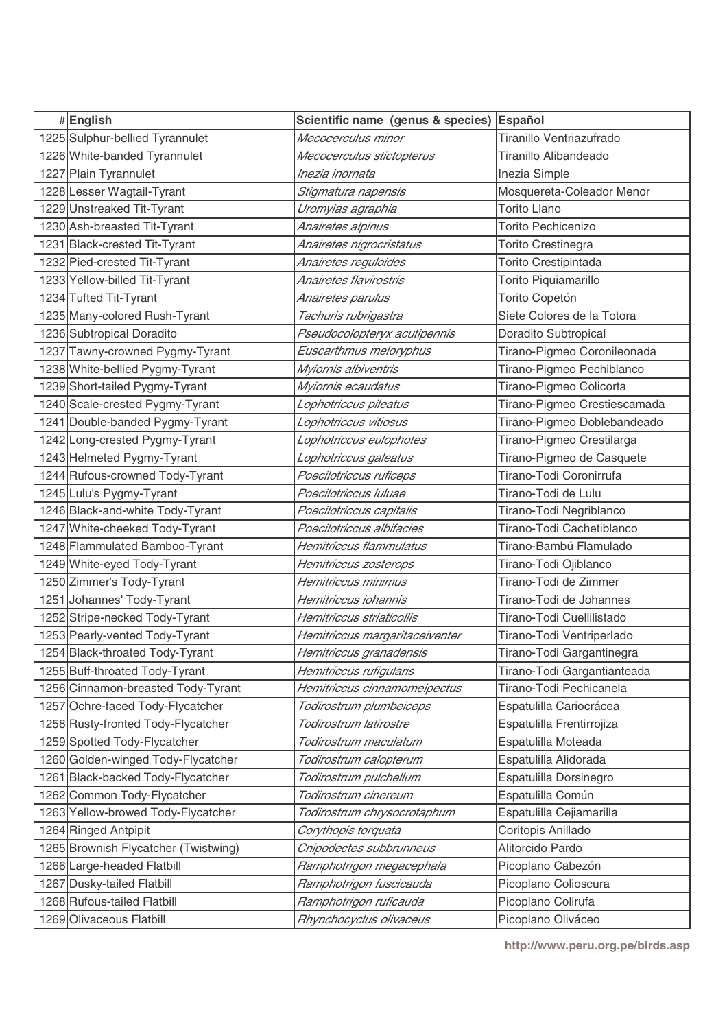| #English                             | Scientific name (genus & species) | Español                      |
|--------------------------------------|-----------------------------------|------------------------------|
| 1225 Sulphur-bellied Tyrannulet      | Mecocerculus minor                | Tiranillo Ventriazufrado     |
| 1226 White-banded Tyrannulet         | Mecocerculus stictopterus         | Tiranillo Alibandeado        |
| 1227 Plain Tyrannulet                | Inezia inornata                   | Inezia Simple                |
| 1228 Lesser Wagtail-Tyrant           | Stigmatura napensis               | Mosquereta-Coleador Menor    |
| 1229 Unstreaked Tit-Tyrant           | Uromyias agraphia                 | <b>Torito Llano</b>          |
| 1230 Ash-breasted Tit-Tyrant         | Anairetes alpinus                 | <b>Torito Pechicenizo</b>    |
| 1231 Black-crested Tit-Tyrant        | Anairetes nigrocristatus          | Torito Crestinegra           |
| 1232 Pied-crested Tit-Tyrant         | Anairetes reguloides              | Torito Crestipintada         |
| 1233 Yellow-billed Tit-Tyrant        | Anairetes flavirostris            | Torito Piquiamarillo         |
| 1234 Tufted Tit-Tyrant               | Anairetes parulus                 | Torito Copetón               |
| 1235 Many-colored Rush-Tyrant        | Tachuris rubrigastra              | Siete Colores de la Totora   |
| 1236 Subtropical Doradito            | Pseudocolopteryx acutipennis      | Doradito Subtropical         |
| 1237 Tawny-crowned Pygmy-Tyrant      | Euscarthmus meloryphus            | Tirano-Pigmeo Coronileonada  |
| 1238 White-bellied Pygmy-Tyrant      | Myiornis albiventris              | Tirano-Pigmeo Pechiblanco    |
| 1239 Short-tailed Pygmy-Tyrant       | Myiornis ecaudatus                | Tirano-Pigmeo Colicorta      |
| 1240 Scale-crested Pygmy-Tyrant      | Lophotriccus pileatus             | Tirano-Pigmeo Crestiescamada |
| 1241 Double-banded Pygmy-Tyrant      | Lophotriccus vitiosus             | Tirano-Pigmeo Doblebandeado  |
| 1242 Long-crested Pygmy-Tyrant       | Lophotriccus eulophotes           | Tirano-Pigmeo Crestilarga    |
| 1243 Helmeted Pygmy-Tyrant           | Lophotriccus galeatus             | Tirano-Pigmeo de Casquete    |
| 1244 Rufous-crowned Tody-Tyrant      | Poecilotriccus ruficeps           | Tirano-Todi Coronirrufa      |
| 1245 Lulu's Pygmy-Tyrant             | Poecilotriccus Iuluae             | Tirano-Todi de Lulu          |
| 1246 Black-and-white Tody-Tyrant     | Poecilotriccus capitalis          | Tirano-Todi Negriblanco      |
| 1247 White-cheeked Tody-Tyrant       | Poecilotriccus albifacies         | Tirano-Todi Cachetiblanco    |
| 1248 Flammulated Bamboo-Tyrant       | Hemitriccus flammulatus           | Tirano-Bambú Flamulado       |
| 1249 White-eyed Tody-Tyrant          | Hemitriccus zosterops             | Tirano-Todi Ojiblanco        |
| 1250 Zimmer's Tody-Tyrant            | Hemitriccus minimus               | Tirano-Todi de Zimmer        |
| 1251 Johannes' Tody-Tyrant           | Hemitriccus iohannis              | Tirano-Todi de Johannes      |
| 1252 Stripe-necked Tody-Tyrant       | Hemitriccus striaticollis         | Tirano-Todi Cuellilistado    |
| 1253 Pearly-vented Tody-Tyrant       | Hemitriccus margaritaceiventer    | Tirano-Todi Ventriperlado    |
| 1254 Black-throated Tody-Tyrant      | Hemitriccus granadensis           | Tirano-Todi Gargantinegra    |
| 1255 Buff-throated Tody-Tyrant       | Hemitriccus rufigularis           | Tirano-Todi Gargantianteada  |
| 1256 Cinnamon-breasted Tody-Tyrant   | Hemitriccus cinnamomeipectus      | Tirano-Todi Pechicanela      |
| 1257 Ochre-faced Tody-Flycatcher     | Todirostrum plumbeiceps           | Espatulilla Cariocrácea      |
| 1258 Rusty-fronted Tody-Flycatcher   | Todirostrum latirostre            | Espatulilla Frentirrojiza    |
| 1259 Spotted Tody-Flycatcher         | Todirostrum maculatum             | Espatulilla Moteada          |
| 1260 Golden-winged Tody-Flycatcher   | Todirostrum calopterum            | Espatulilla Alidorada        |
| 1261 Black-backed Tody-Flycatcher    | Todirostrum pulchellum            | Espatulilla Dorsinegro       |
| 1262 Common Tody-Flycatcher          | Todirostrum cinereum              | Espatulilla Común            |
| 1263 Yellow-browed Tody-Flycatcher   | Todirostrum chrysocrotaphum       | Espatulilla Cejiamarilla     |
| 1264 Ringed Antpipit                 | Corythopis torquata               | Coritopis Anillado           |
| 1265 Brownish Flycatcher (Twistwing) | Cnipodectes subbrunneus           | Alitorcido Pardo             |
| 1266 Large-headed Flatbill           | Ramphotrigon megacephala          | Picoplano Cabezón            |
| 1267 Dusky-tailed Flatbill           | Ramphotrigon fuscicauda           | Picoplano Colioscura         |
| 1268 Rufous-tailed Flatbill          | Ramphotrigon ruficauda            | Picoplano Colirufa           |
| 1269 Olivaceous Flatbill             | Rhynchocyclus olivaceus           | Picoplano Oliváceo           |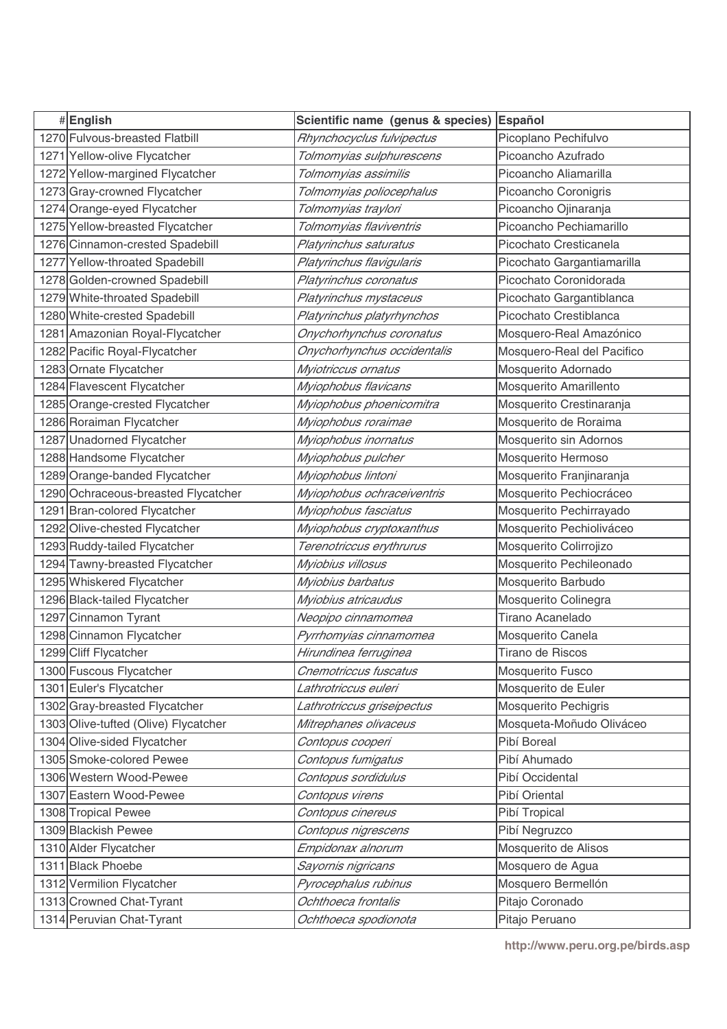| #English                             | Scientific name (genus & species) | Español                     |
|--------------------------------------|-----------------------------------|-----------------------------|
| 1270 Fulvous-breasted Flatbill       | Rhynchocyclus fulvipectus         | Picoplano Pechifulvo        |
| 1271 Yellow-olive Flycatcher         | Tolmomyias sulphurescens          | Picoancho Azufrado          |
| 1272 Yellow-margined Flycatcher      | Tolmomyias assimilis              | Picoancho Aliamarilla       |
| 1273 Gray-crowned Flycatcher         | Tolmomyias poliocephalus          | Picoancho Coronigris        |
| 1274 Orange-eyed Flycatcher          | Tolmomyias traylori               | Picoancho Ojinaranja        |
| 1275 Yellow-breasted Flycatcher      | Tolmomyias flaviventris           | Picoancho Pechiamarillo     |
| 1276 Cinnamon-crested Spadebill      | Platyrinchus saturatus            | Picochato Cresticanela      |
| 1277 Yellow-throated Spadebill       | Platyrinchus flavigularis         | Picochato Gargantiamarilla  |
| 1278 Golden-crowned Spadebill        | Platyrinchus coronatus            | Picochato Coronidorada      |
| 1279 White-throated Spadebill        | Platyrinchus mystaceus            | Picochato Gargantiblanca    |
| 1280 White-crested Spadebill         | Platyrinchus platyrhynchos        | Picochato Crestiblanca      |
| 1281 Amazonian Royal-Flycatcher      | Onychorhynchus coronatus          | Mosquero-Real Amazónico     |
| 1282 Pacific Royal-Flycatcher        | Onychorhynchus occidentalis       | Mosquero-Real del Pacifico  |
| 1283 Ornate Flycatcher               | Myiotriccus ornatus               | Mosquerito Adornado         |
| 1284 Flavescent Flycatcher           | Myiophobus flavicans              | Mosquerito Amarillento      |
| 1285 Orange-crested Flycatcher       | Myiophobus phoenicomitra          | Mosquerito Crestinaranja    |
| 1286 Roraiman Flycatcher             | Myiophobus roraimae               | Mosquerito de Roraima       |
| 1287 Unadorned Flycatcher            | Myiophobus inornatus              | Mosquerito sin Adornos      |
| 1288 Handsome Flycatcher             | Myiophobus pulcher                | Mosquerito Hermoso          |
| 1289 Orange-banded Flycatcher        | Myiophobus lintoni                | Mosquerito Franjinaranja    |
| 1290 Ochraceous-breasted Flycatcher  | Myiophobus ochraceiventris        | Mosquerito Pechiocráceo     |
| 1291 Bran-colored Flycatcher         | Myiophobus fasciatus              | Mosquerito Pechirrayado     |
| 1292 Olive-chested Flycatcher        | Myiophobus cryptoxanthus          | Mosquerito Pechioliváceo    |
| 1293 Ruddy-tailed Flycatcher         | Terenotriccus erythrurus          | Mosquerito Colirrojizo      |
| 1294 Tawny-breasted Flycatcher       | Myiobius villosus                 | Mosquerito Pechileonado     |
| 1295 Whiskered Flycatcher            | Myiobius barbatus                 | Mosquerito Barbudo          |
| 1296 Black-tailed Flycatcher         | Myiobius atricaudus               | Mosquerito Colinegra        |
| 1297 Cinnamon Tyrant                 | Neopipo cinnamomea                | Tirano Acanelado            |
| 1298 Cinnamon Flycatcher             | Pyrrhomyias cinnamomea            | Mosquerito Canela           |
| 1299 Cliff Flycatcher                | Hirundinea ferruginea             | Tirano de Riscos            |
| 1300 Fuscous Flycatcher              | Cnemotriccus fuscatus             | Mosquerito Fusco            |
| 1301 Euler's Flycatcher              | Lathrotriccus euleri              | Mosquerito de Euler         |
| 1302 Gray-breasted Flycatcher        | Lathrotriccus griseipectus        | <b>Mosquerito Pechigris</b> |
| 1303 Olive-tufted (Olive) Flycatcher | Mitrephanes olivaceus             | Mosqueta-Moñudo Oliváceo    |
| 1304 Olive-sided Flycatcher          | Contopus cooperi                  | Pibí Boreal                 |
| 1305 Smoke-colored Pewee             | Contopus fumigatus                | Pibí Ahumado                |
| 1306 Western Wood-Pewee              | Contopus sordidulus               | Pibí Occidental             |
| 1307 Eastern Wood-Pewee              | Contopus virens                   | Pibí Oriental               |
| 1308 Tropical Pewee                  | Contopus cinereus                 | Pibí Tropical               |
| 1309 Blackish Pewee                  | Contopus nigrescens               | Pibí Negruzco               |
| 1310 Alder Flycatcher                | Empidonax alnorum                 | Mosquerito de Alisos        |
| 1311 Black Phoebe                    | Sayornis nigricans                | Mosquero de Agua            |
| 1312 Vermilion Flycatcher            | Pyrocephalus rubinus              | Mosquero Bermellón          |
| 1313 Crowned Chat-Tyrant             | Ochthoeca frontalis               | Pitajo Coronado             |
| 1314 Peruvian Chat-Tyrant            | Ochthoeca spodionota              | Pitajo Peruano              |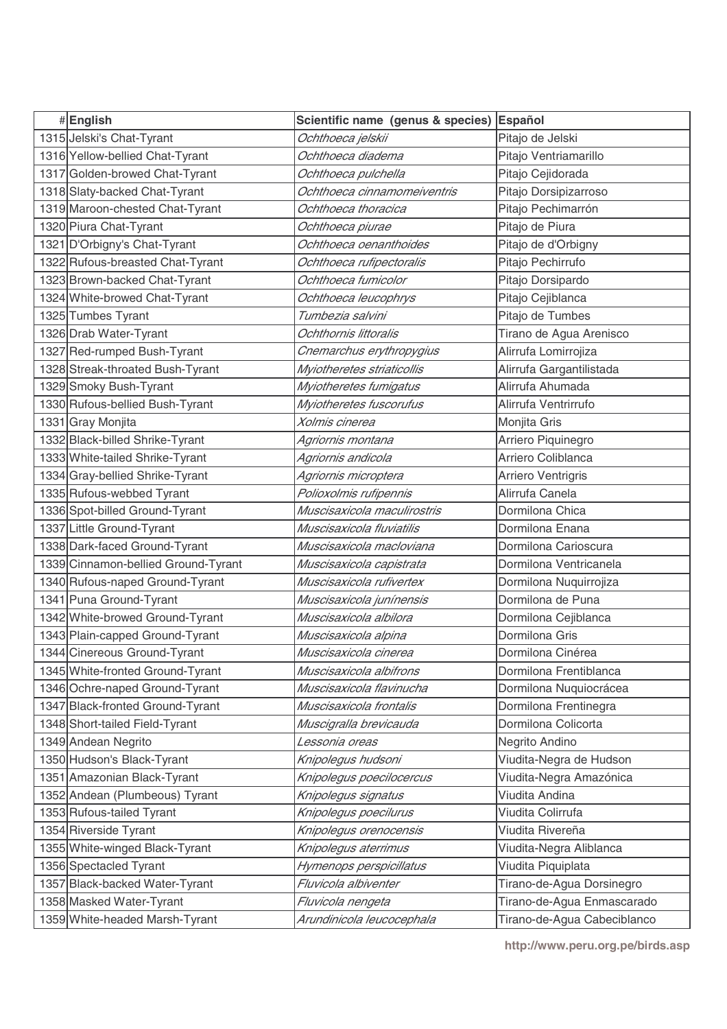| #English                            | Scientific name (genus & species) | Español                     |
|-------------------------------------|-----------------------------------|-----------------------------|
| 1315 Jelski's Chat-Tyrant           | Ochthoeca jelskii                 | Pitajo de Jelski            |
| 1316 Yellow-bellied Chat-Tyrant     | Ochthoeca diadema                 | Pitajo Ventriamarillo       |
| 1317 Golden-browed Chat-Tyrant      | Ochthoeca pulchella               | Pitajo Cejidorada           |
| 1318 Slaty-backed Chat-Tyrant       | Ochthoeca cinnamomeiventris       | Pitajo Dorsipizarroso       |
| 1319 Maroon-chested Chat-Tyrant     | Ochthoeca thoracica               | Pitajo Pechimarrón          |
| 1320 Piura Chat-Tyrant              | Ochthoeca piurae                  | Pitajo de Piura             |
| 1321 D'Orbigny's Chat-Tyrant        | Ochthoeca oenanthoides            | Pitajo de d'Orbigny         |
| 1322 Rufous-breasted Chat-Tyrant    | Ochthoeca rufipectoralis          | Pitajo Pechirrufo           |
| 1323 Brown-backed Chat-Tyrant       | Ochthoeca fumicolor               | Pitajo Dorsipardo           |
| 1324 White-browed Chat-Tyrant       | Ochthoeca leucophrys              | Pitajo Cejiblanca           |
| 1325 Tumbes Tyrant                  | Tumbezia salvini                  | Pitajo de Tumbes            |
| 1326 Drab Water-Tyrant              | Ochthornis littoralis             | Tirano de Agua Arenisco     |
| 1327 Red-rumped Bush-Tyrant         | Cnemarchus erythropygius          | Alirrufa Lomirrojiza        |
| 1328 Streak-throated Bush-Tyrant    | Myiotheretes striaticollis        | Alirrufa Gargantilistada    |
| 1329 Smoky Bush-Tyrant              | Myiotheretes fumigatus            | Alirrufa Ahumada            |
| 1330 Rufous-bellied Bush-Tyrant     | Myiotheretes fuscorufus           | Alirrufa Ventrirrufo        |
| 1331 Gray Monjita                   | Xolmis cinerea                    | Monjita Gris                |
| 1332 Black-billed Shrike-Tyrant     | Agriornis montana                 | Arriero Piquinegro          |
| 1333 White-tailed Shrike-Tyrant     | Agriornis andicola                | Arriero Coliblanca          |
| 1334 Gray-bellied Shrike-Tyrant     | Agriornis microptera              | Arriero Ventrigris          |
| 1335 Rufous-webbed Tyrant           | Polioxolmis rufipennis            | Alirrufa Canela             |
| 1336 Spot-billed Ground-Tyrant      | Muscisaxicola maculirostris       | Dormilona Chica             |
| 1337 Little Ground-Tyrant           | Muscisaxicola fluviatilis         | Dormilona Enana             |
| 1338 Dark-faced Ground-Tyrant       | Muscisaxicola macloviana          | Dormilona Carioscura        |
| 1339 Cinnamon-bellied Ground-Tyrant | Muscisaxicola capistrata          | Dormilona Ventricanela      |
| 1340 Rufous-naped Ground-Tyrant     | Muscisaxicola rufivertex          | Dormilona Nuquirrojiza      |
| 1341 Puna Ground-Tyrant             | Muscisaxicola junínensis          | Dormilona de Puna           |
| 1342 White-browed Ground-Tyrant     | Muscisaxicola albilora            | Dormilona Cejiblanca        |
| 1343 Plain-capped Ground-Tyrant     | Muscisaxicola alpina              | Dormilona Gris              |
| 1344 Cinereous Ground-Tyrant        | Muscisaxicola cinerea             | Dormilona Cinérea           |
| 1345 White-fronted Ground-Tyrant    | Muscisaxicola albifrons           | Dormilona Frentiblanca      |
| 1346 Ochre-naped Ground-Tyrant      | Muscisaxicola flavinucha          | Dormilona Nuquiocrácea      |
| 1347 Black-fronted Ground-Tyrant    | Muscisaxicola frontalis           | Dormilona Frentinegra       |
| 1348 Short-tailed Field-Tyrant      | Muscigralla brevicauda            | Dormilona Colicorta         |
| 1349 Andean Negrito                 | L <i>essonia oreas</i>            | Negrito Andino              |
| 1350 Hudson's Black-Tyrant          | Knipolegus hudsoni                | Viudita-Negra de Hudson     |
| 1351 Amazonian Black-Tyrant         | Knipolegus poecilocercus          | Viudita-Negra Amazónica     |
| 1352 Andean (Plumbeous) Tyrant      | Knipolegus signatus               | Viudita Andina              |
| 1353 Rufous-tailed Tyrant           | Knipolegus poecilurus             | Viudita Colirrufa           |
| 1354 Riverside Tyrant               | Knipolegus orenocensis            | Viudita Rivereña            |
| 1355 White-winged Black-Tyrant      | Knipolegus aterrimus              | Viudita-Negra Aliblanca     |
| 1356 Spectacled Tyrant              | Hymenops perspicillatus           | Viudita Piquiplata          |
| 1357 Black-backed Water-Tyrant      | Fluvicola albiventer              | Tirano-de-Agua Dorsinegro   |
| 1358 Masked Water-Tyrant            | Fluvicola nengeta                 | Tirano-de-Agua Enmascarado  |
| 1359 White-headed Marsh-Tyrant      | Arundinicola leucocephala         | Tirano-de-Agua Cabeciblanco |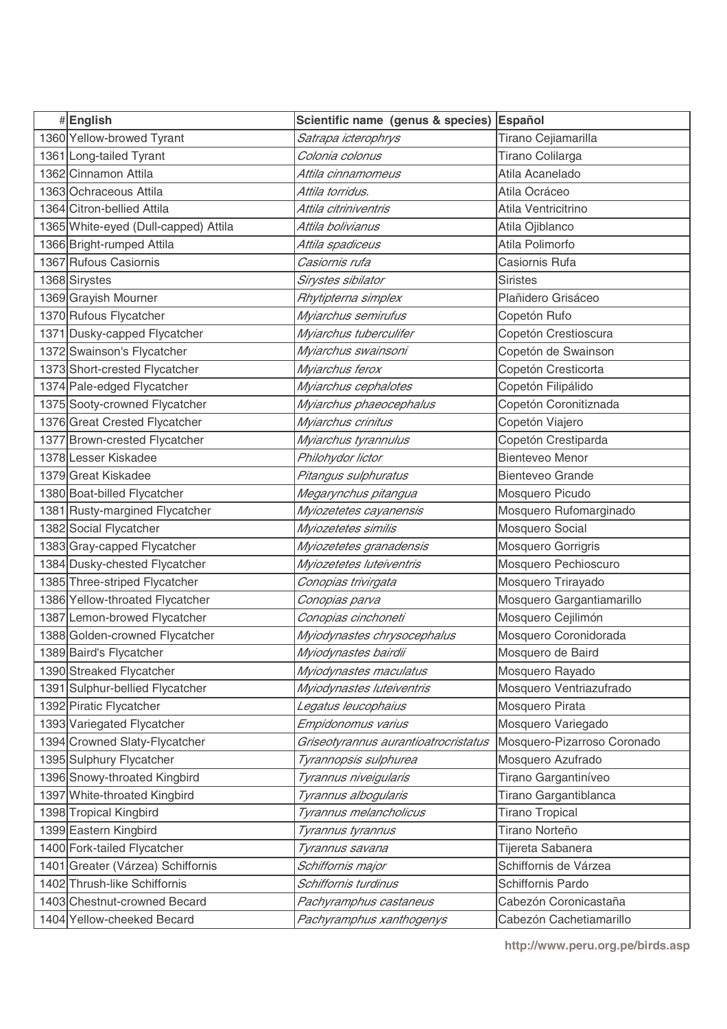| #English                             | Scientific name (genus & species)    | Español                     |
|--------------------------------------|--------------------------------------|-----------------------------|
| 1360 Yellow-browed Tyrant            | Satrapa icterophrys                  | Tirano Cejiamarilla         |
| 1361 Long-tailed Tyrant              | Colonia colonus                      | Tirano Colilarga            |
| 1362 Cinnamon Attila                 | Attila cinnamomeus                   | Atila Acanelado             |
| 1363 Ochraceous Attila               | Attila torridus.                     | Atila Ocráceo               |
| 1364 Citron-bellied Attila           | Attila citriniventris                | Atila Ventricitrino         |
| 1365 White-eyed (Dull-capped) Attila | Attila bolivianus                    | Atila Ojiblanco             |
| 1366 Bright-rumped Attila            | Attila spadiceus                     | Atila Polimorfo             |
| 1367 Rufous Casiornis                | Casiornis rufa                       | Casiornis Rufa              |
| 1368 Sirystes                        | Sirystes sibilator                   | <b>Siristes</b>             |
| 1369 Grayish Mourner                 | Rhytipterna simplex                  | Plañidero Grisáceo          |
| 1370 Rufous Flycatcher               | Myiarchus semirufus                  | Copetón Rufo                |
| 1371 Dusky-capped Flycatcher         | Myiarchus tuberculifer               | Copetón Crestioscura        |
| 1372 Swainson's Flycatcher           | Myiarchus swainsoni                  | Copetón de Swainson         |
| 1373 Short-crested Flycatcher        | Myiarchus ferox                      | Copetón Cresticorta         |
| 1374 Pale-edged Flycatcher           | Myiarchus cephalotes                 | Copetón Filipálido          |
| 1375 Sooty-crowned Flycatcher        | Myiarchus phaeocephalus              | Copetón Coronitiznada       |
| 1376 Great Crested Flycatcher        | Myiarchus crinitus                   | Copetón Viajero             |
| 1377 Brown-crested Flycatcher        | Myiarchus tyrannulus                 | Copetón Crestiparda         |
| 1378 Lesser Kiskadee                 | Philohydor lictor                    | <b>Bienteveo Menor</b>      |
| 1379 Great Kiskadee                  | Pitangus sulphuratus                 | <b>Bienteveo Grande</b>     |
| 1380 Boat-billed Flycatcher          | Megarynchus pitangua                 | Mosquero Picudo             |
| 1381 Rusty-margined Flycatcher       | Myiozetetes cayanensis               | Mosquero Rufomarginado      |
| 1382 Social Flycatcher               | Myiozetetes similis                  | Mosquero Social             |
| 1383 Gray-capped Flycatcher          | Myiozetetes granadensis              | Mosquero Gorrigris          |
| 1384 Dusky-chested Flycatcher        | Myiozetetes luteiventris             | Mosquero Pechioscuro        |
| 1385 Three-striped Flycatcher        | Conopias trivirgata                  | Mosquero Trirayado          |
| 1386 Yellow-throated Flycatcher      | Conopias parva                       | Mosquero Gargantiamarillo   |
| 1387 Lemon-browed Flycatcher         | Conopias cinchoneti                  | Mosquero Cejilimón          |
| 1388 Golden-crowned Flycatcher       | Myiodynastes chrysocephalus          | Mosquero Coronidorada       |
| 1389 Baird's Flycatcher              | Myiodynastes bairdii                 | Mosquero de Baird           |
| 1390 Streaked Flycatcher             | Myiodynastes maculatus               | Mosquero Rayado             |
| 1391 Sulphur-bellied Flycatcher      | Myiodynastes luteiventris            | Mosquero Ventriazufrado     |
| 1392 Piratic Flycatcher              | Legatus leucophaius                  | Mosquero Pirata             |
| 1393 Variegated Flycatcher           | Empidonomus varius                   | Mosquero Variegado          |
| 1394 Crowned Slaty-Flycatcher        | Griseotyrannus aurantioatrocristatus | Mosquero-Pizarroso Coronado |
| 1395 Sulphury Flycatcher             | Tyrannopsis sulphurea                | Mosquero Azufrado           |
| 1396 Snowy-throated Kingbird         | Tyrannus niveigularis                | Tirano Gargantiníveo        |
| 1397 White-throated Kingbird         | Tyrannus albogularis                 | Tirano Gargantiblanca       |
| 1398 Tropical Kingbird               | Tyrannus melancholicus               | <b>Tirano Tropical</b>      |
| 1399 Eastern Kingbird                | Tyrannus tyrannus                    | Tirano Norteño              |
| 1400 Fork-tailed Flycatcher          | Tyrannus savana                      | Tijereta Sabanera           |
| 1401 Greater (Várzea) Schiffornis    | Schiffornis major                    | Schiffornis de Várzea       |
| 1402 Thrush-like Schiffornis         | Schiffornis turdinus                 | Schiffornis Pardo           |
| 1403 Chestnut-crowned Becard         | Pachyramphus castaneus               | Cabezón Coronicastaña       |
| 1404 Yellow-cheeked Becard           | Pachyramphus xanthogenys             | Cabezón Cachetiamarillo     |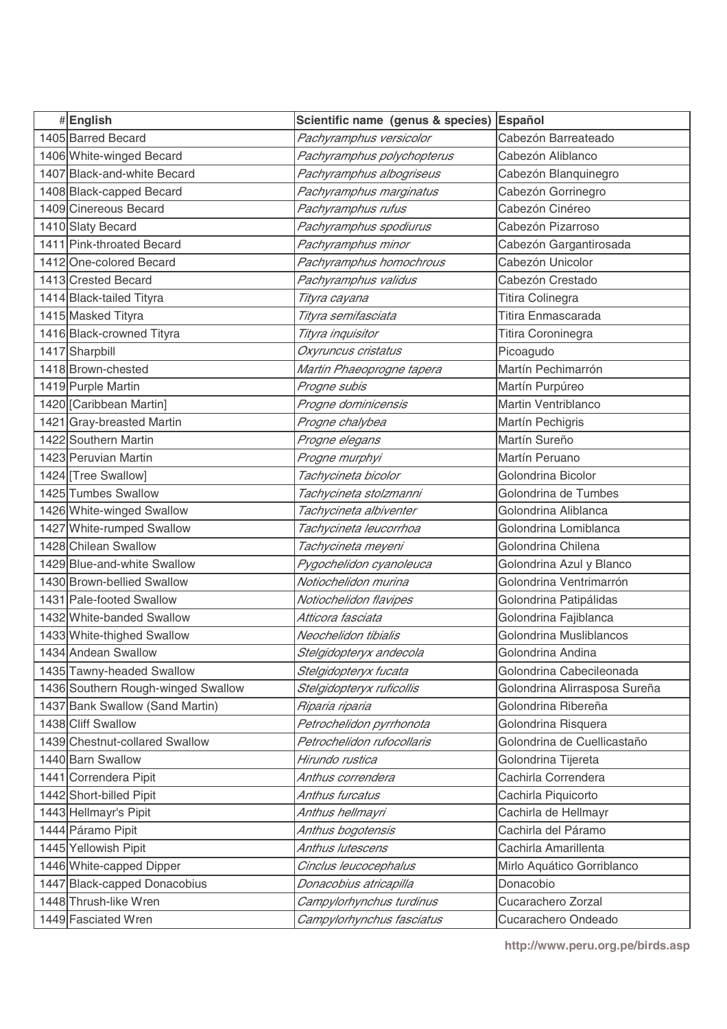| #English                           | Scientific name (genus & species) | Español                       |
|------------------------------------|-----------------------------------|-------------------------------|
| 1405 Barred Becard                 | Pachyramphus versicolor           | Cabezón Barreateado           |
| 1406 White-winged Becard           | Pachyramphus polychopterus        | Cabezón Aliblanco             |
| 1407 Black-and-white Becard        | Pachyramphus albogriseus          | Cabezón Blanquinegro          |
| 1408 Black-capped Becard           | Pachyramphus marginatus           | Cabezón Gorrinegro            |
| 1409 Cinereous Becard              | Pachyramphus rufus                | Cabezón Cinéreo               |
| 1410 Slaty Becard                  | Pachyramphus spodiurus            | Cabezón Pizarroso             |
| 1411 Pink-throated Becard          | Pachyramphus minor                | Cabezón Gargantirosada        |
| 1412 One-colored Becard            | Pachyramphus homochrous           | Cabezón Unicolor              |
| 1413 Crested Becard                | Pachyramphus validus              | Cabezón Crestado              |
| 1414 Black-tailed Tityra           | Tityra cayana                     | Titira Colinegra              |
| 1415 Masked Tityra                 | Tityra semifasciata               | Titira Enmascarada            |
| 1416 Black-crowned Tityra          | Tityra inquisitor                 | Titira Coroninegra            |
| 1417 Sharpbill                     | Oxyruncus cristatus               | Picoagudo                     |
| 1418 Brown-chested                 | Martin Phaeoprogne tapera         | Martín Pechimarrón            |
| 1419 Purple Martin                 | Progne subis                      | Martín Purpúreo               |
| 1420 [Caribbean Martin]            | Progne dominicensis               | Martin Ventriblanco           |
| 1421 Gray-breasted Martin          | Progne chalybea                   | Martín Pechigris              |
| 1422 Southern Martin               | Progne elegans                    | Martín Sureño                 |
| 1423 Peruvian Martin               | Progne murphyi                    | Martín Peruano                |
| 1424 [Tree Swallow]                | Tachycineta bicolor               | Golondrina Bicolor            |
| 1425 Tumbes Swallow                | Tachycineta stolzmanni            | Golondrina de Tumbes          |
| 1426 White-winged Swallow          | Tachycineta albiventer            | Golondrina Aliblanca          |
| 1427 White-rumped Swallow          | Tachycineta leucorrhoa            | Golondrina Lomiblanca         |
| 1428 Chilean Swallow               | Tachycineta meyeni                | Golondrina Chilena            |
| 1429 Blue-and-white Swallow        | Pygochelidon cyanoleuca           | Golondrina Azul y Blanco      |
| 1430 Brown-bellied Swallow         | Notiochelidon murina              | Golondrina Ventrimarrón       |
| 1431 Pale-footed Swallow           | Notiochelidon flavipes            | Golondrina Patipálidas        |
| 1432 White-banded Swallow          | Atticora fasciata                 | Golondrina Fajiblanca         |
| 1433 White-thighed Swallow         | Neochelidon tibialis              | Golondrina Musliblancos       |
| 1434 Andean Swallow                | Stelgidopteryx andecola           | Golondrina Andina             |
| 1435 Tawny-headed Swallow          | Stelgidopteryx fucata             | Golondrina Cabecileonada      |
| 1436 Southern Rough-winged Swallow | Stelgidopteryx ruficollis         | Golondrina Alirrasposa Sureña |
| 1437 Bank Swallow (Sand Martin)    | Riparia riparia                   | Golondrina Ribereña           |
| 1438 Cliff Swallow                 | Petrochelidon pyrrhonota          | Golondrina Risquera           |
| 1439 Chestnut-collared Swallow     | Petrochelidon rufocollaris        | Golondrina de Cuellicastaño   |
| 1440 Barn Swallow                  | Hirundo rustica                   | Golondrina Tijereta           |
| 1441 Correndera Pipit              | Anthus correndera                 | Cachirla Correndera           |
| 1442 Short-billed Pipit            | Anthus furcatus                   | Cachirla Piquicorto           |
| 1443 Hellmayr's Pipit              | Anthus hellmayri                  | Cachirla de Hellmayr          |
| 1444 Páramo Pipit                  | Anthus bogotensis                 | Cachirla del Páramo           |
| 1445 Yellowish Pipit               | Anthus lutescens                  | Cachirla Amarillenta          |
| 1446 White-capped Dipper           | Cinclus leucocephalus             | Mirlo Aquático Gorriblanco    |
| 1447 Black-capped Donacobius       | Donacobius atricapilla            | Donacobio                     |
| 1448 Thrush-like Wren              | Campylorhynchus turdinus          | Cucarachero Zorzal            |
| 1449 Fasciated Wren                | Campylorhynchus fasciatus         | Cucarachero Ondeado           |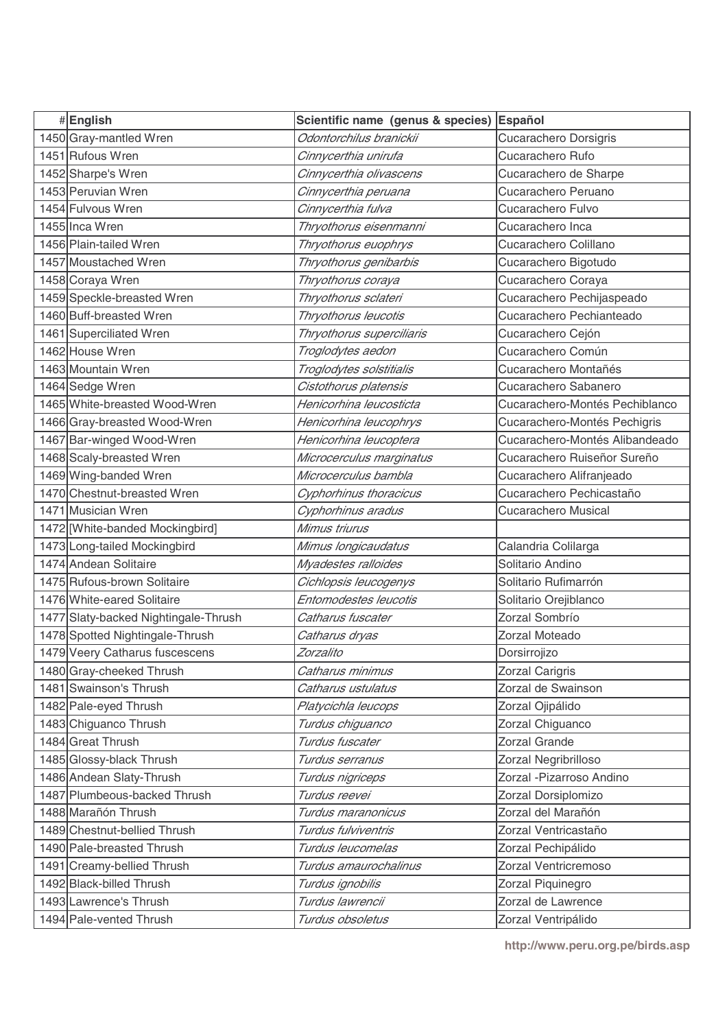| #English                             | Scientific name (genus & species) | Español                        |
|--------------------------------------|-----------------------------------|--------------------------------|
| 1450 Gray-mantled Wren               | Odontorchilus branickii           | <b>Cucarachero Dorsigris</b>   |
| 1451 Rufous Wren                     | Cinnycerthia unirufa              | Cucarachero Rufo               |
| 1452 Sharpe's Wren                   | Cinnycerthia olivascens           | Cucarachero de Sharpe          |
| 1453 Peruvian Wren                   | Cinnycerthia peruana              | Cucarachero Peruano            |
| 1454 Fulvous Wren                    | Cinnycerthia fulva                | Cucarachero Fulvo              |
| 1455 Inca Wren                       | Thryothorus eisenmanni            | Cucarachero Inca               |
| 1456 Plain-tailed Wren               | Thryothorus euophrys              | Cucarachero Colillano          |
| 1457 Moustached Wren                 | Thryothorus genibarbis            | Cucarachero Bigotudo           |
| 1458 Coraya Wren                     | Thryothorus coraya                | Cucarachero Coraya             |
| 1459 Speckle-breasted Wren           | Thryothorus sclateri              | Cucarachero Pechijaspeado      |
| 1460 Buff-breasted Wren              | Thryothorus leucotis              | Cucarachero Pechianteado       |
| 1461 Superciliated Wren              | Thryothorus superciliaris         | Cucarachero Cejón              |
| 1462 House Wren                      | Troglodytes aedon                 | Cucarachero Común              |
| 1463 Mountain Wren                   | Troglodytes solstitialis          | Cucarachero Montañés           |
| 1464 Sedge Wren                      | Cistothorus platensis             | Cucarachero Sabanero           |
| 1465 White-breasted Wood-Wren        | Henicorhina leucosticta           | Cucarachero-Montés Pechiblanco |
| 1466 Gray-breasted Wood-Wren         | Henicorhina leucophrys            | Cucarachero-Montés Pechigris   |
| 1467 Bar-winged Wood-Wren            | Henicorhina leucoptera            | Cucarachero-Montés Alibandeado |
| 1468 Scaly-breasted Wren             | Microcerculus marginatus          | Cucarachero Ruiseñor Sureño    |
| 1469 Wing-banded Wren                | Microcerculus bambla              | Cucarachero Alifranjeado       |
| 1470 Chestnut-breasted Wren          | Cyphorhinus thoracicus            | Cucarachero Pechicastaño       |
| 1471 Musician Wren                   | Cyphorhinus aradus                | <b>Cucarachero Musical</b>     |
| 1472 [White-banded Mockingbird]      | Mimus triurus                     |                                |
| 1473 Long-tailed Mockingbird         | Mimus longicaudatus               | Calandria Colilarga            |
| 1474 Andean Solitaire                | Myadestes ralloides               | Solitario Andino               |
| 1475 Rufous-brown Solitaire          | Cichlopsis leucogenys             | Solitario Rufimarrón           |
| 1476 White-eared Solitaire           | Entomodestes leucotis             | Solitario Orejiblanco          |
| 1477 Slaty-backed Nightingale-Thrush | Catharus fuscater                 | Zorzal Sombrío                 |
| 1478 Spotted Nightingale-Thrush      | Catharus dryas                    | Zorzal Moteado                 |
| 1479 Veery Catharus fuscescens       | Zorzalito                         | Dorsirrojizo                   |
| 1480 Gray-cheeked Thrush             | Catharus minimus                  | Zorzal Carigris                |
| 1481 Swainson's Thrush               | Catharus ustulatus                | Zorzal de Swainson             |
| 1482 Pale-eyed Thrush                | Platycichla leucops               | Zorzal Ojipálido               |
| 1483 Chiguanco Thrush                | Turdus chiguanco                  | Zorzal Chiguanco               |
| 1484 Great Thrush                    | Turdus fuscater                   | Zorzal Grande                  |
| 1485 Glossy-black Thrush             | Turdus serranus                   | Zorzal Negribrilloso           |
| 1486 Andean Slaty-Thrush             | Turdus nigriceps                  | Zorzal - Pizarroso Andino      |
| 1487 Plumbeous-backed Thrush         | Turdus reevei                     | Zorzal Dorsiplomizo            |
| 1488 Marañón Thrush                  | Turdus maranonicus                | Zorzal del Marañón             |
| 1489 Chestnut-bellied Thrush         | Turdus fulviventris               | Zorzal Ventricastaño           |
| 1490 Pale-breasted Thrush            | Turdus leucomelas                 | Zorzal Pechipálido             |
| 1491 Creamy-bellied Thrush           | Turdus amaurochalinus             | Zorzal Ventricremoso           |
| 1492 Black-billed Thrush             | Turdus ignobilis                  | Zorzal Piquinegro              |
| 1493 Lawrence's Thrush               | Turdus lawrencii                  | Zorzal de Lawrence             |
| 1494 Pale-vented Thrush              | Turdus obsoletus                  | Zorzal Ventripálido            |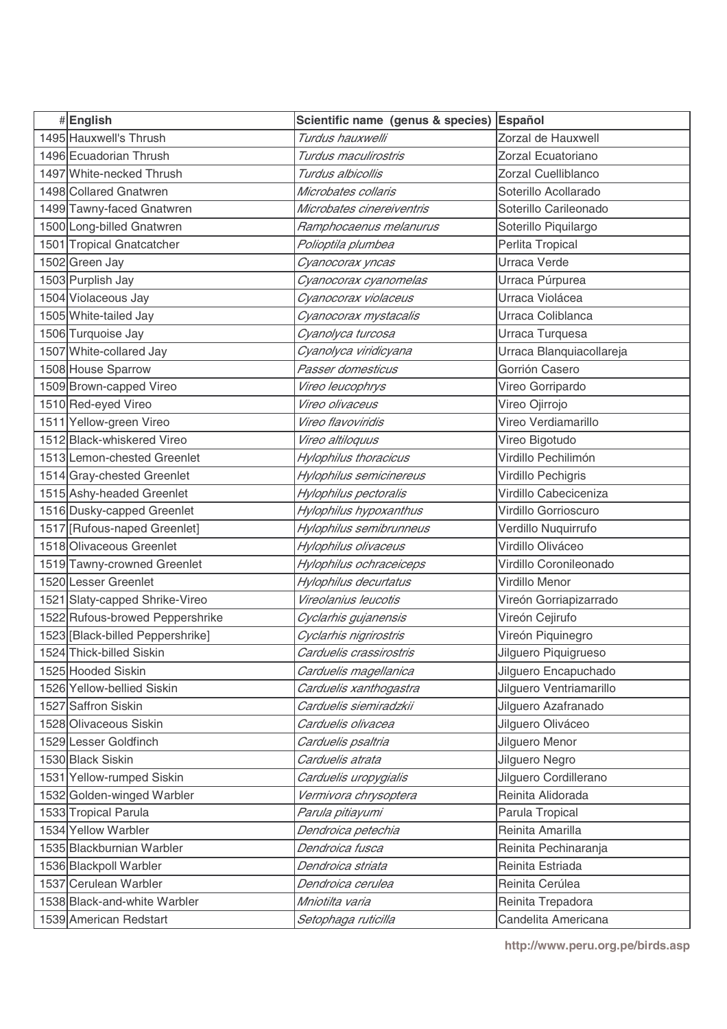| 1495 Hauxwell's Thrush<br>Turdus hauxwelli<br>Zorzal de Hauxwell<br>1496 Ecuadorian Thrush<br>Zorzal Ecuatoriano<br>Turdus maculirostris<br>1497 White-necked Thrush<br>Turdus albicollis<br>Zorzal Cuelliblanco<br>1498 Collared Gnatwren<br>Soterillo Acollarado<br>Microbates collaris<br>Soterillo Carileonado<br>1499 Tawny-faced Gnatwren<br>Microbates cinereiventris<br>1500 Long-billed Gnatwren<br>Ramphocaenus melanurus<br>Soterillo Piquilargo<br>1501 Tropical Gnatcatcher<br>Perlita Tropical<br>Polioptila plumbea<br>1502 Green Jay<br>Urraca Verde<br>Cyanocorax yncas<br>1503 Purplish Jay<br>Cyanocorax cyanomelas<br>Urraca Púrpurea<br>1504 Violaceous Jay<br>Urraca Violácea<br>Cyanocorax violaceus<br>1505 White-tailed Jay<br>Urraca Coliblanca<br>Cyanocorax mystacalis<br>1506 Turquoise Jay<br>Urraca Turquesa<br>Cyanolyca turcosa<br>1507 White-collared Jay<br>Cyanolyca viridicyana<br>Urraca Blanquiacollareja<br>1508 House Sparrow<br>Passer domesticus<br>Gorrión Casero<br>1509 Brown-capped Vireo<br>Vireo leucophrys<br>Vireo Gorripardo<br>1510 Red-eyed Vireo<br>Vireo olivaceus<br>Vireo Ojirrojo<br>1511 Yellow-green Vireo<br>Vireo flavoviridis<br>Vireo Verdiamarillo<br>1512 Black-whiskered Vireo<br>Vireo altiloquus<br>Vireo Bigotudo<br>Virdillo Pechilimón<br>1513 Lemon-chested Greenlet<br><b>Hylophilus thoracicus</b><br>1514 Gray-chested Greenlet<br>Hylophilus semicinereus<br>Virdillo Pechigris<br>1515 Ashy-headed Greenlet<br>Hylophilus pectoralis<br>Virdillo Cabeciceniza<br>1516 Dusky-capped Greenlet<br>Hylophilus hypoxanthus<br>Virdillo Gorrioscuro<br>1517 [Rufous-naped Greenlet]<br>Hylophilus semibrunneus<br>Verdillo Nuquirrufo<br>1518 Olivaceous Greenlet<br>Virdillo Oliváceo<br>Hylophilus olivaceus<br>1519 Tawny-crowned Greenlet<br>Hylophilus ochraceiceps<br>Virdillo Coronileonado<br>1520 Lesser Greenlet<br>Virdillo Menor<br>Hylophilus decurtatus<br>1521 Slaty-capped Shrike-Vireo<br>Vireolanius leucotis<br>Vireón Gorriapizarrado<br>1522 Rufous-browed Peppershrike<br>Vireón Cejirufo<br>Cyclarhis gujanensis<br>1523 [Black-billed Peppershrike]<br>Cyclarhis nigrirostris<br>Vireón Piquinegro<br>1524 Thick-billed Siskin<br>Carduelis crassirostris<br>Jilguero Piquigrueso<br>1525 Hooded Siskin<br>Jilguero Encapuchado<br>Carduelis magellanica<br>1526 Yellow-bellied Siskin<br>Jilguero Ventriamarillo<br>Carduelis xanthogastra |
|----------------------------------------------------------------------------------------------------------------------------------------------------------------------------------------------------------------------------------------------------------------------------------------------------------------------------------------------------------------------------------------------------------------------------------------------------------------------------------------------------------------------------------------------------------------------------------------------------------------------------------------------------------------------------------------------------------------------------------------------------------------------------------------------------------------------------------------------------------------------------------------------------------------------------------------------------------------------------------------------------------------------------------------------------------------------------------------------------------------------------------------------------------------------------------------------------------------------------------------------------------------------------------------------------------------------------------------------------------------------------------------------------------------------------------------------------------------------------------------------------------------------------------------------------------------------------------------------------------------------------------------------------------------------------------------------------------------------------------------------------------------------------------------------------------------------------------------------------------------------------------------------------------------------------------------------------------------------------------------------------------------------------------------------------------------------------------------------------------------------------------------------------------------------------------------------------------------------------------------------------------------------------------------------------------------------------------------------------------------------------------------------------------------------------------------------|
|                                                                                                                                                                                                                                                                                                                                                                                                                                                                                                                                                                                                                                                                                                                                                                                                                                                                                                                                                                                                                                                                                                                                                                                                                                                                                                                                                                                                                                                                                                                                                                                                                                                                                                                                                                                                                                                                                                                                                                                                                                                                                                                                                                                                                                                                                                                                                                                                                                              |
|                                                                                                                                                                                                                                                                                                                                                                                                                                                                                                                                                                                                                                                                                                                                                                                                                                                                                                                                                                                                                                                                                                                                                                                                                                                                                                                                                                                                                                                                                                                                                                                                                                                                                                                                                                                                                                                                                                                                                                                                                                                                                                                                                                                                                                                                                                                                                                                                                                              |
|                                                                                                                                                                                                                                                                                                                                                                                                                                                                                                                                                                                                                                                                                                                                                                                                                                                                                                                                                                                                                                                                                                                                                                                                                                                                                                                                                                                                                                                                                                                                                                                                                                                                                                                                                                                                                                                                                                                                                                                                                                                                                                                                                                                                                                                                                                                                                                                                                                              |
|                                                                                                                                                                                                                                                                                                                                                                                                                                                                                                                                                                                                                                                                                                                                                                                                                                                                                                                                                                                                                                                                                                                                                                                                                                                                                                                                                                                                                                                                                                                                                                                                                                                                                                                                                                                                                                                                                                                                                                                                                                                                                                                                                                                                                                                                                                                                                                                                                                              |
|                                                                                                                                                                                                                                                                                                                                                                                                                                                                                                                                                                                                                                                                                                                                                                                                                                                                                                                                                                                                                                                                                                                                                                                                                                                                                                                                                                                                                                                                                                                                                                                                                                                                                                                                                                                                                                                                                                                                                                                                                                                                                                                                                                                                                                                                                                                                                                                                                                              |
|                                                                                                                                                                                                                                                                                                                                                                                                                                                                                                                                                                                                                                                                                                                                                                                                                                                                                                                                                                                                                                                                                                                                                                                                                                                                                                                                                                                                                                                                                                                                                                                                                                                                                                                                                                                                                                                                                                                                                                                                                                                                                                                                                                                                                                                                                                                                                                                                                                              |
|                                                                                                                                                                                                                                                                                                                                                                                                                                                                                                                                                                                                                                                                                                                                                                                                                                                                                                                                                                                                                                                                                                                                                                                                                                                                                                                                                                                                                                                                                                                                                                                                                                                                                                                                                                                                                                                                                                                                                                                                                                                                                                                                                                                                                                                                                                                                                                                                                                              |
|                                                                                                                                                                                                                                                                                                                                                                                                                                                                                                                                                                                                                                                                                                                                                                                                                                                                                                                                                                                                                                                                                                                                                                                                                                                                                                                                                                                                                                                                                                                                                                                                                                                                                                                                                                                                                                                                                                                                                                                                                                                                                                                                                                                                                                                                                                                                                                                                                                              |
|                                                                                                                                                                                                                                                                                                                                                                                                                                                                                                                                                                                                                                                                                                                                                                                                                                                                                                                                                                                                                                                                                                                                                                                                                                                                                                                                                                                                                                                                                                                                                                                                                                                                                                                                                                                                                                                                                                                                                                                                                                                                                                                                                                                                                                                                                                                                                                                                                                              |
|                                                                                                                                                                                                                                                                                                                                                                                                                                                                                                                                                                                                                                                                                                                                                                                                                                                                                                                                                                                                                                                                                                                                                                                                                                                                                                                                                                                                                                                                                                                                                                                                                                                                                                                                                                                                                                                                                                                                                                                                                                                                                                                                                                                                                                                                                                                                                                                                                                              |
|                                                                                                                                                                                                                                                                                                                                                                                                                                                                                                                                                                                                                                                                                                                                                                                                                                                                                                                                                                                                                                                                                                                                                                                                                                                                                                                                                                                                                                                                                                                                                                                                                                                                                                                                                                                                                                                                                                                                                                                                                                                                                                                                                                                                                                                                                                                                                                                                                                              |
|                                                                                                                                                                                                                                                                                                                                                                                                                                                                                                                                                                                                                                                                                                                                                                                                                                                                                                                                                                                                                                                                                                                                                                                                                                                                                                                                                                                                                                                                                                                                                                                                                                                                                                                                                                                                                                                                                                                                                                                                                                                                                                                                                                                                                                                                                                                                                                                                                                              |
|                                                                                                                                                                                                                                                                                                                                                                                                                                                                                                                                                                                                                                                                                                                                                                                                                                                                                                                                                                                                                                                                                                                                                                                                                                                                                                                                                                                                                                                                                                                                                                                                                                                                                                                                                                                                                                                                                                                                                                                                                                                                                                                                                                                                                                                                                                                                                                                                                                              |
|                                                                                                                                                                                                                                                                                                                                                                                                                                                                                                                                                                                                                                                                                                                                                                                                                                                                                                                                                                                                                                                                                                                                                                                                                                                                                                                                                                                                                                                                                                                                                                                                                                                                                                                                                                                                                                                                                                                                                                                                                                                                                                                                                                                                                                                                                                                                                                                                                                              |
|                                                                                                                                                                                                                                                                                                                                                                                                                                                                                                                                                                                                                                                                                                                                                                                                                                                                                                                                                                                                                                                                                                                                                                                                                                                                                                                                                                                                                                                                                                                                                                                                                                                                                                                                                                                                                                                                                                                                                                                                                                                                                                                                                                                                                                                                                                                                                                                                                                              |
|                                                                                                                                                                                                                                                                                                                                                                                                                                                                                                                                                                                                                                                                                                                                                                                                                                                                                                                                                                                                                                                                                                                                                                                                                                                                                                                                                                                                                                                                                                                                                                                                                                                                                                                                                                                                                                                                                                                                                                                                                                                                                                                                                                                                                                                                                                                                                                                                                                              |
|                                                                                                                                                                                                                                                                                                                                                                                                                                                                                                                                                                                                                                                                                                                                                                                                                                                                                                                                                                                                                                                                                                                                                                                                                                                                                                                                                                                                                                                                                                                                                                                                                                                                                                                                                                                                                                                                                                                                                                                                                                                                                                                                                                                                                                                                                                                                                                                                                                              |
|                                                                                                                                                                                                                                                                                                                                                                                                                                                                                                                                                                                                                                                                                                                                                                                                                                                                                                                                                                                                                                                                                                                                                                                                                                                                                                                                                                                                                                                                                                                                                                                                                                                                                                                                                                                                                                                                                                                                                                                                                                                                                                                                                                                                                                                                                                                                                                                                                                              |
|                                                                                                                                                                                                                                                                                                                                                                                                                                                                                                                                                                                                                                                                                                                                                                                                                                                                                                                                                                                                                                                                                                                                                                                                                                                                                                                                                                                                                                                                                                                                                                                                                                                                                                                                                                                                                                                                                                                                                                                                                                                                                                                                                                                                                                                                                                                                                                                                                                              |
|                                                                                                                                                                                                                                                                                                                                                                                                                                                                                                                                                                                                                                                                                                                                                                                                                                                                                                                                                                                                                                                                                                                                                                                                                                                                                                                                                                                                                                                                                                                                                                                                                                                                                                                                                                                                                                                                                                                                                                                                                                                                                                                                                                                                                                                                                                                                                                                                                                              |
|                                                                                                                                                                                                                                                                                                                                                                                                                                                                                                                                                                                                                                                                                                                                                                                                                                                                                                                                                                                                                                                                                                                                                                                                                                                                                                                                                                                                                                                                                                                                                                                                                                                                                                                                                                                                                                                                                                                                                                                                                                                                                                                                                                                                                                                                                                                                                                                                                                              |
|                                                                                                                                                                                                                                                                                                                                                                                                                                                                                                                                                                                                                                                                                                                                                                                                                                                                                                                                                                                                                                                                                                                                                                                                                                                                                                                                                                                                                                                                                                                                                                                                                                                                                                                                                                                                                                                                                                                                                                                                                                                                                                                                                                                                                                                                                                                                                                                                                                              |
|                                                                                                                                                                                                                                                                                                                                                                                                                                                                                                                                                                                                                                                                                                                                                                                                                                                                                                                                                                                                                                                                                                                                                                                                                                                                                                                                                                                                                                                                                                                                                                                                                                                                                                                                                                                                                                                                                                                                                                                                                                                                                                                                                                                                                                                                                                                                                                                                                                              |
|                                                                                                                                                                                                                                                                                                                                                                                                                                                                                                                                                                                                                                                                                                                                                                                                                                                                                                                                                                                                                                                                                                                                                                                                                                                                                                                                                                                                                                                                                                                                                                                                                                                                                                                                                                                                                                                                                                                                                                                                                                                                                                                                                                                                                                                                                                                                                                                                                                              |
|                                                                                                                                                                                                                                                                                                                                                                                                                                                                                                                                                                                                                                                                                                                                                                                                                                                                                                                                                                                                                                                                                                                                                                                                                                                                                                                                                                                                                                                                                                                                                                                                                                                                                                                                                                                                                                                                                                                                                                                                                                                                                                                                                                                                                                                                                                                                                                                                                                              |
|                                                                                                                                                                                                                                                                                                                                                                                                                                                                                                                                                                                                                                                                                                                                                                                                                                                                                                                                                                                                                                                                                                                                                                                                                                                                                                                                                                                                                                                                                                                                                                                                                                                                                                                                                                                                                                                                                                                                                                                                                                                                                                                                                                                                                                                                                                                                                                                                                                              |
|                                                                                                                                                                                                                                                                                                                                                                                                                                                                                                                                                                                                                                                                                                                                                                                                                                                                                                                                                                                                                                                                                                                                                                                                                                                                                                                                                                                                                                                                                                                                                                                                                                                                                                                                                                                                                                                                                                                                                                                                                                                                                                                                                                                                                                                                                                                                                                                                                                              |
|                                                                                                                                                                                                                                                                                                                                                                                                                                                                                                                                                                                                                                                                                                                                                                                                                                                                                                                                                                                                                                                                                                                                                                                                                                                                                                                                                                                                                                                                                                                                                                                                                                                                                                                                                                                                                                                                                                                                                                                                                                                                                                                                                                                                                                                                                                                                                                                                                                              |
|                                                                                                                                                                                                                                                                                                                                                                                                                                                                                                                                                                                                                                                                                                                                                                                                                                                                                                                                                                                                                                                                                                                                                                                                                                                                                                                                                                                                                                                                                                                                                                                                                                                                                                                                                                                                                                                                                                                                                                                                                                                                                                                                                                                                                                                                                                                                                                                                                                              |
|                                                                                                                                                                                                                                                                                                                                                                                                                                                                                                                                                                                                                                                                                                                                                                                                                                                                                                                                                                                                                                                                                                                                                                                                                                                                                                                                                                                                                                                                                                                                                                                                                                                                                                                                                                                                                                                                                                                                                                                                                                                                                                                                                                                                                                                                                                                                                                                                                                              |
|                                                                                                                                                                                                                                                                                                                                                                                                                                                                                                                                                                                                                                                                                                                                                                                                                                                                                                                                                                                                                                                                                                                                                                                                                                                                                                                                                                                                                                                                                                                                                                                                                                                                                                                                                                                                                                                                                                                                                                                                                                                                                                                                                                                                                                                                                                                                                                                                                                              |
|                                                                                                                                                                                                                                                                                                                                                                                                                                                                                                                                                                                                                                                                                                                                                                                                                                                                                                                                                                                                                                                                                                                                                                                                                                                                                                                                                                                                                                                                                                                                                                                                                                                                                                                                                                                                                                                                                                                                                                                                                                                                                                                                                                                                                                                                                                                                                                                                                                              |
| 1527 Saffron Siskin<br>Carduelis siemiradzkii<br>Jilguero Azafranado                                                                                                                                                                                                                                                                                                                                                                                                                                                                                                                                                                                                                                                                                                                                                                                                                                                                                                                                                                                                                                                                                                                                                                                                                                                                                                                                                                                                                                                                                                                                                                                                                                                                                                                                                                                                                                                                                                                                                                                                                                                                                                                                                                                                                                                                                                                                                                         |
| 1528 Olivaceous Siskin<br>Jilguero Oliváceo<br>Carduelis olivacea                                                                                                                                                                                                                                                                                                                                                                                                                                                                                                                                                                                                                                                                                                                                                                                                                                                                                                                                                                                                                                                                                                                                                                                                                                                                                                                                                                                                                                                                                                                                                                                                                                                                                                                                                                                                                                                                                                                                                                                                                                                                                                                                                                                                                                                                                                                                                                            |
| 1529 Lesser Goldfinch<br>Jilguero Menor<br>Carduelis psaltria                                                                                                                                                                                                                                                                                                                                                                                                                                                                                                                                                                                                                                                                                                                                                                                                                                                                                                                                                                                                                                                                                                                                                                                                                                                                                                                                                                                                                                                                                                                                                                                                                                                                                                                                                                                                                                                                                                                                                                                                                                                                                                                                                                                                                                                                                                                                                                                |
| 1530 Black Siskin<br>Carduelis atrata<br>Jilguero Negro                                                                                                                                                                                                                                                                                                                                                                                                                                                                                                                                                                                                                                                                                                                                                                                                                                                                                                                                                                                                                                                                                                                                                                                                                                                                                                                                                                                                                                                                                                                                                                                                                                                                                                                                                                                                                                                                                                                                                                                                                                                                                                                                                                                                                                                                                                                                                                                      |
| 1531 Yellow-rumped Siskin<br>Jilguero Cordillerano<br>Carduelis uropygialis                                                                                                                                                                                                                                                                                                                                                                                                                                                                                                                                                                                                                                                                                                                                                                                                                                                                                                                                                                                                                                                                                                                                                                                                                                                                                                                                                                                                                                                                                                                                                                                                                                                                                                                                                                                                                                                                                                                                                                                                                                                                                                                                                                                                                                                                                                                                                                  |
| 1532 Golden-winged Warbler<br>Reinita Alidorada<br>Vermivora chrysoptera                                                                                                                                                                                                                                                                                                                                                                                                                                                                                                                                                                                                                                                                                                                                                                                                                                                                                                                                                                                                                                                                                                                                                                                                                                                                                                                                                                                                                                                                                                                                                                                                                                                                                                                                                                                                                                                                                                                                                                                                                                                                                                                                                                                                                                                                                                                                                                     |
| 1533 Tropical Parula<br>Parula pitiayumi<br>Parula Tropical                                                                                                                                                                                                                                                                                                                                                                                                                                                                                                                                                                                                                                                                                                                                                                                                                                                                                                                                                                                                                                                                                                                                                                                                                                                                                                                                                                                                                                                                                                                                                                                                                                                                                                                                                                                                                                                                                                                                                                                                                                                                                                                                                                                                                                                                                                                                                                                  |
| 1534 Yellow Warbler<br>Reinita Amarilla<br>Dendroica petechia                                                                                                                                                                                                                                                                                                                                                                                                                                                                                                                                                                                                                                                                                                                                                                                                                                                                                                                                                                                                                                                                                                                                                                                                                                                                                                                                                                                                                                                                                                                                                                                                                                                                                                                                                                                                                                                                                                                                                                                                                                                                                                                                                                                                                                                                                                                                                                                |
| 1535 Blackburnian Warbler<br>Dendroica fusca<br>Reinita Pechinaranja                                                                                                                                                                                                                                                                                                                                                                                                                                                                                                                                                                                                                                                                                                                                                                                                                                                                                                                                                                                                                                                                                                                                                                                                                                                                                                                                                                                                                                                                                                                                                                                                                                                                                                                                                                                                                                                                                                                                                                                                                                                                                                                                                                                                                                                                                                                                                                         |
| Dendroica striata<br>1536 Blackpoll Warbler<br>Reinita Estriada                                                                                                                                                                                                                                                                                                                                                                                                                                                                                                                                                                                                                                                                                                                                                                                                                                                                                                                                                                                                                                                                                                                                                                                                                                                                                                                                                                                                                                                                                                                                                                                                                                                                                                                                                                                                                                                                                                                                                                                                                                                                                                                                                                                                                                                                                                                                                                              |
| 1537 Cerulean Warbler<br>Dendroica cerulea<br>Reinita Cerúlea                                                                                                                                                                                                                                                                                                                                                                                                                                                                                                                                                                                                                                                                                                                                                                                                                                                                                                                                                                                                                                                                                                                                                                                                                                                                                                                                                                                                                                                                                                                                                                                                                                                                                                                                                                                                                                                                                                                                                                                                                                                                                                                                                                                                                                                                                                                                                                                |
| 1538 Black-and-white Warbler<br>Mniotilta varia<br>Reinita Trepadora                                                                                                                                                                                                                                                                                                                                                                                                                                                                                                                                                                                                                                                                                                                                                                                                                                                                                                                                                                                                                                                                                                                                                                                                                                                                                                                                                                                                                                                                                                                                                                                                                                                                                                                                                                                                                                                                                                                                                                                                                                                                                                                                                                                                                                                                                                                                                                         |
| 1539 American Redstart<br>Setophaga ruticilla<br>Candelita Americana                                                                                                                                                                                                                                                                                                                                                                                                                                                                                                                                                                                                                                                                                                                                                                                                                                                                                                                                                                                                                                                                                                                                                                                                                                                                                                                                                                                                                                                                                                                                                                                                                                                                                                                                                                                                                                                                                                                                                                                                                                                                                                                                                                                                                                                                                                                                                                         |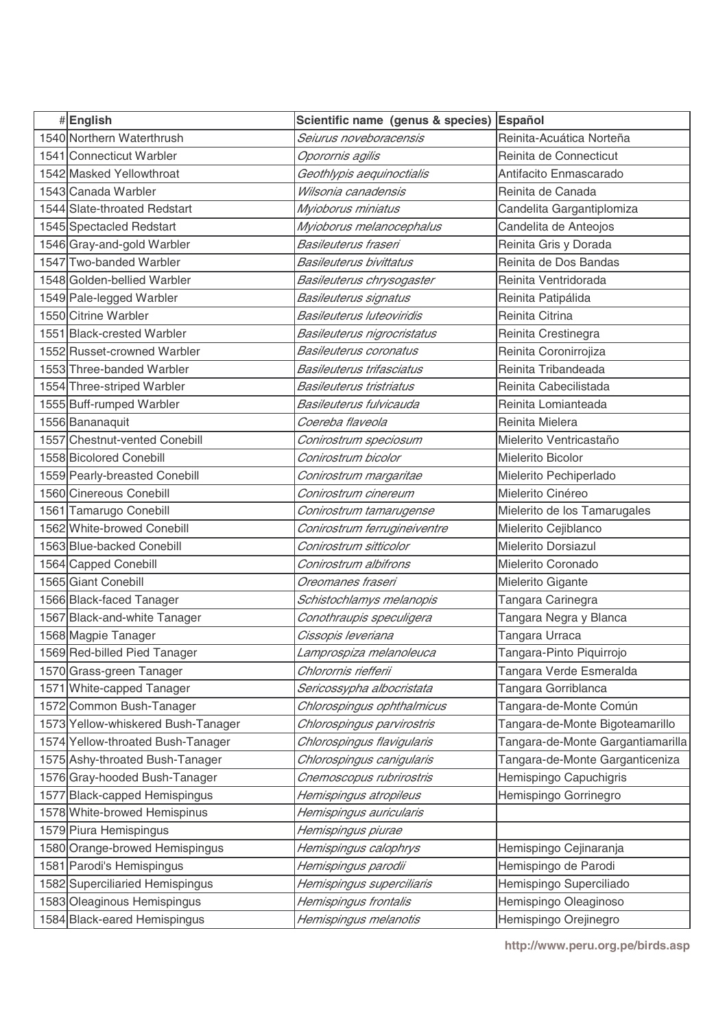| #English                           | Scientific name (genus & species) | Español                           |
|------------------------------------|-----------------------------------|-----------------------------------|
| 1540 Northern Waterthrush          | Seiurus noveboracensis            | Reinita-Acuática Norteña          |
| 1541 Connecticut Warbler           | Oporornis agilis                  | Reinita de Connecticut            |
| 1542 Masked Yellowthroat           | Geothlypis aequinoctialis         | Antifacito Enmascarado            |
| 1543 Canada Warbler                | Wilsonia canadensis               | Reinita de Canada                 |
| 1544 Slate-throated Redstart       | Myioborus miniatus                | Candelita Gargantiplomiza         |
| 1545 Spectacled Redstart           | Myioborus melanocephalus          | Candelita de Anteojos             |
| 1546 Gray-and-gold Warbler         | Basileuterus fraseri              | Reinita Gris y Dorada             |
| 1547 Two-banded Warbler            | <b>Basileuterus bivittatus</b>    | Reinita de Dos Bandas             |
| 1548 Golden-bellied Warbler        | Basileuterus chrysogaster         | Reinita Ventridorada              |
| 1549 Pale-legged Warbler           | Basileuterus signatus             | Reinita Patipálida                |
| 1550 Citrine Warbler               | <b>Basileuterus luteoviridis</b>  | Reinita Citrina                   |
| 1551 Black-crested Warbler         | Basileuterus nigrocristatus       | Reinita Crestinegra               |
| 1552 Russet-crowned Warbler        | <b>Basileuterus coronatus</b>     | Reinita Coronirrojiza             |
| 1553 Three-banded Warbler          | Basileuterus trifasciatus         | Reinita Tribandeada               |
| 1554 Three-striped Warbler         | <b>Basileuterus tristriatus</b>   | Reinita Cabecilistada             |
| 1555 Buff-rumped Warbler           | Basileuterus fulvicauda           | Reinita Lomianteada               |
| 1556 Bananaquit                    | Coereba flaveola                  | Reinita Mielera                   |
| 1557 Chestnut-vented Conebill      | Conirostrum speciosum             | Mielerito Ventricastaño           |
| 1558 Bicolored Conebill            | Conirostrum bicolor               | Mielerito Bicolor                 |
| 1559 Pearly-breasted Conebill      | Conirostrum margaritae            | Mielerito Pechiperlado            |
| 1560 Cinereous Conebill            | Conirostrum cinereum              | Mielerito Cinéreo                 |
| 1561 Tamarugo Conebill             | Conirostrum tamarugense           | Mielerito de los Tamarugales      |
| 1562 White-browed Conebill         | Conirostrum ferrugineiventre      | Mielerito Cejiblanco              |
| 1563 Blue-backed Conebill          | Conirostrum sitticolor            | <b>Mielerito Dorsiazul</b>        |
| 1564 Capped Conebill               | Conirostrum albifrons             | Mielerito Coronado                |
| 1565 Giant Conebill                | Oreomanes fraseri                 | Mielerito Gigante                 |
| 1566 Black-faced Tanager           | Schistochlamys melanopis          | Tangara Carinegra                 |
| 1567 Black-and-white Tanager       | Conothraupis speculigera          | Tangara Negra y Blanca            |
| 1568 Magpie Tanager                | Cissopis leveriana                | Tangara Urraca                    |
| 1569 Red-billed Pied Tanager       | Lamprospiza melanoleuca           | Tangara-Pinto Piquirrojo          |
| 1570 Grass-green Tanager           | Chlorornis riefferii              | Tangara Verde Esmeralda           |
| 1571 White-capped Tanager          | Sericossypha albocristata         | Tangara Gorriblanca               |
| 1572 Common Bush-Tanager           | Chlorospingus ophthalmicus        | Tangara-de-Monte Común            |
| 1573 Yellow-whiskered Bush-Tanager | Chlorospingus parvirostris        | Tangara-de-Monte Bigoteamarillo   |
| 1574 Yellow-throated Bush-Tanager  | Chlorospingus flavigularis        | Tangara-de-Monte Gargantiamarilla |
| 1575 Ashy-throated Bush-Tanager    | Chlorospingus canigularis         | Tangara-de-Monte Garganticeniza   |
| 1576 Gray-hooded Bush-Tanager      | Cnemoscopus rubrirostris          | Hemispingo Capuchigris            |
| 1577 Black-capped Hemispingus      | Hemispingus atropileus            | Hemispingo Gorrinegro             |
| 1578 White-browed Hemispinus       | Hemispingus auricularis           |                                   |
| 1579 Piura Hemispingus             | Hemispingus piurae                |                                   |
| 1580 Orange-browed Hemispingus     | Hemispingus calophrys             | Hemispingo Cejinaranja            |
| 1581 Parodi's Hemispingus          | Hemispingus parodii               | Hemispingo de Parodi              |
| 1582 Superciliaried Hemispingus    | Hemispingus superciliaris         | Hemispingo Superciliado           |
| 1583 Oleaginous Hemispingus        | Hemispingus frontalis             | Hemispingo Oleaginoso             |
| 1584 Black-eared Hemispingus       | Hemispingus melanotis             | Hemispingo Orejinegro             |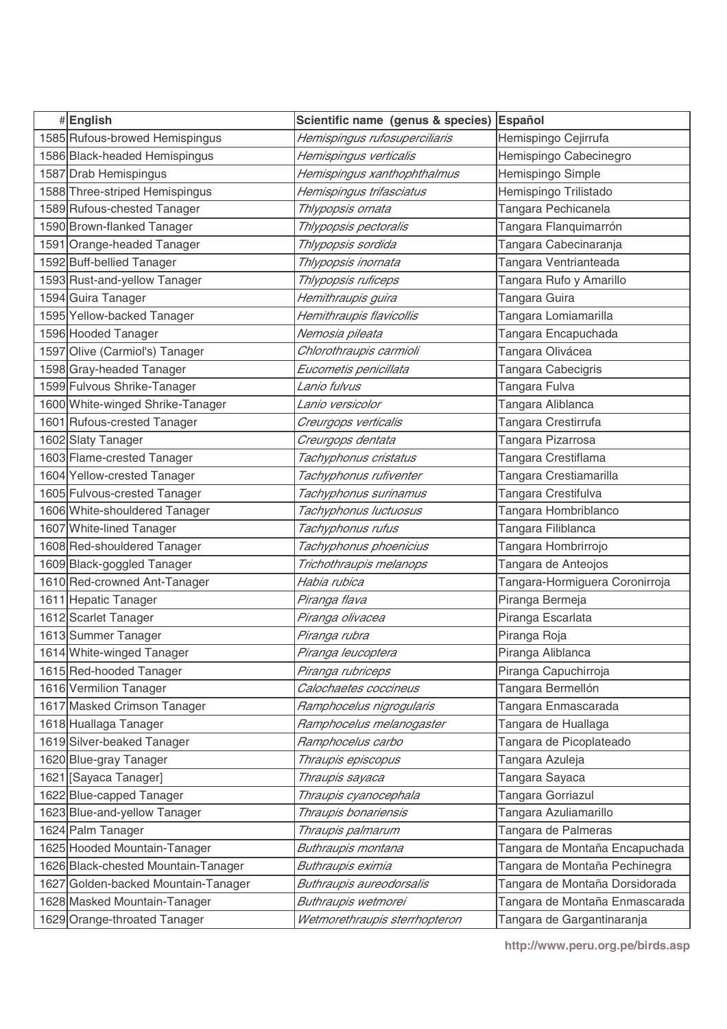| #English                            | Scientific name (genus & species) | Español                        |
|-------------------------------------|-----------------------------------|--------------------------------|
| 1585 Rufous-browed Hemispingus      | Hemispingus rufosuperciliaris     | Hemispingo Cejirrufa           |
| 1586 Black-headed Hemispingus       | Hemispingus verticalis            | Hemispingo Cabecinegro         |
| 1587 Drab Hemispingus               | Hemispingus xanthophthalmus       | Hemispingo Simple              |
| 1588 Three-striped Hemispingus      | Hemispingus trifasciatus          | Hemispingo Trilistado          |
| 1589 Rufous-chested Tanager         | Thlypopsis ornata                 | Tangara Pechicanela            |
| 1590 Brown-flanked Tanager          | Thlypopsis pectoralis             | Tangara Flanquimarrón          |
| 1591 Orange-headed Tanager          | Thlypopsis sordida                | Tangara Cabecinaranja          |
| 1592 Buff-bellied Tanager           | Thlypopsis inornata               | Tangara Ventrianteada          |
| 1593 Rust-and-yellow Tanager        | Thlypopsis ruficeps               | Tangara Rufo y Amarillo        |
| 1594 Guira Tanager                  | Hemithraupis guira                | Tangara Guira                  |
| 1595 Yellow-backed Tanager          | Hemithraupis flavicollis          | Tangara Lomiamarilla           |
| 1596 Hooded Tanager                 | Nemosia pileata                   | Tangara Encapuchada            |
| 1597 Olive (Carmiol's) Tanager      | Chlorothraupis carmioli           | Tangara Olivácea               |
| 1598 Gray-headed Tanager            | Eucometis penicillata             | Tangara Cabecigris             |
| 1599 Fulvous Shrike-Tanager         | Lanio fulvus                      | Tangara Fulva                  |
| 1600 White-winged Shrike-Tanager    | Lanio versicolor                  | Tangara Aliblanca              |
| 1601 Rufous-crested Tanager         | Creurgops verticalis              | Tangara Crestirrufa            |
| 1602 Slaty Tanager                  | Creurgops dentata                 | Tangara Pizarrosa              |
| 1603 Flame-crested Tanager          | Tachyphonus cristatus             | Tangara Crestiflama            |
| 1604 Yellow-crested Tanager         | Tachyphonus rufiventer            | Tangara Crestiamarilla         |
| 1605 Fulvous-crested Tanager        | Tachyphonus surinamus             | Tangara Crestifulva            |
| 1606 White-shouldered Tanager       | Tachyphonus luctuosus             | Tangara Hombriblanco           |
| 1607 White-lined Tanager            | Tachyphonus rufus                 | Tangara Filiblanca             |
| 1608 Red-shouldered Tanager         | Tachyphonus phoenicius            | Tangara Hombrirrojo            |
| 1609 Black-goggled Tanager          | Trichothraupis melanops           | Tangara de Anteojos            |
| 1610 Red-crowned Ant-Tanager        | Habia rubica                      | Tangara-Hormiguera Coronirroja |
| 1611 Hepatic Tanager                | Piranga flava                     | Piranga Bermeja                |
| 1612 Scarlet Tanager                | Piranga olivacea                  | Piranga Escarlata              |
| 1613 Summer Tanager                 | Piranga rubra                     | Piranga Roja                   |
| 1614 White-winged Tanager           | Piranga leucoptera                | Piranga Aliblanca              |
| 1615 Red-hooded Tanager             | Piranga rubriceps                 | Piranga Capuchirroja           |
| 1616 Vermilion Tanager              | Calochaetes coccineus             | Tangara Bermellón              |
| 1617 Masked Crimson Tanager         | Ramphocelus nigrogularis          | Tangara Enmascarada            |
| 1618 Huallaga Tanager               | Ramphocelus melanogaster          | Tangara de Huallaga            |
| 1619 Silver-beaked Tanager          | Ramphocelus carbo                 | Tangara de Picoplateado        |
| 1620 Blue-gray Tanager              | Thraupis episcopus                | Tangara Azuleja                |
| 1621 [Sayaca Tanager]               | Thraupis sayaca                   | Tangara Sayaca                 |
| 1622 Blue-capped Tanager            | Thraupis cyanocephala             | Tangara Gorriazul              |
| 1623 Blue-and-yellow Tanager        | Thraupis bonariensis              | Tangara Azuliamarillo          |
| 1624 Palm Tanager                   | Thraupis palmarum                 | Tangara de Palmeras            |
| 1625 Hooded Mountain-Tanager        | Buthraupis montana                | Tangara de Montaña Encapuchada |
| 1626 Black-chested Mountain-Tanager | Buthraupis eximia                 | Tangara de Montaña Pechinegra  |
| 1627 Golden-backed Mountain-Tanager | Buthraupis aureodorsalis          | Tangara de Montaña Dorsidorada |
| 1628 Masked Mountain-Tanager        | Buthraupis wetmorei               | Tangara de Montaña Enmascarada |
| 1629 Orange-throated Tanager        | Wetmorethraupis sterrhopteron     | Tangara de Gargantinaranja     |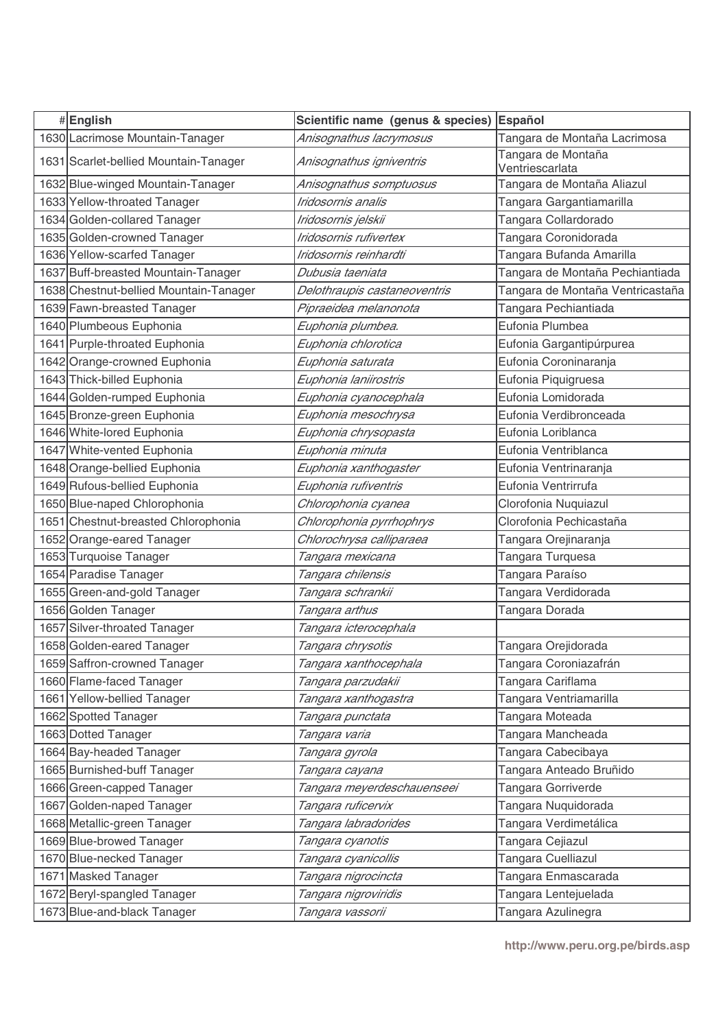| #English                               | Scientific name (genus & species) | Español                               |
|----------------------------------------|-----------------------------------|---------------------------------------|
| 1630 Lacrimose Mountain-Tanager        | Anisognathus lacrymosus           | Tangara de Montaña Lacrimosa          |
| 1631 Scarlet-bellied Mountain-Tanager  | Anisognathus igniventris          | Tangara de Montaña<br>Ventriescarlata |
| 1632 Blue-winged Mountain-Tanager      | Anisognathus somptuosus           | Tangara de Montaña Aliazul            |
| 1633 Yellow-throated Tanager           | Iridosornis analis                | Tangara Gargantiamarilla              |
| 1634 Golden-collared Tanager           | Iridosornis jelskii               | Tangara Collardorado                  |
| 1635 Golden-crowned Tanager            | Iridosornis rufivertex            | Tangara Coronidorada                  |
| 1636 Yellow-scarfed Tanager            | Iridosornis reinhardti            | Tangara Bufanda Amarilla              |
| 1637 Buff-breasted Mountain-Tanager    | Dubusia taeniata                  | Tangara de Montaña Pechiantiada       |
| 1638 Chestnut-bellied Mountain-Tanager | Delothraupis castaneoventris      | Tangara de Montaña Ventricastaña      |
| 1639 Fawn-breasted Tanager             | Pipraeidea melanonota             | Tangara Pechiantiada                  |
| 1640 Plumbeous Euphonia                | Euphonia plumbea.                 | Eufonia Plumbea                       |
| 1641 Purple-throated Euphonia          | Euphonia chlorotica               | Eufonia Gargantipúrpurea              |
| 1642 Orange-crowned Euphonia           | Euphonia saturata                 | Eufonia Coroninaranja                 |
| 1643 Thick-billed Euphonia             | Euphonia laniirostris             | Eufonia Piquigruesa                   |
| 1644 Golden-rumped Euphonia            | Euphonia cyanocephala             | Eufonia Lomidorada                    |
| 1645 Bronze-green Euphonia             | Euphonia mesochrysa               | Eufonia Verdibronceada                |
| 1646 White-lored Euphonia              | Euphonia chrysopasta              | Eufonia Loriblanca                    |
| 1647 White-vented Euphonia             | Euphonia minuta                   | Eufonia Ventriblanca                  |
| 1648 Orange-bellied Euphonia           | Euphonia xanthogaster             | Eufonia Ventrinaranja                 |
| 1649 Rufous-bellied Euphonia           | Euphonia rufiventris              | Eufonia Ventrirrufa                   |
| 1650 Blue-naped Chlorophonia           | Chlorophonia cyanea               | Clorofonia Nuquiazul                  |
| 1651 Chestnut-breasted Chlorophonia    | Chlorophonia pyrrhophrys          | Clorofonia Pechicastaña               |
| 1652 Orange-eared Tanager              | Chlorochrysa calliparaea          | Tangara Orejinaranja                  |
| 1653 Turquoise Tanager                 | Tangara mexicana                  | Tangara Turquesa                      |
| 1654 Paradise Tanager                  | Tangara chilensis                 | Tangara Paraíso                       |
| 1655 Green-and-gold Tanager            | Tangara schrankii                 | Tangara Verdidorada                   |
| 1656 Golden Tanager                    | Tangara arthus                    | Tangara Dorada                        |
| 1657 Silver-throated Tanager           | Tangara icterocephala             |                                       |
| 1658 Golden-eared Tanager              | Tangara chrysotis                 | Tangara Orejidorada                   |
| 1659 Saffron-crowned Tanager           | Tangara xanthocephala             | Tangara Coroniazafrán                 |
| 1660 Flame-faced Tanager               | Tangara parzudakii                | Tangara Cariflama                     |
| 1661 Yellow-bellied Tanager            | Tangara xanthogastra              | Tangara Ventriamarilla                |
| 1662 Spotted Tanager                   | Tangara punctata                  | Tangara Moteada                       |
| 1663 Dotted Tanager                    | Tangara varia                     | Tangara Mancheada                     |
| 1664 Bay-headed Tanager                | Tangara gyrola                    | Tangara Cabecibaya                    |
| 1665 Burnished-buff Tanager            | Tangara cayana                    | Tangara Anteado Bruñido               |
| 1666 Green-capped Tanager              | Tangara meyerdeschauenseei        | Tangara Gorriverde                    |
| 1667 Golden-naped Tanager              | Tangara ruficervix                | Tangara Nuquidorada                   |
| 1668 Metallic-green Tanager            | Tangara labradorides              | Tangara Verdimetálica                 |
| 1669 Blue-browed Tanager               | Tangara cyanotis                  | Tangara Cejiazul                      |
| 1670 Blue-necked Tanager               | Tangara cyanicollis               | Tangara Cuelliazul                    |
| 1671 Masked Tanager                    | Tangara nigrocincta               | Tangara Enmascarada                   |
| 1672 Beryl-spangled Tanager            | Tangara nigroviridis              | Tangara Lentejuelada                  |
| 1673 Blue-and-black Tanager            | Tangara vassorii                  | Tangara Azulinegra                    |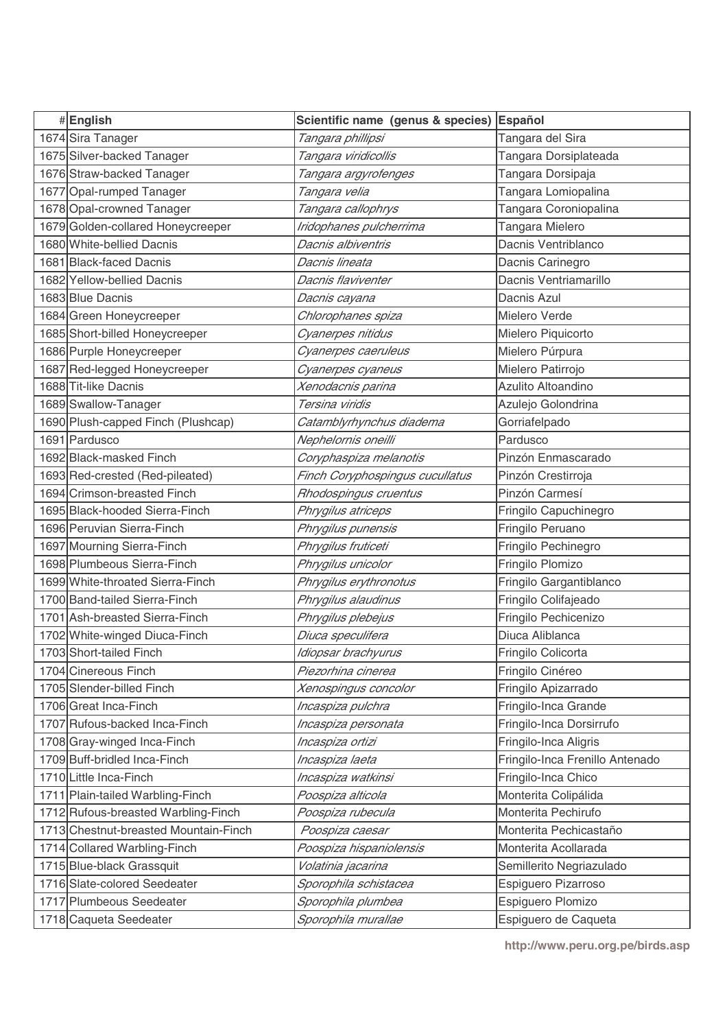| #English                              | Scientific name (genus & species) | Español                         |
|---------------------------------------|-----------------------------------|---------------------------------|
| 1674 Sira Tanager                     | Tangara phillipsi                 | Tangara del Sira                |
| 1675 Silver-backed Tanager            | Tangara viridicollis              | Tangara Dorsiplateada           |
| 1676 Straw-backed Tanager             | Tangara argyrofenges              | Tangara Dorsipaja               |
| 1677 Opal-rumped Tanager              | Tangara velia                     | Tangara Lomiopalina             |
| 1678 Opal-crowned Tanager             | Tangara callophrys                | Tangara Coroniopalina           |
| 1679 Golden-collared Honeycreeper     | Iridophanes pulcherrima           | Tangara Mielero                 |
| 1680 White-bellied Dacnis             | Dacnis albiventris                | Dacnis Ventriblanco             |
| 1681 Black-faced Dacnis               | Dacnis lineata                    | Dacnis Carinegro                |
| 1682 Yellow-bellied Dacnis            | Dacnis flaviventer                | Dacnis Ventriamarillo           |
| 1683 Blue Dacnis                      | Dacnis cayana                     | Dacnis Azul                     |
| 1684 Green Honeycreeper               | Chlorophanes spiza                | Mielero Verde                   |
| 1685 Short-billed Honeycreeper        | Cyanerpes nitidus                 | Mielero Piquicorto              |
| 1686 Purple Honeycreeper              | Cyanerpes caeruleus               | Mielero Púrpura                 |
| 1687 Red-legged Honeycreeper          | Cyanerpes cyaneus                 | Mielero Patirrojo               |
| 1688 Tit-like Dacnis                  | Xenodacnis parina                 | Azulito Altoandino              |
| 1689 Swallow-Tanager                  | Tersina viridis                   | Azulejo Golondrina              |
| 1690 Plush-capped Finch (Plushcap)    | Catamblyrhynchus diadema          | Gorriafelpado                   |
| 1691 Pardusco                         | Nephelornis oneilli               | Pardusco                        |
| 1692 Black-masked Finch               | Coryphaspiza melanotis            | Pinzón Enmascarado              |
| 1693 Red-crested (Red-pileated)       | Finch Coryphospingus cucullatus   | Pinzón Crestirroja              |
| 1694 Crimson-breasted Finch           | Rhodospingus cruentus             | Pinzón Carmesí                  |
| 1695 Black-hooded Sierra-Finch        | Phrygilus atriceps                | Fringilo Capuchinegro           |
| 1696 Peruvian Sierra-Finch            | Phrygilus punensis                | Fringilo Peruano                |
| 1697 Mourning Sierra-Finch            | Phrygilus fruticeti               | Fringilo Pechinegro             |
| 1698 Plumbeous Sierra-Finch           | Phrygilus unicolor                | Fringilo Plomizo                |
| 1699 White-throated Sierra-Finch      | Phrygilus erythronotus            | Fringilo Gargantiblanco         |
| 1700 Band-tailed Sierra-Finch         | Phrygilus alaudinus               | Fringilo Colifajeado            |
| 1701 Ash-breasted Sierra-Finch        | Phrygilus plebejus                | Fringilo Pechicenizo            |
| 1702 White-winged Diuca-Finch         | Diuca speculifera                 | Diuca Aliblanca                 |
| 1703 Short-tailed Finch               | Idiopsar brachyurus               | Fringilo Colicorta              |
| 1704 Cinereous Finch                  | Piezorhina cinerea                | Fringilo Cinéreo                |
| 1705 Slender-billed Finch             | Xenospingus concolor              | Fringilo Apizarrado             |
| 1706 Great Inca-Finch                 | Incaspiza pulchra                 | Fringilo-Inca Grande            |
| 1707 Rufous-backed Inca-Finch         | Incaspiza personata               | Fringilo-Inca Dorsirrufo        |
| 1708 Gray-winged Inca-Finch           | Incaspiza ortizi                  | Fringilo-Inca Aligris           |
| 1709 Buff-bridled Inca-Finch          | Incaspiza laeta                   | Fringilo-Inca Frenillo Antenado |
| 1710 Little Inca-Finch                | Incaspiza watkinsi                | Fringilo-Inca Chico             |
| 1711 Plain-tailed Warbling-Finch      | Poospiza alticola                 | Monterita Colipálida            |
| 1712 Rufous-breasted Warbling-Finch   | Poospiza rubecula                 | Monterita Pechirufo             |
| 1713 Chestnut-breasted Mountain-Finch | Poospiza caesar                   | Monterita Pechicastaño          |
| 1714 Collared Warbling-Finch          | Poospiza hispaniolensis           | Monterita Acollarada            |
| 1715 Blue-black Grassquit             | Volatinia jacarina                | Semillerito Negriazulado        |
| 1716 Slate-colored Seedeater          | Sporophila schistacea             | Espiguero Pizarroso             |
| 1717 Plumbeous Seedeater              | Sporophila plumbea                | Espiguero Plomizo               |
| 1718 Caqueta Seedeater                | Sporophila murallae               | Espiguero de Caqueta            |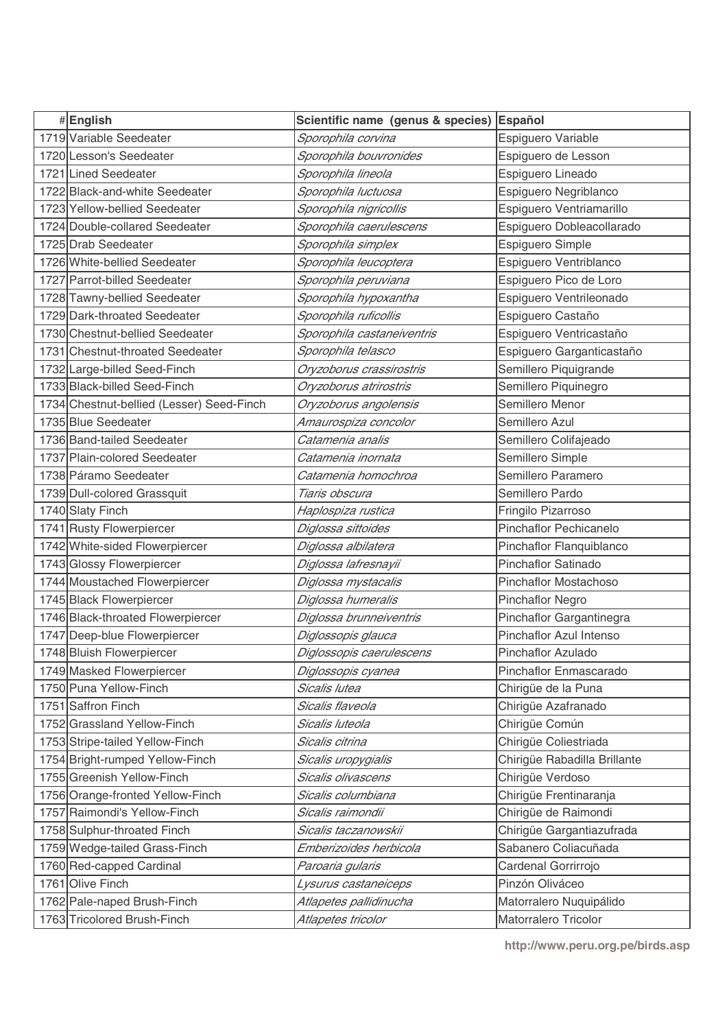| #English                                  | Scientific name (genus & species) Español |                                |
|-------------------------------------------|-------------------------------------------|--------------------------------|
| 1719 Variable Seedeater                   | Sporophila corvina                        | Espiguero Variable             |
| 1720 Lesson's Seedeater                   | Sporophila bouvronides                    | Espiguero de Lesson            |
| 1721 Lined Seedeater                      | Sporophila lineola                        | Espiguero Lineado              |
| 1722 Black-and-white Seedeater            | Sporophila luctuosa                       | Espiguero Negriblanco          |
| 1723 Yellow-bellied Seedeater             | Sporophila nigricollis                    | Espiguero Ventriamarillo       |
| 1724 Double-collared Seedeater            | Sporophila caerulescens                   | Espiguero Dobleacollarado      |
| 1725 Drab Seedeater                       | Sporophila simplex                        | Espiguero Simple               |
| 1726 White-bellied Seedeater              | Sporophila leucoptera                     | Espiguero Ventriblanco         |
| 1727 Parrot-billed Seedeater              | Sporophila peruviana                      | Espiguero Pico de Loro         |
| 1728 Tawny-bellied Seedeater              | Sporophila hypoxantha                     | Espiguero Ventrileonado        |
| 1729 Dark-throated Seedeater              | Sporophila ruficollis                     | Espiguero Castaño              |
| 1730 Chestnut-bellied Seedeater           | Sporophila castaneiventris                | Espiguero Ventricastaño        |
| 1731 Chestnut-throated Seedeater          | Sporophila telasco                        | Espiguero Garganticastaño      |
| 1732 Large-billed Seed-Finch              | Oryzoborus crassirostris                  | Semillero Piquigrande          |
| 1733 Black-billed Seed-Finch              | Oryzoborus atrirostris                    | Semillero Piquinegro           |
| 1734 Chestnut-bellied (Lesser) Seed-Finch | Oryzoborus angolensis                     | Semillero Menor                |
| 1735 Blue Seedeater                       | Amaurospiza concolor                      | Semillero Azul                 |
| 1736 Band-tailed Seedeater                | Catamenia analis                          | Semillero Colifajeado          |
| 1737 Plain-colored Seedeater              | Catamenia inornata                        | Semillero Simple               |
| 1738 Páramo Seedeater                     | Catamenia homochroa                       | Semillero Paramero             |
| 1739 Dull-colored Grassquit               | Tiaris obscura                            | Semillero Pardo                |
| 1740 Slaty Finch                          | Haplospiza rustica                        | Fringilo Pizarroso             |
| 1741 Rusty Flowerpiercer                  | Diglossa sittoides                        | Pinchaflor Pechicanelo         |
| 1742 White-sided Flowerpiercer            | Diglossa albilatera                       | Pinchaflor Flanquiblanco       |
| 1743 Glossy Flowerpiercer                 | Diglossa lafresnayii                      | Pinchaflor Satinado            |
| 1744 Moustached Flowerpiercer             | Diglossa mystacalis                       | <b>Pinchaflor Mostachoso</b>   |
| 1745 Black Flowerpiercer                  | Diglossa humeralis                        | <b>Pinchaflor Negro</b>        |
| 1746 Black-throated Flowerpiercer         | Diglossa brunneiventris                   | Pinchaflor Gargantinegra       |
| 1747 Deep-blue Flowerpiercer              | Diglossopis glauca                        | <b>Pinchaflor Azul Intenso</b> |
| 1748 Bluish Flowerpiercer                 | Diglossopis caerulescens                  | Pinchaflor Azulado             |
| 1749 Masked Flowerpiercer                 | Diglossopis cyanea                        | Pinchaflor Enmascarado         |
| 1750 Puna Yellow-Finch                    | Sicalis lutea                             | Chirigüe de la Puna            |
| 1751 Saffron Finch                        | Sicalis flaveola                          | Chirigüe Azafranado            |
| 1752 Grassland Yellow-Finch               | Sicalis luteola                           | Chirigüe Común                 |
| 1753 Stripe-tailed Yellow-Finch           | Sicalis citrina                           | Chirigüe Coliestriada          |
| 1754 Bright-rumped Yellow-Finch           | Sicalis uropygialis                       | Chirigüe Rabadilla Brillante   |
| 1755 Greenish Yellow-Finch                | Sicalis olivascens                        | Chirigüe Verdoso               |
| 1756 Orange-fronted Yellow-Finch          | Sicalis columbiana                        | Chirigüe Frentinaranja         |
| 1757 Raimondi's Yellow-Finch              | Sicalis raimondii                         | Chirigüe de Raimondi           |
| 1758 Sulphur-throated Finch               | Sicalis taczanowskii                      | Chirigüe Gargantiazufrada      |
| 1759 Wedge-tailed Grass-Finch             | Emberizoides herbicola                    | Sabanero Coliacuñada           |
| 1760 Red-capped Cardinal                  | Paroaria gularis                          | Cardenal Gorrirrojo            |
| 1761 Olive Finch                          | Lysurus castaneiceps                      | Pinzón Oliváceo                |
| 1762 Pale-naped Brush-Finch               | Atlapetes pallidinucha                    | Matorralero Nuquipálido        |
| 1763 Tricolored Brush-Finch               | Atlapetes tricolor                        | Matorralero Tricolor           |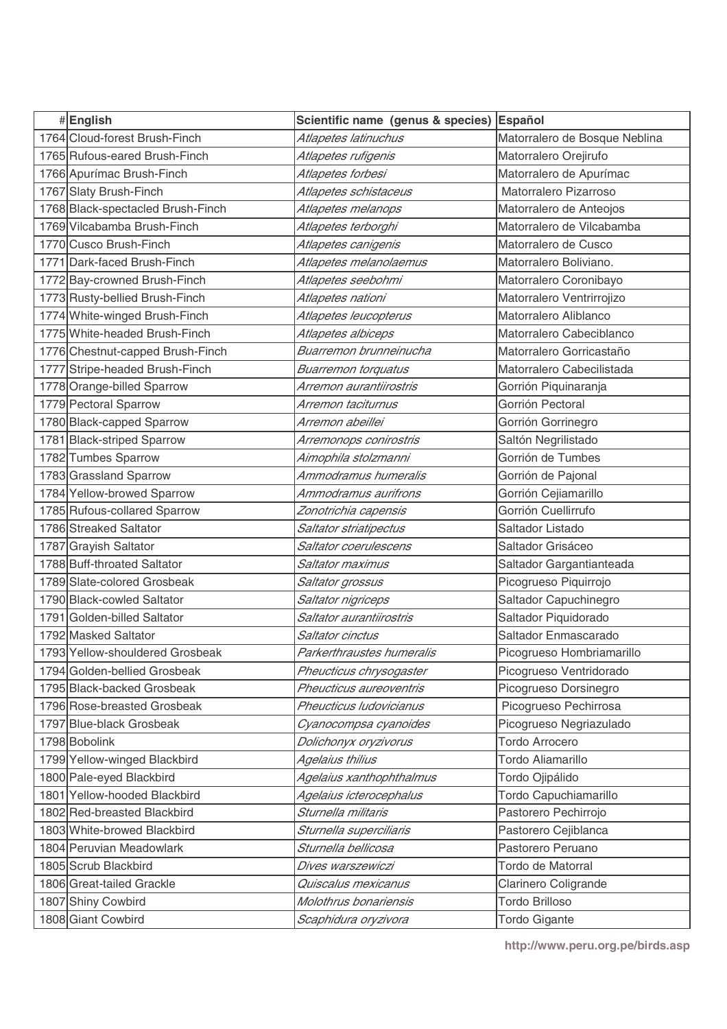| #English                          | Scientific name (genus & species) | Español                       |
|-----------------------------------|-----------------------------------|-------------------------------|
| 1764 Cloud-forest Brush-Finch     | Atlapetes latinuchus              | Matorralero de Bosque Neblina |
| 1765 Rufous-eared Brush-Finch     | Atlapetes rufigenis               | Matorralero Orejirufo         |
| 1766 Apurímac Brush-Finch         | Atlapetes forbesi                 | Matorralero de Apurímac       |
| 1767 Slaty Brush-Finch            | Atlapetes schistaceus             | Matorralero Pizarroso         |
| 1768 Black-spectacled Brush-Finch | Atlapetes melanops                | Matorralero de Anteojos       |
| 1769 Vilcabamba Brush-Finch       | Atlapetes terborghi               | Matorralero de Vilcabamba     |
| 1770 Cusco Brush-Finch            | Atlapetes canigenis               | Matorralero de Cusco          |
| 1771 Dark-faced Brush-Finch       | Atlapetes melanolaemus            | Matorralero Boliviano.        |
| 1772 Bay-crowned Brush-Finch      | Atlapetes seebohmi                | Matorralero Coronibayo        |
| 1773 Rusty-bellied Brush-Finch    | Atlapetes nationi                 | Matorralero Ventrirrojizo     |
| 1774 White-winged Brush-Finch     | Atlapetes leucopterus             | Matorralero Aliblanco         |
| 1775 White-headed Brush-Finch     | Atlapetes albiceps                | Matorralero Cabeciblanco      |
| 1776 Chestnut-capped Brush-Finch  | Buarremon brunneinucha            | Matorralero Gorricastaño      |
| 1777 Stripe-headed Brush-Finch    | <b>Buarremon torquatus</b>        | Matorralero Cabecilistada     |
| 1778 Orange-billed Sparrow        | Arremon aurantiirostris           | Gorrión Piquinaranja          |
| 1779 Pectoral Sparrow             | Arremon taciturnus                | Gorrión Pectoral              |
| 1780 Black-capped Sparrow         | Arremon abeillei                  | Gorrión Gorrinegro            |
| 1781 Black-striped Sparrow        | Arremonops conirostris            | Saltón Negrilistado           |
| 1782 Tumbes Sparrow               | Aimophila stolzmanni              | Gorrión de Tumbes             |
| 1783 Grassland Sparrow            | Ammodramus humeralis              | Gorrión de Pajonal            |
| 1784 Yellow-browed Sparrow        | Ammodramus aurifrons              | Gorrión Cejiamarillo          |
| 1785 Rufous-collared Sparrow      | Zonotrichia capensis              | Gorrión Cuellirrufo           |
| 1786 Streaked Saltator            | Saltator striatipectus            | Saltador Listado              |
| 1787 Grayish Saltator             | Saltator coerulescens             | Saltador Grisáceo             |
| 1788 Buff-throated Saltator       | Saltator maximus                  | Saltador Gargantianteada      |
| 1789 Slate-colored Grosbeak       | Saltator grossus                  | Picogrueso Piquirrojo         |
| 1790 Black-cowled Saltator        | Saltator nigriceps                | Saltador Capuchinegro         |
| 1791 Golden-billed Saltator       | Saltator aurantiirostris          | Saltador Piquidorado          |
| 1792 Masked Saltator              | Saltator cinctus                  | Saltador Enmascarado          |
| 1793 Yellow-shouldered Grosbeak   | Parkerthraustes humeralis         | Picogrueso Hombriamarillo     |
| 1794 Golden-bellied Grosbeak      | Pheucticus chrysogaster           | Picogrueso Ventridorado       |
| 1795 Black-backed Grosbeak        | Pheucticus aureoventris           | Picogrueso Dorsinegro         |
| 1796 Rose-breasted Grosbeak       | Pheucticus Iudovicianus           | Picogrueso Pechirrosa         |
| 1797 Blue-black Grosbeak          | Cyanocompsa cyanoides             | Picogrueso Negriazulado       |
| 1798 Bobolink                     | Dolichonyx oryzivorus             | <b>Tordo Arrocero</b>         |
| 1799 Yellow-winged Blackbird      | Agelaius thilius                  | <b>Tordo Aliamarillo</b>      |
| 1800 Pale-eyed Blackbird          | Agelaius xanthophthalmus          | Tordo Ojipálido               |
| 1801 Yellow-hooded Blackbird      | Agelaius icterocephalus           | Tordo Capuchiamarillo         |
| 1802 Red-breasted Blackbird       | Sturnella militaris               | Pastorero Pechirrojo          |
| 1803 White-browed Blackbird       | Sturnella superciliaris           | Pastorero Cejiblanca          |
| 1804 Peruvian Meadowlark          | Sturnella bellicosa               | Pastorero Peruano             |
| 1805 Scrub Blackbird              | Dives warszewiczi                 | Tordo de Matorral             |
| 1806 Great-tailed Grackle         | Quiscalus mexicanus               | Clarinero Coligrande          |
| 1807 Shiny Cowbird                | Molothrus bonariensis             | Tordo Brilloso                |
| 1808 Giant Cowbird                | Scaphidura oryzivora              | <b>Tordo Gigante</b>          |